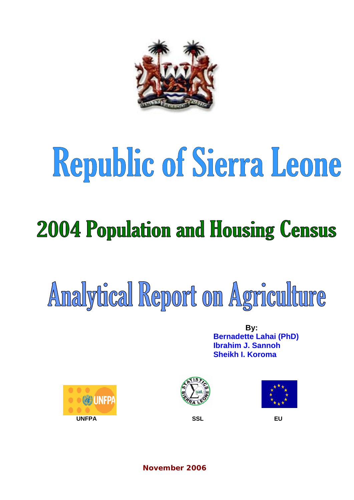

# Republic of Sierra Leone

### **2004 Population and Housing Census**

## Analytical Report on Agriculture

**By: Bernadette Lahai (PhD) Ibrahim J. Sannoh Sheikh I. Koroma** 







**November 2006**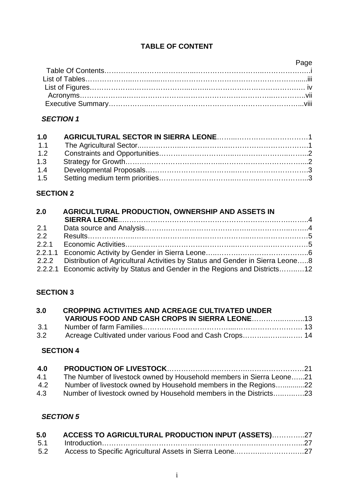#### **TABLE OF CONTENT**

| <b>Example 2</b> Page |  |
|-----------------------|--|
|                       |  |
|                       |  |
|                       |  |
|                       |  |
|                       |  |

#### *SECTION 1*

| 1.0 |  |
|-----|--|
| 1.1 |  |
| 1.2 |  |
| 1.3 |  |
| 1.4 |  |
| 1.5 |  |

#### **SECTION 2**

| 2.0   | AGRICULTURAL PRODUCTION, OWNERSHIP AND ASSETS IN                                    |  |
|-------|-------------------------------------------------------------------------------------|--|
| 2.1   |                                                                                     |  |
| 2.2   |                                                                                     |  |
| 2.2.1 |                                                                                     |  |
|       |                                                                                     |  |
|       | 2.2.2 Distribution of Agricultural Activities by Status and Gender in Sierra Leone8 |  |
|       | 2.2.2.1 Economic activity by Status and Gender in the Regions and Districts12       |  |

#### **SECTION 3**

| 3.0 | <b>CROPPING ACTIVITIES AND ACREAGE CULTIVATED UNDER</b> |  |
|-----|---------------------------------------------------------|--|
|     |                                                         |  |
| 3.1 |                                                         |  |
| 3.2 | Acreage Cultivated under various Food and Cash Crops 14 |  |

#### **SECTION 4**

| 4.0 |                                                                      |
|-----|----------------------------------------------------------------------|
| 4.1 | The Number of livestock owned by Household members in Sierra Leone21 |
| 4.2 | Number of livestock owned by Household members in the Regions22      |
| 4.3 | Number of livestock owned by Household members in the Districts23    |

#### *SECTION 5*

| 5.0 | ACCESS TO AGRICULTURAL PRODUCTION INPUT (ASSETS)27 |  |
|-----|----------------------------------------------------|--|
| 5.1 |                                                    |  |
| 5.2 |                                                    |  |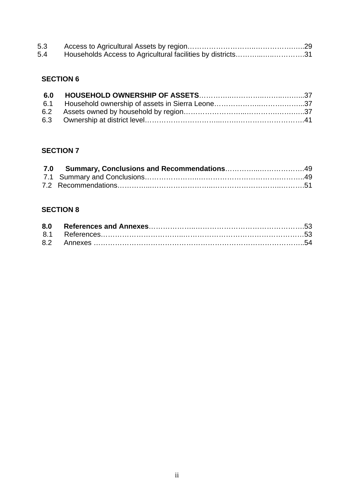| 5.3 |                                                             |  |
|-----|-------------------------------------------------------------|--|
| 5.4 | Households Access to Agricultural facilities by districts31 |  |

#### **SECTION 6**

#### **SECTION 7**

#### **SECTION 8**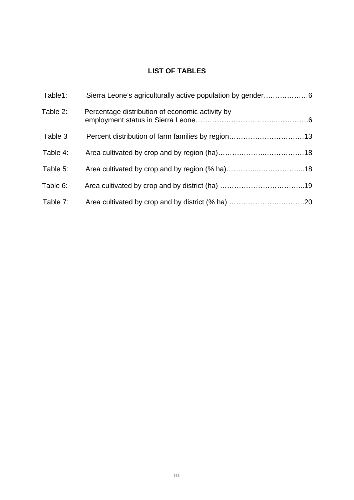#### **LIST OF TABLES**

| Sierra Leone's agriculturally active population by gender6 | Table1:  |
|------------------------------------------------------------|----------|
| Percentage distribution of economic activity by            | Table 2: |
|                                                            | Table 3  |
|                                                            | Table 4: |
|                                                            | Table 5: |
|                                                            | Table 6: |
|                                                            | Table 7: |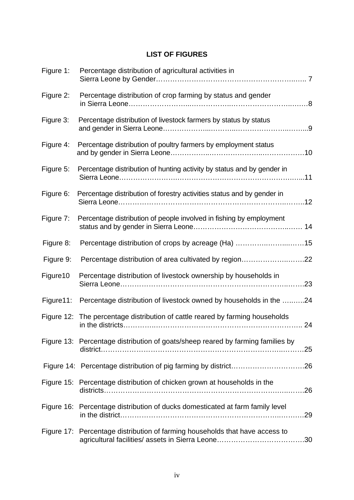#### **LIST OF FIGURES**

| Figure 1:  | Percentage distribution of agricultural activities in                                  |  |
|------------|----------------------------------------------------------------------------------------|--|
| Figure 2:  | Percentage distribution of crop farming by status and gender                           |  |
| Figure 3:  | Percentage distribution of livestock farmers by status by status                       |  |
| Figure 4:  | Percentage distribution of poultry farmers by employment status                        |  |
| Figure 5:  | Percentage distribution of hunting activity by status and by gender in                 |  |
| Figure 6:  | Percentage distribution of forestry activities status and by gender in                 |  |
| Figure 7:  | Percentage distribution of people involved in fishing by employment                    |  |
| Figure 8:  |                                                                                        |  |
| Figure 9:  | Percentage distribution of area cultivated by region22                                 |  |
| Figure10   | Percentage distribution of livestock ownership by households in                        |  |
| Figure 11: | Percentage distribution of livestock owned by households in the 24                     |  |
|            | Figure 12: The percentage distribution of cattle reared by farming households          |  |
|            | Figure 13: Percentage distribution of goats/sheep reared by farming families by<br>.25 |  |
|            |                                                                                        |  |
|            | Figure 15: Percentage distribution of chicken grown at households in the               |  |
|            | Figure 16: Percentage distribution of ducks domesticated at farm family level          |  |
|            | Figure 17: Percentage distribution of farming households that have access to           |  |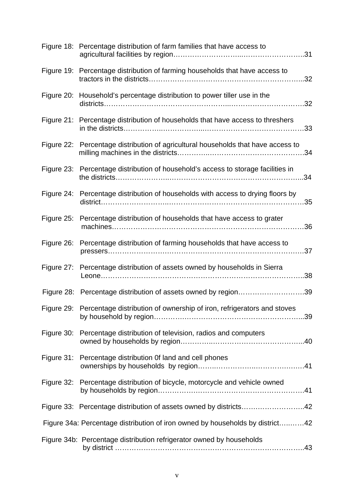|            | Figure 18: Percentage distribution of farm families that have access to           |
|------------|-----------------------------------------------------------------------------------|
|            | Figure 19: Percentage distribution of farming households that have access to      |
|            | Figure 20: Household's percentage distribution to power tiller use in the         |
|            | Figure 21: Percentage distribution of households that have access to threshers    |
|            | Figure 22: Percentage distribution of agricultural households that have access to |
|            | Figure 23: Percentage distribution of household's access to storage facilities in |
| Figure 24: | Percentage distribution of households with access to drying floors by             |
| Figure 25: | Percentage distribution of households that have access to grater                  |
| Figure 26: | Percentage distribution of farming households that have access to                 |
|            | Figure 27: Percentage distribution of assets owned by households in Sierra        |
|            | Figure 28: Percentage distribution of assets owned by region39                    |
|            | Figure 29: Percentage distribution of ownership of iron, refrigerators and stoves |
|            | Figure 30: Percentage distribution of television, radios and computers            |
|            | Figure 31: Percentage distribution Of land and cell phones                        |
|            | Figure 32: Percentage distribution of bicycle, motorcycle and vehicle owned       |
|            | Figure 33: Percentage distribution of assets owned by districts42                 |
|            | Figure 34a: Percentage distribution of iron owned by households by district42     |
|            | Figure 34b: Percentage distribution refrigerator owned by households              |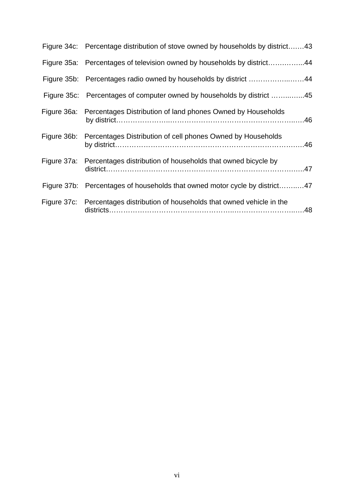| Figure 34c: Percentage distribution of stove owned by households by district43 |  |
|--------------------------------------------------------------------------------|--|
| Figure 35a: Percentages of television owned by households by district44        |  |
| Figure 35b: Percentages radio owned by households by district 44               |  |
| Figure 35c: Percentages of computer owned by households by district 45         |  |
| Figure 36a: Percentages Distribution of land phones Owned by Households        |  |
| Figure 36b: Percentages Distribution of cell phones Owned by Households        |  |
| Figure 37a: Percentages distribution of households that owned bicycle by       |  |
| Figure 37b: Percentages of households that owned motor cycle by district47     |  |
| Figure 37c: Percentages distribution of households that owned vehicle in the   |  |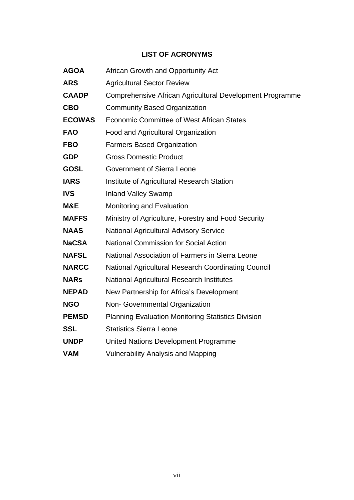#### **LIST OF ACRONYMS**

| <b>AGOA</b>   | African Growth and Opportunity Act                         |
|---------------|------------------------------------------------------------|
| <b>ARS</b>    | <b>Agricultural Sector Review</b>                          |
| <b>CAADP</b>  | Comprehensive African Agricultural Development Programme   |
| <b>CBO</b>    | <b>Community Based Organization</b>                        |
| <b>ECOWAS</b> | <b>Economic Committee of West African States</b>           |
| <b>FAO</b>    | Food and Agricultural Organization                         |
| <b>FBO</b>    | <b>Farmers Based Organization</b>                          |
| <b>GDP</b>    | <b>Gross Domestic Product</b>                              |
| <b>GOSL</b>   | <b>Government of Sierra Leone</b>                          |
| <b>IARS</b>   | Institute of Agricultural Research Station                 |
| <b>IVS</b>    | <b>Inland Valley Swamp</b>                                 |
| M&E           | Monitoring and Evaluation                                  |
| <b>MAFFS</b>  | Ministry of Agriculture, Forestry and Food Security        |
| <b>NAAS</b>   | <b>National Agricultural Advisory Service</b>              |
| <b>NaCSA</b>  | <b>National Commission for Social Action</b>               |
| <b>NAFSL</b>  | National Association of Farmers in Sierra Leone            |
| <b>NARCC</b>  | <b>National Agricultural Research Coordinating Council</b> |
| <b>NARs</b>   | <b>National Agricultural Research Institutes</b>           |
| <b>NEPAD</b>  | New Partnership for Africa's Development                   |
| <b>NGO</b>    | Non- Governmental Organization                             |
| <b>PEMSD</b>  | <b>Planning Evaluation Monitoring Statistics Division</b>  |
| <b>SSL</b>    | <b>Statistics Sierra Leone</b>                             |
| <b>UNDP</b>   | United Nations Development Programme                       |
| <b>VAM</b>    | <b>Vulnerability Analysis and Mapping</b>                  |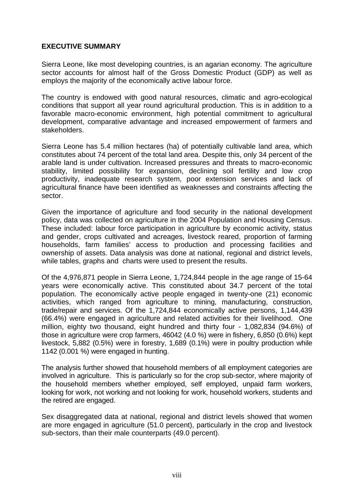#### **EXECUTIVE SUMMARY**

Sierra Leone, like most developing countries, is an agarian economy. The agriculture sector accounts for almost half of the Gross Domestic Product (GDP) as well as employs the majority of the economically active labour force.

The country is endowed with good natural resources, climatic and agro-ecological conditions that support all year round agricultural production. This is in addition to a favorable macro-economic environment, high potential commitment to agricultural development, comparative advantage and increased empowerment of farmers and stakeholders.

Sierra Leone has 5.4 million hectares (ha) of potentially cultivable land area, which constitutes about 74 percent of the total land area. Despite this, only 34 percent of the arable land is under cultivation. Increased pressures and threats to macro-economic stability, limited possibility for expansion, declining soil fertility and low crop productivity, inadequate research system, poor extension services and lack of agricultural finance have been identified as weaknesses and constraints affecting the sector.

Given the importance of agriculture and food security in the national development policy, data was collected on agriculture in the 2004 Population and Housing Census. These included: labour force participation in agriculture by economic activity, status and gender, crops cultivated and acreages, livestock reared, proportion of farming households, farm families' access to production and processing facilities and ownership of assets. Data analysis was done at national, regional and district levels, while tables, graphs and charts were used to present the results.

Of the 4,976,871 people in Sierra Leone, 1,724,844 people in the age range of 15-64 years were economically active. This constituted about 34.7 percent of the total population. The economically active people engaged in twenty-one (21) economic activities, which ranged from agriculture to mining, manufacturing, construction, trade/repair and services. Of the 1,724,844 economically active persons, 1,144,439 (66.4%) were engaged in agriculture and related activities for their livelihood. One million, eighty two thousand, eight hundred and thirty four - 1,082,834 (94.6%) of those in agriculture were crop farmers, 46042 (4.0 %) were in fishery, 6,850 (0.6%) kept livestock, 5,882 (0.5%) were in forestry, 1,689 (0.1%) were in poultry production while 1142 (0.001 %) were engaged in hunting.

The analysis further showed that household members of all employment categories are involved in agriculture. This is particularly so for the crop sub-sector, where majority of the household members whether employed, self employed, unpaid farm workers, looking for work, not working and not looking for work, household workers, students and the retired are engaged.

Sex disaggregated data at national, regional and district levels showed that women are more engaged in agriculture (51.0 percent), particularly in the crop and livestock sub-sectors, than their male counterparts (49.0 percent).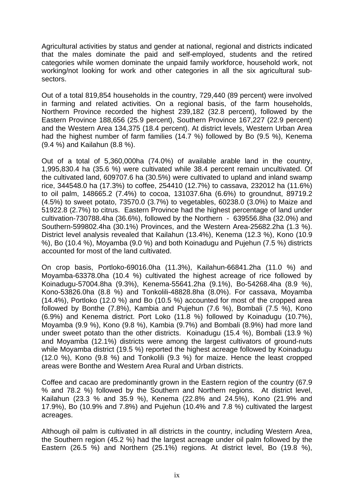Agricultural activities by status and gender at national, regional and districts indicated that the males dominate the paid and self-employed, students and the retired categories while women dominate the unpaid family workforce, household work, not working/not looking for work and other categories in all the six agricultural subsectors.

Out of a total 819,854 households in the country, 729,440 (89 percent) were involved in farming and related activities. On a regional basis, of the farm households, Northern Province recorded the highest 239,182 (32.8 percent), followed by the Eastern Province 188,656 (25.9 percent), Southern Province 167,227 (22.9 percent) and the Western Area 134,375 (18.4 percent). At district levels, Western Urban Area had the highest number of farm families (14.7 %) followed by Bo (9.5 %), Kenema (9.4 %) and Kailahun (8.8 %).

Out of a total of 5,360,000ha (74.0%) of available arable land in the country, 1,995,830.4 ha (35.6 %) were cultivated while 38.4 percent remain uncultivated. Of the cultivated land, 609707.6 ha (30.5%) were cultivated to upland and inland swamp rice, 344548.0 ha (17.3%) to coffee, 254410 (12.7%) to cassava, 232012 ha (11.6%) to oil palm, 148665.2 (7.4%) to cocoa, 131037.6ha (6.6%) to groundnut, 89719.2 (4.5%) to sweet potato, 73570.0 (3.7%) to vegetables, 60238.0 (3.0%) to Maize and 51922.8 (2.7%) to citrus. Eastern Province had the highest percentage of land under cultivation-730788.4ha (36.6%), followed by the Northern - 639556.8ha (32.0%) and Southern-599802.4ha (30.1%) Provinces, and the Western Area-25682.2ha (1.3 %). District level analysis revealed that Kailahun (13.4%), Kenema (12.3 %), Kono (10.9 %), Bo (10.4 %), Moyamba (9.0 %) and both Koinadugu and Pujehun (7.5 %) districts accounted for most of the land cultivated.

On crop basis, Portloko-69016.0ha (11.3%), Kailahun-66841.2ha (11.0 %) and Moyamba-63378.0ha (10.4 %) cultivated the highest acreage of rice followed by Koinadugu-57004.8ha (9.3%), Kenema-55641.2ha (9.1%), Bo-54268.4ha (8.9 %), Kono-53826.0ha (8.8 %) and Tonkolili-48828.8ha (8.0%). For cassava, Moyamba (14.4%), Portloko (12.0 %) and Bo (10.5 %) accounted for most of the cropped area followed by Bonthe (7.8%), Kambia and Pujehun (7.6 %), Bombali (7.5 %), Kono (6.9%) and Kenema district. Port Loko (11.8 %) followed by Koinadugu (10.7%), Moyamba (9.9 %), Kono (9.8 %), Kambia (9.7%) and Bombali (8.9%) had more land under sweet potato than the other districts. Koinadugu (15.4 %), Bombali (13.9 %) and Moyamba (12.1%) districts were among the largest cultivators of ground-nuts while Movamba district (19.5 %) reported the highest acreage followed by Koinadugu (12.0 %), Kono (9.8 %) and Tonkolili (9.3 %) for maize. Hence the least cropped areas were Bonthe and Western Area Rural and Urban districts.

Coffee and cacao are predominantly grown in the Eastern region of the country (67.9 % and 78.2 %) followed by the Southern and Northern regions. At district level, Kailahun (23.3 % and 35.9 %), Kenema (22.8% and 24.5%), Kono (21.9% and 17.9%), Bo (10.9% and 7.8%) and Pujehun (10.4% and 7.8 %) cultivated the largest acreages.

Although oil palm is cultivated in all districts in the country, including Western Area, the Southern region (45.2 %) had the largest acreage under oil palm followed by the Eastern (26.5 %) and Northern (25.1%) regions. At district level, Bo (19.8 %),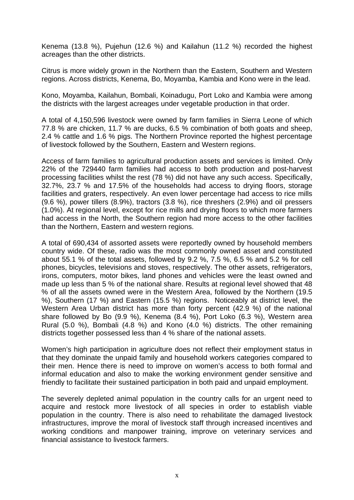Kenema (13.8 %), Pujehun (12.6 %) and Kailahun (11.2 %) recorded the highest acreages than the other districts.

Citrus is more widely grown in the Northern than the Eastern, Southern and Western regions. Across districts, Kenema, Bo, Moyamba, Kambia and Kono were in the lead.

Kono, Moyamba, Kailahun, Bombali, Koinadugu, Port Loko and Kambia were among the districts with the largest acreages under vegetable production in that order.

A total of 4,150,596 livestock were owned by farm families in Sierra Leone of which 77.8 % are chicken, 11.7 % are ducks, 6.5 % combination of both goats and sheep, 2.4 % cattle and 1.6 % pigs. The Northern Province reported the highest percentage of livestock followed by the Southern, Eastern and Western regions.

Access of farm families to agricultural production assets and services is limited. Only 22% of the 729440 farm families had access to both production and post-harvest processing facilities whilst the rest (78 %) did not have any such access. Specifically, 32.7%, 23.7 % and 17.5% of the households had access to drying floors, storage facilities and graters, respectively. An even lower percentage had access to rice mills (9.6 %), power tillers (8.9%), tractors (3.8 %), rice threshers (2.9%) and oil pressers (1.0%). At regional level, except for rice mills and drying floors to which more farmers had access in the North, the Southern region had more access to the other facilities than the Northern, Eastern and western regions.

A total of 690,434 of assorted assets were reportedly owned by household members country wide. Of these, radio was the most commonly owned asset and constituted about 55.1 % of the total assets, followed by 9.2 %, 7.5 %, 6.5 % and 5.2 % for cell phones, bicycles, televisions and stoves, respectively. The other assets, refrigerators, irons, computers, motor bikes, land phones and vehicles were the least owned and made up less than 5 % of the national share. Results at regional level showed that 48 % of all the assets owned were in the Western Area, followed by the Northern (19.5 %), Southern (17 %) and Eastern (15.5 %) regions. Noticeably at district level, the Western Area Urban district has more than forty percent (42.9 %) of the national share followed by Bo (9.9 %), Kenema (8.4 %), Port Loko (6.3 %), Western area Rural (5.0 %), Bombali (4.8 %) and Kono (4.0 %) districts. The other remaining districts together possessed less than 4 % share of the national assets.

Women's high participation in agriculture does not reflect their employment status in that they dominate the unpaid family and household workers categories compared to their men. Hence there is need to improve on women's access to both formal and informal education and also to make the working environment gender sensitive and friendly to facilitate their sustained participation in both paid and unpaid employment.

The severely depleted animal population in the country calls for an urgent need to acquire and restock more livestock of all species in order to establish viable population in the country. There is also need to rehabilitate the damaged livestock infrastructures, improve the moral of livestock staff through increased incentives and working conditions and manpower training, improve on veterinary services and financial assistance to livestock farmers.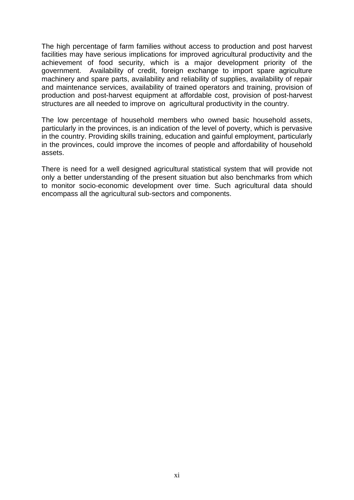The high percentage of farm families without access to production and post harvest facilities may have serious implications for improved agricultural productivity and the achievement of food security, which is a major development priority of the government. Availability of credit, foreign exchange to import spare agriculture machinery and spare parts, availability and reliability of supplies, availability of repair and maintenance services, availability of trained operators and training, provision of production and post-harvest equipment at affordable cost, provision of post-harvest structures are all needed to improve on agricultural productivity in the country.

The low percentage of household members who owned basic household assets, particularly in the provinces, is an indication of the level of poverty, which is pervasive in the country. Providing skills training, education and gainful employment, particularly in the provinces, could improve the incomes of people and affordability of household assets.

There is need for a well designed agricultural statistical system that will provide not only a better understanding of the present situation but also benchmarks from which to monitor socio-economic development over time. Such agricultural data should encompass all the agricultural sub-sectors and components.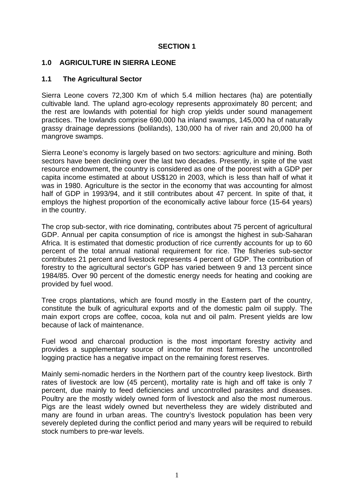#### **SECTION 1**

#### **1.0 AGRICULTURE IN SIERRA LEONE**

#### **1.1 The Agricultural Sector**

Sierra Leone covers 72,300 Km of which 5.4 million hectares (ha) are potentially cultivable land. The upland agro-ecology represents approximately 80 percent; and the rest are lowlands with potential for high crop yields under sound management practices. The lowlands comprise 690,000 ha inland swamps, 145,000 ha of naturally grassy drainage depressions (bolilands), 130,000 ha of river rain and 20,000 ha of mangrove swamps.

Sierra Leone's economy is largely based on two sectors: agriculture and mining. Both sectors have been declining over the last two decades. Presently, in spite of the vast resource endowment, the country is considered as one of the poorest with a GDP per capita income estimated at about US\$120 in 2003, which is less than half of what it was in 1980. Agriculture is the sector in the economy that was accounting for almost half of GDP in 1993/94, and it still contributes about 47 percent. In spite of that, it employs the highest proportion of the economically active labour force (15-64 years) in the country.

The crop sub-sector, with rice dominating, contributes about 75 percent of agricultural GDP. Annual per capita consumption of rice is amongst the highest in sub-Saharan Africa. It is estimated that domestic production of rice currently accounts for up to 60 percent of the total annual national requirement for rice. The fisheries sub-sector contributes 21 percent and livestock represents 4 percent of GDP. The contribution of forestry to the agricultural sector's GDP has varied between 9 and 13 percent since 1984/85. Over 90 percent of the domestic energy needs for heating and cooking are provided by fuel wood.

Tree crops plantations, which are found mostly in the Eastern part of the country, constitute the bulk of agricultural exports and of the domestic palm oil supply. The main export crops are coffee, cocoa, kola nut and oil palm. Present yields are low because of lack of maintenance.

Fuel wood and charcoal production is the most important forestry activity and provides a supplementary source of income for most farmers. The uncontrolled logging practice has a negative impact on the remaining forest reserves.

Mainly semi-nomadic herders in the Northern part of the country keep livestock. Birth rates of livestock are low (45 percent), mortality rate is high and off take is only 7 percent, due mainly to feed deficiencies and uncontrolled parasites and diseases. Poultry are the mostly widely owned form of livestock and also the most numerous. Pigs are the least widely owned but nevertheless they are widely distributed and many are found in urban areas. The country's livestock population has been very severely depleted during the conflict period and many years will be required to rebuild stock numbers to pre-war levels.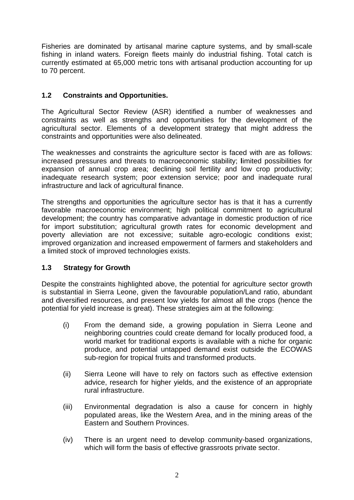Fisheries are dominated by artisanal marine capture systems, and by small-scale fishing in inland waters. Foreign fleets mainly do industrial fishing. Total catch is currently estimated at 65,000 metric tons with artisanal production accounting for up to 70 percent.

#### **1.2 Constraints and Opportunities.**

The Agricultural Sector Review (ASR) identified a number of weaknesses and constraints as well as strengths and opportunities for the development of the agricultural sector. Elements of a development strategy that might address the constraints and opportunities were also delineated.

The weaknesses and constraints the agriculture sector is faced with are as follows: increased pressures and threats to macroeconomic stability; **l**imited possibilities for expansion of annual crop area; declining soil fertility and low crop productivity; inadequate research system; poor extension service; poor and inadequate rural infrastructure and lack of agricultural finance.

The strengths and opportunities the agriculture sector has is that it has a currently favorable macroeconomic environment; high political commitment to agricultural development; the country has comparative advantage in domestic production of rice for import substitution; agricultural growth rates for economic development and poverty alleviation are not excessive; suitable agro-ecologic conditions exist; improved organization and increased empowerment of farmers and stakeholders and a limited stock of improved technologies exists.

#### **1.3 Strategy for Growth**

Despite the constraints highlighted above, the potential for agriculture sector growth is substantial in Sierra Leone, given the favourable population/Land ratio, abundant and diversified resources, and present low yields for almost all the crops (hence the potential for yield increase is great). These strategies aim at the following:

- (i) From the demand side, a growing population in Sierra Leone and neighboring countries could create demand for locally produced food, a world market for traditional exports is available with a niche for organic produce, and potential untapped demand exist outside the ECOWAS sub-region for tropical fruits and transformed products.
- (ii) Sierra Leone will have to rely on factors such as effective extension advice, research for higher yields, and the existence of an appropriate rural infrastructure.
- (iii) Environmental degradation is also a cause for concern in highly populated areas, like the Western Area, and in the mining areas of the Eastern and Southern Provinces.
- (iv) There is an urgent need to develop community-based organizations, which will form the basis of effective grassroots private sector.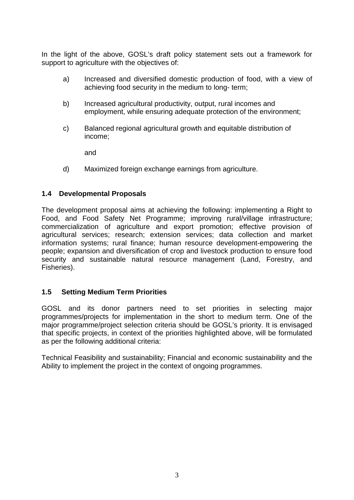In the light of the above, GOSL's draft policy statement sets out a framework for support to agriculture with the objectives of:

- a) Increased and diversified domestic production of food, with a view of achieving food security in the medium to long- term;
- b) Increased agricultural productivity, output, rural incomes and employment, while ensuring adequate protection of the environment;
- c) Balanced regional agricultural growth and equitable distribution of income;

and

d) Maximized foreign exchange earnings from agriculture.

#### **1.4 Developmental Proposals**

The development proposal aims at achieving the following: implementing a Right to Food, and Food Safety Net Programme; improving rural/village infrastructure; commercialization of agriculture and export promotion; effective provision of agricultural services; research; extension services; data collection and market information systems; rural finance; human resource development-empowering the people; expansion and diversification of crop and livestock production to ensure food security and sustainable natural resource management (Land, Forestry, and Fisheries).

#### **1.5 Setting Medium Term Priorities**

GOSL and its donor partners need to set priorities in selecting major programmes/projects for implementation in the short to medium term. One of the major programme/project selection criteria should be GOSL's priority. It is envisaged that specific projects, in context of the priorities highlighted above, will be formulated as per the following additional criteria:

Technical Feasibility and sustainability; Financial and economic sustainability and the Ability to implement the project in the context of ongoing programmes.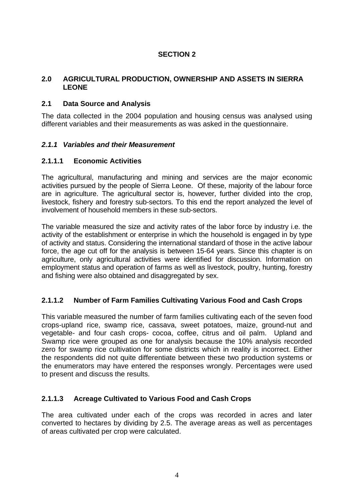#### **SECTION 2**

#### **2.0 AGRICULTURAL PRODUCTION, OWNERSHIP AND ASSETS IN SIERRA LEONE**

#### **2.1 Data Source and Analysis**

The data collected in the 2004 population and housing census was analysed using different variables and their measurements as was asked in the questionnaire.

#### *2.1.1 Variables and their Measurement*

#### **2.1.1.1 Economic Activities**

The agricultural, manufacturing and mining and services are the major economic activities pursued by the people of Sierra Leone. Of these, majority of the labour force are in agriculture. The agricultural sector is, however, further divided into the crop, livestock, fishery and forestry sub-sectors. To this end the report analyzed the level of involvement of household members in these sub-sectors.

The variable measured the size and activity rates of the labor force by industry i.e. the activity of the establishment or enterprise in which the household is engaged in by type of activity and status. Considering the international standard of those in the active labour force, the age cut off for the analysis is between 15-64 years. Since this chapter is on agriculture, only agricultural activities were identified for discussion. Information on employment status and operation of farms as well as livestock, poultry, hunting, forestry and fishing were also obtained and disaggregated by sex.

#### **2.1.1.2 Number of Farm Families Cultivating Various Food and Cash Crops**

This variable measured the number of farm families cultivating each of the seven food crops-upland rice, swamp rice, cassava, sweet potatoes, maize, ground-nut and vegetable- and four cash crops- cocoa, coffee, citrus and oil palm. Upland and Swamp rice were grouped as one for analysis because the 10% analysis recorded zero for swamp rice cultivation for some districts which in reality is incorrect. Either the respondents did not quite differentiate between these two production systems or the enumerators may have entered the responses wrongly. Percentages were used to present and discuss the results.

#### **2.1.1.3 Acreage Cultivated to Various Food and Cash Crops**

The area cultivated under each of the crops was recorded in acres and later converted to hectares by dividing by 2.5. The average areas as well as percentages of areas cultivated per crop were calculated.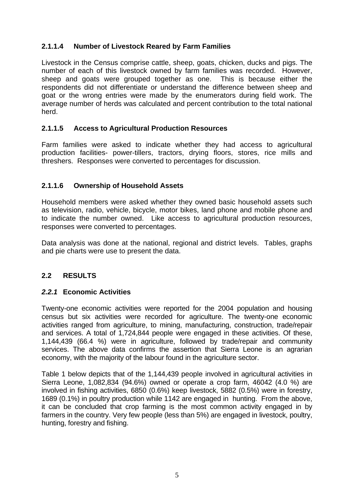#### **2.1.1.4 Number of Livestock Reared by Farm Families**

Livestock in the Census comprise cattle, sheep, goats, chicken, ducks and pigs. The number of each of this livestock owned by farm families was recorded. However, sheep and goats were grouped together as one. This is because either the respondents did not differentiate or understand the difference between sheep and goat or the wrong entries were made by the enumerators during field work. The average number of herds was calculated and percent contribution to the total national herd.

#### **2.1.1.5 Access to Agricultural Production Resources**

Farm families were asked to indicate whether they had access to agricultural production facilities- power-tillers, tractors, drying floors, stores, rice mills and threshers. Responses were converted to percentages for discussion.

#### **2.1.1.6 Ownership of Household Assets**

Household members were asked whether they owned basic household assets such as television, radio, vehicle, bicycle, motor bikes, land phone and mobile phone and to indicate the number owned. Like access to agricultural production resources, responses were converted to percentages.

Data analysis was done at the national, regional and district levels. Tables, graphs and pie charts were use to present the data.

#### **2.2 RESULTS**

#### *2.2.1* **Economic Activities**

Twenty-one economic activities were reported for the 2004 population and housing census but six activities were recorded for agriculture. The twenty-one economic activities ranged from agriculture, to mining, manufacturing, construction, trade/repair and services. A total of 1,724,844 people were engaged in these activities. Of these, 1,144,439 (66.4 %) were in agriculture, followed by trade/repair and community services. The above data confirms the assertion that Sierra Leone is an agrarian economy, with the majority of the labour found in the agriculture sector.

Table 1 below depicts that of the 1,144,439 people involved in agricultural activities in Sierra Leone, 1,082,834 (94.6%) owned or operate a crop farm, 46042 (4.0 %) are involved in fishing activities, 6850 (0.6%) keep livestock, 5882 (0.5%) were in forestry, 1689 (0.1%) in poultry production while 1142 are engaged in hunting. From the above, it can be concluded that crop farming is the most common activity engaged in by farmers in the country. Very few people (less than 5%) are engaged in livestock, poultry, hunting, forestry and fishing.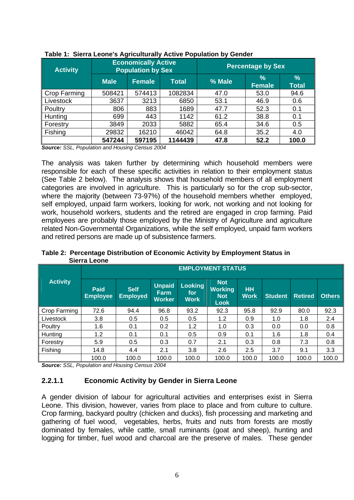| <b>Activity</b> |             | <b>Economically Active</b><br><b>Population by Sex</b> |              | <b>Percentage by Sex</b> |                                |                      |  |  |  |
|-----------------|-------------|--------------------------------------------------------|--------------|--------------------------|--------------------------------|----------------------|--|--|--|
|                 | <b>Male</b> | Female                                                 | <b>Total</b> | % Male                   | $\frac{9}{6}$<br><b>Female</b> | $\%$<br><b>Total</b> |  |  |  |
| Crop Farming    | 508421      | 574413                                                 | 1082834      | 47.0                     | 53.0                           | 94.6                 |  |  |  |
| Livestock       | 3637        | 3213                                                   | 6850         | 53.1                     | 46.9                           | 0.6                  |  |  |  |
| Poultry         | 806         | 883                                                    | 1689         | 47.7                     | 52.3                           | 0.1                  |  |  |  |
| Hunting         | 699         | 443                                                    | 1142         | 61.2                     | 38.8                           | 0.1                  |  |  |  |
| Forestry        | 3849        | 2033                                                   | 5882         | 65.4                     | 34.6                           | 0.5                  |  |  |  |
| Fishing         | 29832       | 16210                                                  | 46042        | 64.8                     | 35.2                           | 4.0                  |  |  |  |
|                 | 547244      | 597195                                                 | 1144439      | 47.8                     | 52.2                           | 100.0                |  |  |  |

| Table 1: Sierra Leone's Agriculturally Active Population by Gender |  |  |  |  |  |  |
|--------------------------------------------------------------------|--|--|--|--|--|--|
|--------------------------------------------------------------------|--|--|--|--|--|--|

*Source: SSL, Population and Housing Census 2004* 

The analysis was taken further by determining which household members were responsible for each of these specific activities in relation to their employment status (See Table 2 below). The analysis shows that household members of all employment categories are involved in agriculture. This is particularly so for the crop sub-sector, where the majority (between 73-97%) of the household members whether employed, self employed, unpaid farm workers, looking for work, not working and not looking for work, household workers, students and the retired are engaged in crop farming. Paid employees are probably those employed by the Ministry of Agriculture and agriculture related Non-Governmental Organizations, while the self employed, unpaid farm workers and retired persons are made up of subsistence farmers.

**Table 2: Percentage Distribution of Economic Activity by Employment Status in Sierra Leone**

|                 | <b>EMPLOYMENT STATUS</b> |                                |                                               |                                |                                                    |                          |                |                |               |  |  |  |  |
|-----------------|--------------------------|--------------------------------|-----------------------------------------------|--------------------------------|----------------------------------------------------|--------------------------|----------------|----------------|---------------|--|--|--|--|
| <b>Activity</b> | Paid<br><b>Employee</b>  | <b>Self</b><br><b>Employed</b> | <b>Unpaid</b><br><b>Earm</b><br><b>Worker</b> | Looking<br>for.<br><b>Work</b> | <b>Not</b><br><b>Working</b><br><b>Not</b><br>Look | <b>HH</b><br><b>Work</b> | <b>Student</b> | <b>Retired</b> | <b>Others</b> |  |  |  |  |
| Crop Farming    | 72.6                     | 94.4                           | 96.8                                          | 93.2                           | 92.3                                               | 95.8                     | 92.9           | 80.0           | 92.3          |  |  |  |  |
| Livestock       | 3.8                      | 0.5                            | 0.5                                           | 0.5                            | 1.2                                                | 0.9                      | 1.0            | 1.8            | 2.4           |  |  |  |  |
| <b>Poultry</b>  | 1.6                      | 0.1                            | 0.2                                           | 1.2                            | 1.0                                                | 0.3                      | 0.0            | 0.0            | 0.8           |  |  |  |  |
| Hunting         | 1.2                      | 0.1                            | 0.1                                           | 0.5                            | 0.9                                                | 0.1                      | 1.6            | 1.8            | 0.4           |  |  |  |  |
| Forestry        | 5.9                      | 0.5                            | 0.3                                           | 0.7                            | 2.1                                                | 0.3                      | 0.8            | 7.3            | 0.8           |  |  |  |  |
| Fishing         | 14.8                     | 4.4                            | 2.1                                           | 3.8                            | 2.6                                                | 2.5                      | 3.7            | 9.1            | 3.3           |  |  |  |  |
|                 | 100.0                    | 100.0                          | 100.0                                         | 100.0                          | 100.0                                              | 100.0                    | 100.0          | 100.0          | 100.0         |  |  |  |  |

*Source: SSL, Population and Housing Census 2004* 

#### **2.2.1.1 Economic Activity by Gender in Sierra Leone**

A gender division of labour for agricultural activities and enterprises exist in Sierra Leone. This division, however, varies from place to place and from culture to culture. Crop farming, backyard poultry (chicken and ducks), fish processing and marketing and gathering of fuel wood, vegetables, herbs, fruits and nuts from forests are mostly dominated by females, while cattle, small ruminants (goat and sheep), hunting and logging for timber, fuel wood and charcoal are the preserve of males. These gender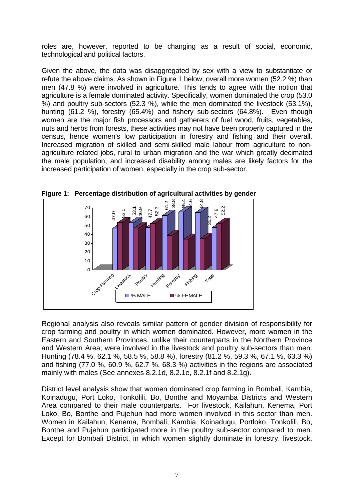roles are, however, reported to be changing as a result of social, economic, technological and political factors.

Given the above, the data was disaggregated by sex with a view to substantiate or refute the above claims. As shown in Figure 1 below, overall more women (52.2 %) than men (47.8 %) were involved in agriculture. This tends to agree with the notion that agriculture is a female dominated activity. Specifically, women dominated the crop (53.0 %) and poultry sub-sectors (52.3 %), while the men dominated the livestock (53.1%), hunting (61.2 %), forestry (65.4%) and fishery sub-sectors (64.8%). Even though women are the major fish processors and gatherers of fuel wood, fruits, vegetables, nuts and herbs from forests, these activities may not have been properly captured in the census, hence women's low participation in forestry and fishing and their overall. Increased migration of skilled and semi-skilled male labour from agriculture to nonagriculture related jobs, rural to urban migration and the war which greatly decimated the male population, and increased disability among males are likely factors for the increased participation of women, especially in the crop sub-sector.



**Figure 1: Percentage distribution of agricultural activities by gender** 

Regional analysis also reveals similar pattern of gender division of responsibility for crop farming and poultry in which women dominated. However, more women in the Eastern and Southern Provinces, unlike their counterparts in the Northern Province and Western Area, were involved in the livestock and poultry sub-sectors than men. Hunting (78.4 %, 62.1 %, 58.5 %, 58.8 %), forestry (81.2 %, 59.3 %, 67.1 %, 63.3 %) and fishing (77.0 %, 60.9 %, 62.7 %, 68.3 %) activities in the regions are associated mainly with males (See annexes 8.2.1d, 8.2.1e, 8.2.1f and 8.2.1g).

District level analysis show that women dominated crop farming in Bombali, Kambia, Koinadugu, Port Loko, Tonkolili, Bo, Bonthe and Moyamba Districts and Western Area compared to their male counterparts. For livestock, Kailahun, Kenema, Port Loko, Bo, Bonthe and Pujehun had more women involved in this sector than men. Women in Kailahun, Kenema, Bombali, Kambia, Koinadugu, Portloko, Tonkolili, Bo, Bonthe and Pujehun participated more in the poultry sub-sector compared to men. Except for Bombali District, in which women slightly dominate in forestry, livestock,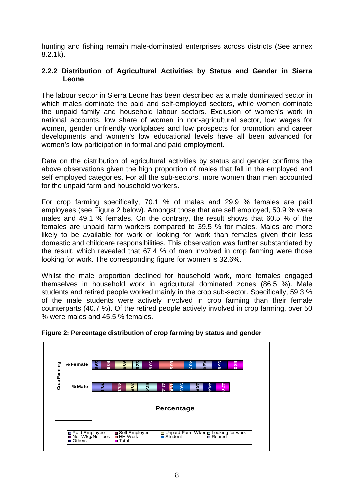hunting and fishing remain male-dominated enterprises across districts (See annex 8.2.1k).

#### **2.2.2 Distribution of Agricultural Activities by Status and Gender in Sierra Leone**

The labour sector in Sierra Leone has been described as a male dominated sector in which males dominate the paid and self-employed sectors, while women dominate the unpaid family and household labour sectors. Exclusion of women's work in national accounts, low share of women in non-agricultural sector, low wages for women, gender unfriendly workplaces and low prospects for promotion and career developments and women's low educational levels have all been advanced for women's low participation in formal and paid employment.

Data on the distribution of agricultural activities by status and gender confirms the above observations given the high proportion of males that fall in the employed and self employed categories. For all the sub-sectors, more women than men accounted for the unpaid farm and household workers.

For crop farming specifically, 70.1 % of males and 29.9 % females are paid employees (see Figure 2 below). Amongst those that are self employed, 50.9 % were males and 49.1 % females. On the contrary, the result shows that 60.5 % of the females are unpaid farm workers compared to 39.5 % for males. Males are more likely to be available for work or looking for work than females given their less domestic and childcare responsibilities. This observation was further substantiated by the result, which revealed that 67.4 % of men involved in crop farming were those looking for work. The corresponding figure for women is 32.6%.

Whilst the male proportion declined for household work, more females engaged themselves in household work in agricultural dominated zones (86.5 %). Male students and retired people worked mainly in the crop sub-sector. Specifically, 59.3 % of the male students were actively involved in crop farming than their female counterparts (40.7 %). Of the retired people actively involved in crop farming, over 50 % were males and 45.5 % females.



#### **Figure 2: Percentage distribution of crop farming by status and gender**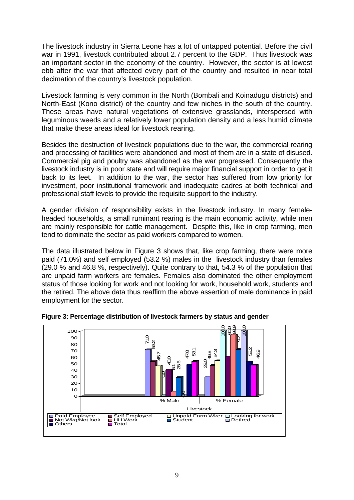The livestock industry in Sierra Leone has a lot of untapped potential. Before the civil war in 1991, livestock contributed about 2.7 percent to the GDP. Thus livestock was an important sector in the economy of the country. However, the sector is at lowest ebb after the war that affected every part of the country and resulted in near total decimation of the country's livestock population.

Livestock farming is very common in the North (Bombali and Koinadugu districts) and North-East (Kono district) of the country and few niches in the south of the country. These areas have natural vegetations of extensive grasslands, interspersed with leguminous weeds and a relatively lower population density and a less humid climate that make these areas ideal for livestock rearing.

Besides the destruction of livestock populations due to the war, the commercial rearing and processing of facilities were abandoned and most of them are in a state of disused. Commercial pig and poultry was abandoned as the war progressed. Consequently the livestock industry is in poor state and will require major financial support in order to get it back to its feet. In addition to the war, the sector has suffered from low priority for investment, poor institutional framework and inadequate cadres at both technical and professional staff levels to provide the requisite support to the industry.

A gender division of responsibility exists in the livestock industry. In many femaleheaded households, a small ruminant rearing is the main economic activity, while men are mainly responsible for cattle management. Despite this, like in crop farming, men tend to dominate the sector as paid workers compared to women.

The data illustrated below in Figure 3 shows that, like crop farming, there were more paid (71.0%) and self employed (53.2 %) males in the livestock industry than females (29.0 % and 46.8 %, respectively). Quite contrary to that, 54.3 % of the population that are unpaid farm workers are females. Females also dominated the other employment status of those looking for work and not looking for work, household work, students and the retired. The above data thus reaffirm the above assertion of male dominance in paid employment for the sector.



**Figure 3: Percentage distribution of livestock farmers by status and gender**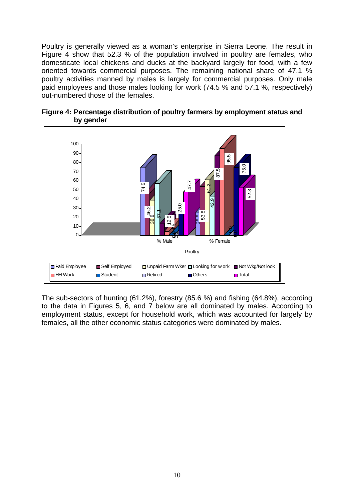Poultry is generally viewed as a woman's enterprise in Sierra Leone. The result in Figure 4 show that 52.3 % of the population involved in poultry are females, who domesticate local chickens and ducks at the backyard largely for food, with a few oriented towards commercial purposes. The remaining national share of 47.1 % poultry activities manned by males is largely for commercial purposes. Only male paid employees and those males looking for work (74.5 % and 57.1 %, respectively) out-numbered those of the females.





The sub-sectors of hunting (61.2%), forestry (85.6 %) and fishing (64.8%), according to the data in Figures 5, 6, and 7 below are all dominated by males. According to employment status, except for household work, which was accounted for largely by females, all the other economic status categories were dominated by males.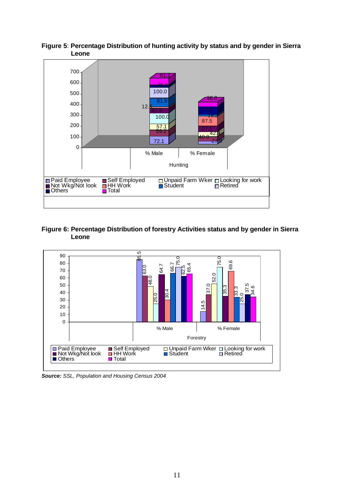

**Figure 5**: **Percentage Distribution of hunting activity by status and by gender in Sierra Leone**

#### **Figure 6: Percentage Distribution of forestry Activities status and by gender in Sierra Leone**



*Source: SSL, Population and Housing Census 2004*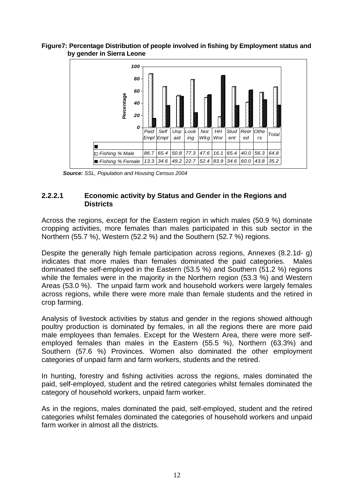#### **Figure7: Percentage Distribution of people involved in fishing by Employment status and by gender in Sierra Leone**



 *Source: SSL, Population and Housing Census 2004* 

#### **2.2.2.1 Economic activity by Status and Gender in the Regions and Districts**

Across the regions, except for the Eastern region in which males (50.9 %) dominate cropping activities, more females than males participated in this sub sector in the Northern (55.7 %), Western (52.2 %) and the Southern (52.7 %) regions.

Despite the generally high female participation across regions, Annexes (8.2.1d- g) indicates that more males than females dominated the paid categories. Males dominated the self-employed in the Eastern (53.5 %) and Southern (51.2 %) regions while the females were in the majority in the Northern region (53.3 %) and Western Areas (53.0 %). The unpaid farm work and household workers were largely females across regions, while there were more male than female students and the retired in crop farming.

Analysis of livestock activities by status and gender in the regions showed although poultry production is dominated by females, in all the regions there are more paid male employees than females. Except for the Western Area, there were more selfemployed females than males in the Eastern (55.5 %), Northern (63.3%) and Southern (57.6 %) Provinces. Women also dominated the other employment categories of unpaid farm and farm workers, students and the retired.

In hunting, forestry and fishing activities across the regions, males dominated the paid, self-employed, student and the retired categories whilst females dominated the category of household workers, unpaid farm worker.

As in the regions, males dominated the paid, self-employed, student and the retired categories whilst females dominated the categories of household workers and unpaid farm worker in almost all the districts.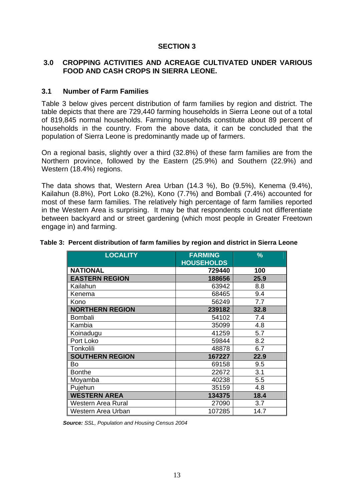#### **SECTION 3**

#### **3.0 CROPPING ACTIVITIES AND ACREAGE CULTIVATED UNDER VARIOUS FOOD AND CASH CROPS IN SIERRA LEONE.**

#### **3.1 Number of Farm Families**

Table 3 below gives percent distribution of farm families by region and district. The table depicts that there are 729,440 farming households in Sierra Leone out of a total of 819,845 normal households. Farming households constitute about 89 percent of households in the country. From the above data, it can be concluded that the population of Sierra Leone is predominantly made up of farmers.

On a regional basis, slightly over a third (32.8%) of these farm families are from the Northern province, followed by the Eastern (25.9%) and Southern (22.9%) and Western (18.4%) regions.

The data shows that, Western Area Urban (14.3 %), Bo (9.5%), Kenema (9.4%), Kailahun (8.8%), Port Loko (8.2%), Kono (7.7%) and Bombali (7.4%) accounted for most of these farm families. The relatively high percentage of farm families reported in the Western Area is surprising. It may be that respondents could not differentiate between backyard and or street gardening (which most people in Greater Freetown engage in) and farming.

| <b>LOCALITY</b>        | <b>FARMING</b>    | %    |  |  |
|------------------------|-------------------|------|--|--|
|                        | <b>HOUSEHOLDS</b> |      |  |  |
| <b>NATIONAL</b>        | 729440            | 100  |  |  |
| <b>EASTERN REGION</b>  | 188656            | 25.9 |  |  |
| Kailahun               | 63942             | 8.8  |  |  |
| Kenema                 | 68465             | 9.4  |  |  |
| Kono                   | 56249             | 7.7  |  |  |
| <b>NORTHERN REGION</b> | 239182            | 32.8 |  |  |
| Bombali                | 54102             | 7.4  |  |  |
| Kambia                 | 35099             | 4.8  |  |  |
| Koinadugu              | 41259             | 5.7  |  |  |
| Port Loko              | 59844             | 8.2  |  |  |
| Tonkolili              | 48878             | 6.7  |  |  |
| <b>SOUTHERN REGION</b> | 167227            | 22.9 |  |  |
| Bo                     | 69158             | 9.5  |  |  |
| <b>Bonthe</b>          | 22672             | 3.1  |  |  |
| Moyamba                | 40238             | 5.5  |  |  |
| Pujehun                | 35159             | 4.8  |  |  |
| <b>WESTERN AREA</b>    | 134375            | 18.4 |  |  |
| Western Area Rural     | 27090             | 3.7  |  |  |
| Western Area Urban     | 107285            | 14.7 |  |  |

#### **Table 3: Percent distribution of farm families by region and district in Sierra Leone**

*Source: SSL, Population and Housing Census 2004*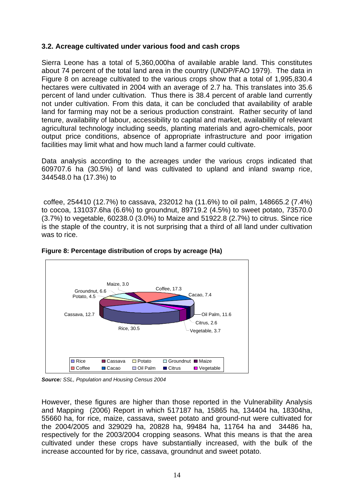#### **3.2. Acreage cultivated under various food and cash crops**

Sierra Leone has a total of 5,360,000ha of available arable land. This constitutes about 74 percent of the total land area in the country (UNDP/FAO 1979). The data in Figure 8 on acreage cultivated to the various crops show that a total of 1,995,830.4 hectares were cultivated in 2004 with an average of 2.7 ha. This translates into 35.6 percent of land under cultivation. Thus there is 38.4 percent of arable land currently not under cultivation. From this data, it can be concluded that availability of arable land for farming may not be a serious production constraint. Rather security of land tenure, availability of labour, accessibility to capital and market, availability of relevant agricultural technology including seeds, planting materials and agro-chemicals, poor output price conditions, absence of appropriate infrastructure and poor irrigation facilities may limit what and how much land a farmer could cultivate.

Data analysis according to the acreages under the various crops indicated that 609707.6 ha (30.5%) of land was cultivated to upland and inland swamp rice, 344548.0 ha (17.3%) to

 coffee, 254410 (12.7%) to cassava, 232012 ha (11.6%) to oil palm, 148665.2 (7.4%) to cocoa, 131037.6ha (6.6%) to groundnut, 89719.2 (4.5%) to sweet potato, 73570.0 (3.7%) to vegetable, 60238.0 (3.0%) to Maize and 51922.8 (2.7%) to citrus. Since rice is the staple of the country, it is not surprising that a third of all land under cultivation was to rice.



**Figure 8: Percentage distribution of crops by acreage (Ha)** 

*Source: SSL, Population and Housing Census 2004* 

However, these figures are higher than those reported in the Vulnerability Analysis and Mapping (2006) Report in which 517187 ha, 15865 ha, 134404 ha, 18304ha, 55660 ha, for rice, maize, cassava, sweet potato and ground-nut were cultivated for the 2004/2005 and 329029 ha, 20828 ha, 99484 ha, 11764 ha and 34486 ha, respectively for the 2003/2004 cropping seasons. What this means is that the area cultivated under these crops have substantially increased, with the bulk of the increase accounted for by rice, cassava, groundnut and sweet potato.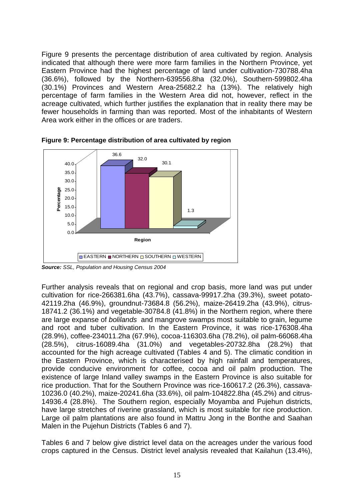Figure 9 presents the percentage distribution of area cultivated by region. Analysis indicated that although there were more farm families in the Northern Province, yet Eastern Province had the highest percentage of land under cultivation-730788.4ha (36.6%), followed by the Northern-639556.8ha (32.0%), Southern-599802.4ha (30.1%) Provinces and Western Area-25682.2 ha (13%). The relatively high percentage of farm families in the Western Area did not, however, reflect in the acreage cultivated, which further justifies the explanation that in reality there may be fewer households in farming than was reported. Most of the inhabitants of Western Area work either in the offices or are traders.



**Figure 9: Percentage distribution of area cultivated by region** 

Further analysis reveals that on regional and crop basis, more land was put under cultivation for rice-266381.6ha (43.7%), cassava-99917.2ha (39.3%), sweet potato-42119.2ha (46.9%), groundnut-73684.8 (56.2%), maize-26419.2ha (43.9%), citrus-18741.2 (36.1%) and vegetable-30784.8 (41.8%) in the Northern region, where there are large expanse of *bolilands* and mangrove swamps most suitable to grain, legume and root and tuber cultivation. In the Eastern Province, it was rice-176308.4ha (28.9%), coffee-234011.2ha (67.9%), cocoa-116303.6ha (78.2%), oil palm-66068.4ha (28.5%), citrus-16089.4ha (31.0%) and vegetables-20732.8ha (28.2%) that accounted for the high acreage cultivated (Tables 4 and 5). The climatic condition in the Eastern Province, which is characterised by high rainfall and temperatures, provide conducive environment for coffee, cocoa and oil palm production. The existence of large Inland valley swamps in the Eastern Province is also suitable for rice production. That for the Southern Province was rice-160617.2 (26.3%), cassava-10236.0 (40.2%), maize-20241.6ha (33.6%), oil palm-104822.8ha (45.2%) and citrus-14936.4 (28.8%). The Southern region, especially Moyamba and Pujehun districts, have large stretches of riverine grassland, which is most suitable for rice production. Large oil palm plantations are also found in Mattru Jong in the Bonthe and Saahan Malen in the Pujehun Districts (Tables 6 and 7).

Tables 6 and 7 below give district level data on the acreages under the various food crops captured in the Census. District level analysis revealed that Kailahun (13.4%),

*Source: SSL, Population and Housing Census 2004*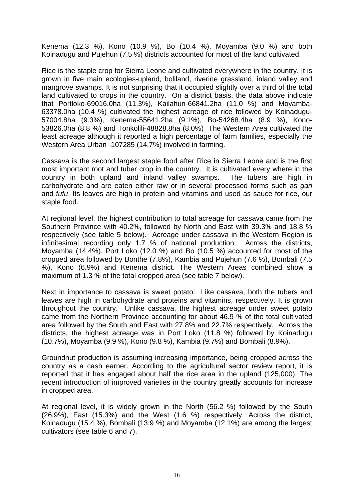Kenema (12.3 %), Kono (10.9 %), Bo (10.4 %), Moyamba (9.0 %) and both Koinadugu and Pujehun (7.5 %) districts accounted for most of the land cultivated.

Rice is the staple crop for Sierra Leone and cultivated everywhere in the country. It is grown in five main ecologies-upland, boliland, riverine grassland, inland valley and mangrove swamps. It is not surprising that it occupied slightly over a third of the total land cultivated to crops in the country. On a district basis, the data above indicate that Portloko-69016.0ha (11.3%), Kailahun-66841.2ha (11.0 %) and Moyamba-63378.0ha (10.4 %) cultivated the highest acreage of rice followed by Koinadugu-57004.8ha (9.3%), Kenema-55641.2ha (9.1%), Bo-54268.4ha (8.9 %), Kono-53826.0ha (8.8 %) and Tonkolili-48828.8ha (8.0%) The Western Area cultivated the least acreage although it reported a high percentage of farm families, especially the Western Area Urban -107285 (14.7%) involved in farming.

Cassava is the second largest staple food after Rice in Sierra Leone and is the first most important root and tuber crop in the country. It is cultivated every where in the country in both upland and inland valley swamps. The tubers are high in carbohydrate and are eaten either raw or in several processed forms such as *gari* and *fufu*. Its leaves are high in protein and vitamins and used as sauce for rice, our staple food.

At regional level, the highest contribution to total acreage for cassava came from the Southern Province with 40.2%, followed by North and East with 39.3% and 18.8 % respectively (see table 5 below). Acreage under cassava in the Western Region is infinitesimal recording only 1.7 % of national production. Across the districts, Moyamba (14.4%), Port Loko (12.0 %) and Bo (10.5 %) accounted for most of the cropped area followed by Bonthe (7.8%), Kambia and Pujehun (7.6 %), Bombali (7.5 %), Kono (6.9%) and Kenema district. The Western Areas combined show a maximum of 1.3 % of the total cropped area (see table 7 below).

Next in importance to cassava is sweet potato. Like cassava, both the tubers and leaves are high in carbohydrate and proteins and vitamins, respectively. It is grown throughout the country. Unlike cassava, the highest acreage under sweet potato came from the Northern Province accounting for about 46.9 % of the total cultivated area followed by the South and East with 27.8% and 22.7% respectively. Across the districts, the highest acreage was in Port Loko (11.8 %) followed by Koinadugu (10.7%), Moyamba (9.9 %), Kono (9.8 %), Kambia (9.7%) and Bombali (8.9%).

Groundnut production is assuming increasing importance, being cropped across the country as a cash earner. According to the agricultural sector review report, it is reported that it has engaged about half the rice area in the upland (125,000). The recent introduction of improved varieties in the country greatly accounts for increase in cropped area.

At regional level, it is widely grown in the North (56.2 %) followed by the South (26.9%), East (15.3%) and the West (1.6 %) respectively. Across the district, Koinadugu (15.4 %), Bombali (13.9 %) and Moyamba (12.1%) are among the largest cultivators (see table 6 and 7).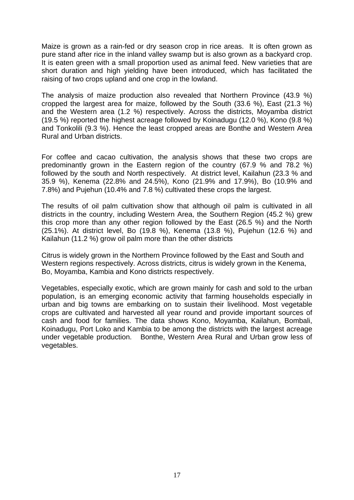Maize is grown as a rain-fed or dry season crop in rice areas. It is often grown as pure stand after rice in the inland valley swamp but is also grown as a backyard crop. It is eaten green with a small proportion used as animal feed. New varieties that are short duration and high yielding have been introduced, which has facilitated the raising of two crops upland and one crop in the lowland.

The analysis of maize production also revealed that Northern Province (43.9 %) cropped the largest area for maize, followed by the South (33.6 %), East (21.3 %) and the Western area (1.2 %) respectively. Across the districts, Moyamba district (19.5 %) reported the highest acreage followed by Koinadugu (12.0 %), Kono (9.8 %) and Tonkolili (9.3 %). Hence the least cropped areas are Bonthe and Western Area Rural and Urban districts.

For coffee and cacao cultivation, the analysis shows that these two crops are predominantly grown in the Eastern region of the country (67.9 % and 78.2 %) followed by the south and North respectively. At district level, Kailahun (23.3 % and 35.9 %), Kenema (22.8% and 24.5%), Kono (21.9% and 17.9%), Bo (10.9% and 7.8%) and Pujehun (10.4% and 7.8 %) cultivated these crops the largest.

The results of oil palm cultivation show that although oil palm is cultivated in all districts in the country, including Western Area, the Southern Region (45.2 %) grew this crop more than any other region followed by the East (26.5 %) and the North (25.1%). At district level, Bo (19.8 %), Kenema (13.8 %), Pujehun (12.6 %) and Kailahun (11.2 %) grow oil palm more than the other districts

Citrus is widely grown in the Northern Province followed by the East and South and Western regions respectively. Across districts, citrus is widely grown in the Kenema, Bo, Moyamba, Kambia and Kono districts respectively.

Vegetables, especially exotic, which are grown mainly for cash and sold to the urban population, is an emerging economic activity that farming households especially in urban and big towns are embarking on to sustain their livelihood. Most vegetable crops are cultivated and harvested all year round and provide important sources of cash and food for families. The data shows Kono, Moyamba, Kailahun, Bombali, Koinadugu, Port Loko and Kambia to be among the districts with the largest acreage under vegetable production. Bonthe, Western Area Rural and Urban grow less of vegetables.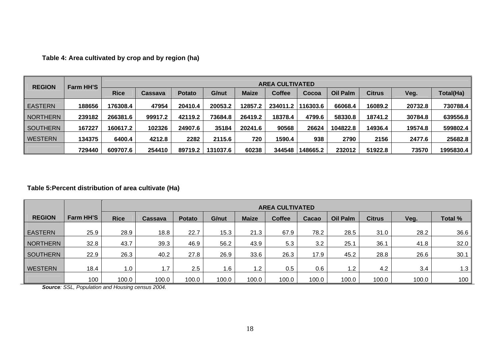| <b>REGION</b>   |        | <b>AREA CULTIVATED</b><br><b>Farm HH'S</b> |         |               |          |              |               |          |                 |               |         |           |
|-----------------|--------|--------------------------------------------|---------|---------------|----------|--------------|---------------|----------|-----------------|---------------|---------|-----------|
|                 |        | <b>Rice</b>                                | Cassava | <b>Potato</b> | G/nut    | <b>Maize</b> | <b>Coffee</b> | Cocoa    | <b>Oil Palm</b> | <b>Citrus</b> | Veg.    | Total(Ha) |
| <b>EASTERN</b>  | 188656 | 176308.4                                   | 47954   | 20410.4       | 20053.2  | 12857.2      | 234011.2      | 116303.6 | 66068.4         | 16089.2       | 20732.8 | 730788.4  |
| <b>NORTHERN</b> | 239182 | 266381.6                                   | 99917.2 | 42119.2       | 73684.8  | 26419.2      | 18378.4       | 4799.6   | 58330.8         | 18741.2       | 30784.8 | 639556.8  |
| <b>SOUTHERN</b> | 167227 | 160617.2                                   | 102326  | 24907.6       | 35184    | 20241.6      | 90568         | 26624    | 104822.8        | 14936.4       | 19574.8 | 599802.4  |
| <b>WESTERN</b>  | 134375 | 6400.4                                     | 4212.8  | 2282          | 2115.6   | 720          | 1590.4        | 938      | 2790            | 2156          | 2477.6  | 25682.8   |
|                 | 729440 | 609707.6                                   | 254410  | 89719.2       | 131037.6 | 60238        | 344548        | 148665.2 | 232012          | 51922.8       | 73570   | 1995830.4 |

**Table 4: Area cultivated by crop and by region (ha)** 

#### **Table 5:Percent distribution of area cultivate (Ha)**

|                 |           |             | <b>AREA CULTIVATED</b> |               |       |              |               |       |          |               |       |                |  |  |
|-----------------|-----------|-------------|------------------------|---------------|-------|--------------|---------------|-------|----------|---------------|-------|----------------|--|--|
| <b>REGION</b>   | Farm HH'S | <b>Rice</b> | Cassava                | <b>Potato</b> | G/nut | <b>Maize</b> | <b>Coffee</b> | Cacao | Oil Palm | <b>Citrus</b> | Veg.  | <b>Total %</b> |  |  |
| <b>EASTERN</b>  | 25.9      | 28.9        | 18.8                   | 22.7          | 15.3  | 21.3         | 67.9          | 78.2  | 28.5     | 31.0          | 28.2  | 36.6           |  |  |
| <b>NORTHERN</b> | 32.8      | 43.7        | 39.3                   | 46.9          | 56.2  | 43.9         | 5.3           | 3.2   | 25.1     | 36.1          | 41.8  | 32.0           |  |  |
| <b>SOUTHERN</b> | 22.9      | 26.3        | 40.2                   | 27.8          | 26.9  | 33.6         | 26.3          | 17.9  | 45.2     | 28.8          | 26.6  | 30.1           |  |  |
| <b>WESTERN</b>  | 18.4      | 1.0         | . 7                    | 2.5           | 1.6   | 1.2          | 0.5           | 0.6   | 1.2      | 4.2           | 3.4   | 1.3            |  |  |
|                 | 100       | 100.0       | 100.0                  | 0.001         | 100.0 | 100.0        | 100.0         | 100.0 | 100.0    | 100.0         | 100.0 | 100            |  |  |

*Source: SSL, Population and Housing census 2004.*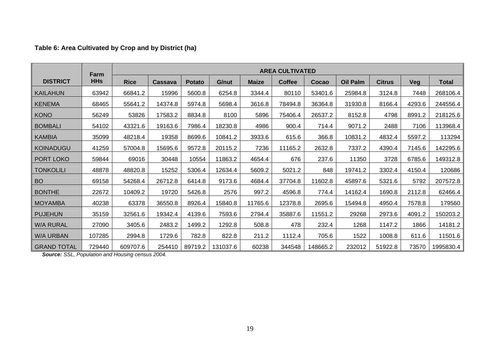#### **Table 6: Area Cultivated by Crop and by District (ha)**

|                    | Farm       | <b>AREA CULTIVATED</b> |                |               |          |              |               |          |                 |               |        |              |
|--------------------|------------|------------------------|----------------|---------------|----------|--------------|---------------|----------|-----------------|---------------|--------|--------------|
| <b>DISTRICT</b>    | <b>HHs</b> | <b>Rice</b>            | <b>Cassava</b> | <b>Potato</b> | G/nut    | <b>Maize</b> | <b>Coffee</b> | Cocao    | <b>Oil Palm</b> | <b>Citrus</b> | Veg    | <b>Total</b> |
| <b>KAILAHUN</b>    | 63942      | 66841.2                | 15996          | 5600.8        | 6254.8   | 3344.4       | 80110         | 53401.6  | 25984.8         | 3124.8        | 7448   | 268106.4     |
| <b>KENEMA</b>      | 68465      | 55641.2                | 14374.8        | 5974.8        | 5698.4   | 3616.8       | 78494.8       | 36364.8  | 31930.8         | 8166.4        | 4293.6 | 244556.4     |
| <b>KONO</b>        | 56249      | 53826                  | 17583.2        | 8834.8        | 8100     | 5896         | 75406.4       | 26537.2  | 8152.8          | 4798          | 8991.2 | 218125.6     |
| <b>BOMBALI</b>     | 54102      | 43321.6                | 19163.6        | 7986.4        | 18230.8  | 4986         | 900.4         | 714.4    | 9071.2          | 2488          | 7106   | 113968.4     |
| <b>KAMBIA</b>      | 35099      | 48218.4                | 19358          | 8699.6        | 10841.2  | 3933.6       | 615.6         | 366.8    | 10831.2         | 4832.4        | 5597.2 | 113294       |
| <b>KOINADUGU</b>   | 41259      | 57004.8                | 15695.6        | 9572.8        | 20115.2  | 7236         | 11165.2       | 2632.8   | 7337.2          | 4390.4        | 7145.6 | 142295.6     |
| PORT LOKO          | 59844      | 69016                  | 30448          | 10554         | 11863.2  | 4654.4       | 676           | 237.6    | 11350           | 3728          | 6785.6 | 149312.8     |
| <b>TONKOLILI</b>   | 48878      | 48820.8                | 15252          | 5306.4        | 12634.4  | 5609.2       | 5021.2        | 848      | 19741.2         | 3302.4        | 4150.4 | 120686       |
| <b>BO</b>          | 69158      | 54268.4                | 26712.8        | 6414.8        | 9173.6   | 4684.4       | 37704.8       | 11602.8  | 45897.6         | 5321.6        | 5792   | 207572.8     |
| <b>BONTHE</b>      | 22672      | 10409.2                | 19720          | 5426.8        | 2576     | 997.2        | 4596.8        | 774.4    | 14162.4         | 1690.8        | 2112.8 | 62466.4      |
| <b>MOYAMBA</b>     | 40238      | 63378                  | 36550.8        | 8926.4        | 15840.8  | 11765.6      | 12378.8       | 2695.6   | 15494.8         | 4950.4        | 7578.8 | 179560       |
| <b>PUJEHUN</b>     | 35159      | 32561.6                | 19342.4        | 4139.6        | 7593.6   | 2794.4       | 35887.6       | 11551.2  | 29268           | 2973.6        | 4091.2 | 150203.2     |
| W/A RURAL          | 27090      | 3405.6                 | 2483.2         | 1499.2        | 1292.8   | 508.8        | 478           | 232.4    | 1268            | 1147.2        | 1866   | 14181.2      |
| <b>W/A URBAN</b>   | 107285     | 2994.8                 | 1729.6         | 782.8         | 822.8    | 211.2        | 1112.4        | 705.6    | 1522            | 1008.8        | 611.6  | 11501.6      |
| <b>GRAND TOTAL</b> | 729440     | 609707.6               | 254410         | 89719.2       | 131037.6 | 60238        | 344548        | 148665.2 | 232012          | 51922.8       | 73570  | 1995830.4    |

*Source: SSL, Population and Housing census 2004.*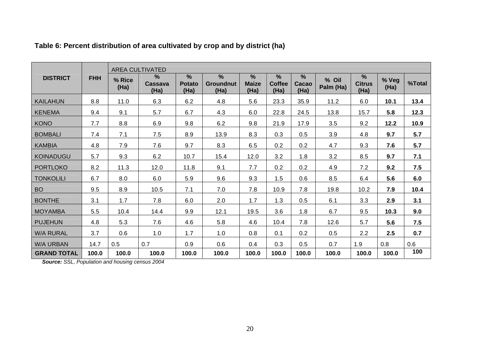|                    |            |                | <b>AREA CULTIVATED</b>           |                                        |                                           |                                       |                            |                                |                    |                            |               |        |
|--------------------|------------|----------------|----------------------------------|----------------------------------------|-------------------------------------------|---------------------------------------|----------------------------|--------------------------------|--------------------|----------------------------|---------------|--------|
| <b>DISTRICT</b>    | <b>FHH</b> | % Rice<br>(Ha) | $\frac{9}{6}$<br>Cassava<br>(Ha) | $\frac{9}{6}$<br><b>Potato</b><br>(Ha) | $\frac{9}{6}$<br><b>Groundnut</b><br>(Ha) | $\frac{9}{6}$<br><b>Maize</b><br>(Ha) | %<br><b>Coffee</b><br>(Ha) | $\frac{9}{6}$<br>Cacao<br>(Ha) | % Oil<br>Palm (Ha) | %<br><b>Citrus</b><br>(Ha) | % Veg<br>(Ha) | %Total |
| <b>KAILAHUN</b>    | 8.8        | 11.0           | 6.3                              | 6.2                                    | 4.8                                       | 5.6                                   | 23.3                       | 35.9                           | 11.2               | 6.0                        | 10.1          | 13.4   |
| <b>KENEMA</b>      | 9.4        | 9.1            | 5.7                              | 6.7                                    | 4.3                                       | 6.0                                   | 22.8                       | 24.5                           | 13.8               | 15.7                       | 5.8           | 12.3   |
| <b>KONO</b>        | 7.7        | 8.8            | 6.9                              | 9.8                                    | 6.2                                       | 9.8                                   | 21.9                       | 17.9                           | 3.5                | 9.2                        | 12.2          | 10.9   |
| <b>BOMBALI</b>     | 7.4        | 7.1            | 7.5                              | 8.9                                    | 13.9                                      | 8.3                                   | 0.3                        | 0.5                            | 3.9                | 4.8                        | 9.7           | 5.7    |
| <b>KAMBIA</b>      | 4.8        | 7.9            | 7.6                              | 9.7                                    | 8.3                                       | 6.5                                   | 0.2                        | 0.2                            | 4.7                | 9.3                        | 7.6           | 5.7    |
| <b>KOINADUGU</b>   | 5.7        | 9.3            | 6.2                              | 10.7                                   | 15.4                                      | 12.0                                  | 3.2                        | 1.8                            | 3.2                | 8.5                        | 9.7           | 7.1    |
| <b>PORTLOKO</b>    | 8.2        | 11.3           | 12.0                             | 11.8                                   | 9.1                                       | 7.7                                   | 0.2                        | 0.2                            | 4.9                | 7.2                        | 9.2           | 7.5    |
| <b>TONKOLILI</b>   | 6.7        | 8.0            | 6.0                              | 5.9                                    | 9.6                                       | 9.3                                   | 1.5                        | 0.6                            | 8.5                | 6.4                        | 5.6           | 6.0    |
| <b>BO</b>          | 9.5        | 8.9            | 10.5                             | 7.1                                    | 7.0                                       | 7.8                                   | 10.9                       | 7.8                            | 19.8               | 10.2                       | 7.9           | 10.4   |
| <b>BONTHE</b>      | 3.1        | 1.7            | 7.8                              | 6.0                                    | 2.0                                       | 1.7                                   | 1.3                        | 0.5                            | 6.1                | 3.3                        | 2.9           | 3.1    |
| <b>MOYAMBA</b>     | 5.5        | 10.4           | 14.4                             | 9.9                                    | 12.1                                      | 19.5                                  | 3.6                        | 1.8                            | 6.7                | 9.5                        | 10.3          | 9.0    |
| <b>PUJEHUN</b>     | 4.8        | 5.3            | 7.6                              | 4.6                                    | 5.8                                       | 4.6                                   | 10.4                       | 7.8                            | 12.6               | 5.7                        | 5.6           | 7.5    |
| <b>W/A RURAL</b>   | 3.7        | 0.6            | 1.0                              | 1.7                                    | 1.0                                       | 0.8                                   | 0.1                        | 0.2                            | 0.5                | 2.2                        | 2.5           | 0.7    |
| <b>W/A URBAN</b>   | 14.7       | 0.5            | 0.7                              | 0.9                                    | 0.6                                       | 0.4                                   | 0.3                        | 0.5                            | 0.7                | 1.9                        | 0.8           | 0.6    |
| <b>GRAND TOTAL</b> | 100.0      | 100.0          | 100.0                            | 100.0                                  | 100.0                                     | 100.0                                 | 100.0                      | 100.0                          | 100.0              | 100.0                      | 100.0         | 100    |

#### **Table 6: Percent distribution of area cultivated by crop and by district (ha)**

*Source: SSL, Population and housing census 2004*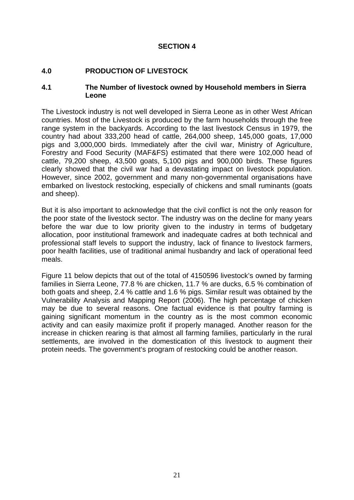#### **SECTION 4**

#### **4.0 PRODUCTION OF LIVESTOCK**

#### **4.1 The Number of livestock owned by Household members in Sierra Leone**

The Livestock industry is not well developed in Sierra Leone as in other West African countries. Most of the Livestock is produced by the farm households through the free range system in the backyards. According to the last livestock Census in 1979, the country had about 333,200 head of cattle, 264,000 sheep, 145,000 goats, 17,000 pigs and 3,000,000 birds. Immediately after the civil war, Ministry of Agriculture, Forestry and Food Security (MAF&FS) estimated that there were 102,000 head of cattle, 79,200 sheep, 43,500 goats, 5,100 pigs and 900,000 birds. These figures clearly showed that the civil war had a devastating impact on livestock population. However, since 2002, government and many non-governmental organisations have embarked on livestock restocking, especially of chickens and small ruminants (goats and sheep).

But it is also important to acknowledge that the civil conflict is not the only reason for the poor state of the livestock sector. The industry was on the decline for many years before the war due to low priority given to the industry in terms of budgetary allocation, poor institutional framework and inadequate cadres at both technical and professional staff levels to support the industry, lack of finance to livestock farmers, poor health facilities, use of traditional animal husbandry and lack of operational feed meals.

Figure 11 below depicts that out of the total of 4150596 livestock's owned by farming families in Sierra Leone, 77.8 % are chicken, 11.7 % are ducks, 6.5 % combination of both goats and sheep, 2.4 % cattle and 1.6 % pigs. Similar result was obtained by the Vulnerability Analysis and Mapping Report (2006). The high percentage of chicken may be due to several reasons. One factual evidence is that poultry farming is gaining significant momentum in the country as is the most common economic activity and can easily maximize profit if properly managed. Another reason for the increase in chicken rearing is that almost all farming families, particularly in the rural settlements, are involved in the domestication of this livestock to augment their protein needs. The government's program of restocking could be another reason.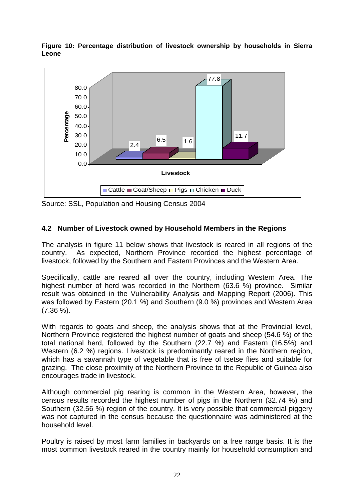

**Figure 10: Percentage distribution of livestock ownership by households in Sierra Leone** 

Source: SSL, Population and Housing Census 2004

#### **4.2 Number of Livestock owned by Household Members in the Regions**

The analysis in figure 11 below shows that livestock is reared in all regions of the country. As expected, Northern Province recorded the highest percentage of livestock, followed by the Southern and Eastern Provinces and the Western Area.

Specifically, cattle are reared all over the country, including Western Area. The highest number of herd was recorded in the Northern (63.6 %) province. Similar result was obtained in the Vulnerability Analysis and Mapping Report (2006). This was followed by Eastern (20.1 %) and Southern (9.0 %) provinces and Western Area (7.36 %).

With regards to goats and sheep, the analysis shows that at the Provincial level, Northern Province registered the highest number of goats and sheep (54.6 %) of the total national herd, followed by the Southern (22.7 %) and Eastern (16.5%) and Western (6.2 %) regions. Livestock is predominantly reared in the Northern region, which has a savannah type of vegetable that is free of tsetse flies and suitable for grazing. The close proximity of the Northern Province to the Republic of Guinea also encourages trade in livestock.

Although commercial pig rearing is common in the Western Area, however, the census results recorded the highest number of pigs in the Northern (32.74 %) and Southern (32.56 %) region of the country. It is very possible that commercial piggery was not captured in the census because the questionnaire was administered at the household level.

Poultry is raised by most farm families in backyards on a free range basis. It is the most common livestock reared in the country mainly for household consumption and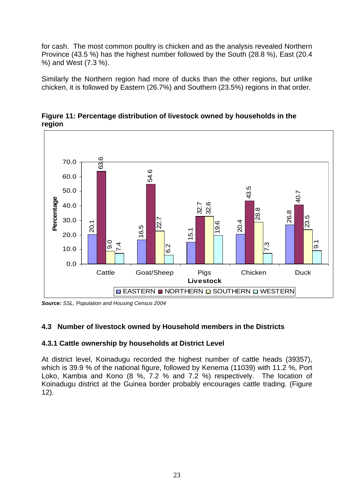for cash. The most common poultry is chicken and as the analysis revealed Northern Province (43.5 %) has the highest number followed by the South (28.8 %), East (20.4 %) and West (7.3 %).

Similarly the Northern region had more of ducks than the other regions, but unlike chicken, it is followed by Eastern (26.7%) and Southern (23.5%) regions in that order.



**Figure 11: Percentage distribution of livestock owned by households in the region** 

*Source: SSL, Population and Housing Census 2004* 

#### **4.3 Number of livestock owned by Household members in the Districts**

#### **4.3.1 Cattle ownership by households at District Level**

At district level, Koinadugu recorded the highest number of cattle heads (39357), which is 39.9 % of the national figure, followed by Kenema (11039) with 11.2 %. Port Loko, Kambia and Kono (8 %, 7.2 % and 7.2 %) respectively. The location of Koinadugu district at the Guinea border probably encourages cattle trading. (Figure 12).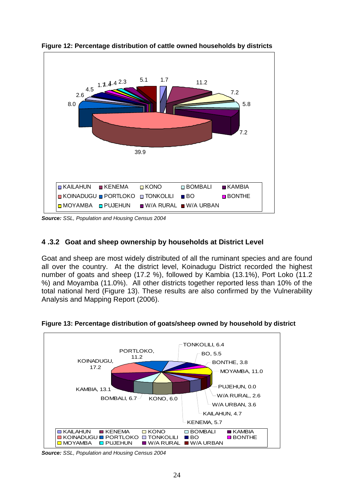

**Figure 12: Percentage distribution of cattle owned households by districts** 

*Source: SSL, Population and Housing Census 2004* 

#### **4 .3.2 Goat and sheep ownership by households at District Level**

Goat and sheep are most widely distributed of all the ruminant species and are found all over the country. At the district level, Koinadugu District recorded the highest number of goats and sheep (17.2 %), followed by Kambia (13.1%), Port Loko (11.2 %) and Moyamba (11.0%). All other districts together reported less than 10% of the total national herd (Figure 13). These results are also confirmed by the Vulnerability Analysis and Mapping Report (2006).



**Figure 13: Percentage distribution of goats/sheep owned by household by district** 

*Source: SSL, Population and Housing Census 2004*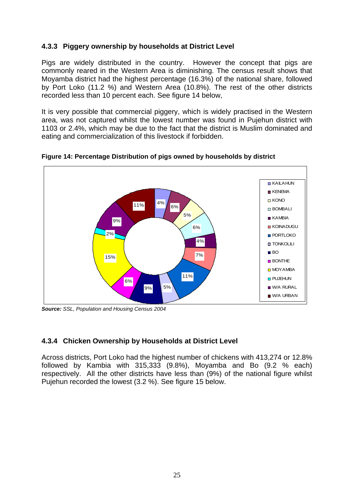## **4.3.3 Piggery ownership by households at District Level**

Pigs are widely distributed in the country. However the concept that pigs are commonly reared in the Western Area is diminishing. The census result shows that Moyamba district had the highest percentage (16.3%) of the national share, followed by Port Loko (11.2 %) and Western Area (10.8%). The rest of the other districts recorded less than 10 percent each. See figure 14 below,

It is very possible that commercial piggery, which is widely practised in the Western area, was not captured whilst the lowest number was found in Pujehun district with 1103 or 2.4%, which may be due to the fact that the district is Muslim dominated and eating and commercialization of this livestock if forbidden.



**Figure 14: Percentage Distribution of pigs owned by households by district** 

*Source: SSL, Population and Housing Census 2004* 

## **4.3.4 Chicken Ownership by Households at District Level**

Across districts, Port Loko had the highest number of chickens with 413,274 or 12.8% followed by Kambia with 315,333 (9.8%), Moyamba and Bo (9.2 % each) respectively. All the other districts have less than (9%) of the national figure whilst Pujehun recorded the lowest (3.2 %). See figure 15 below.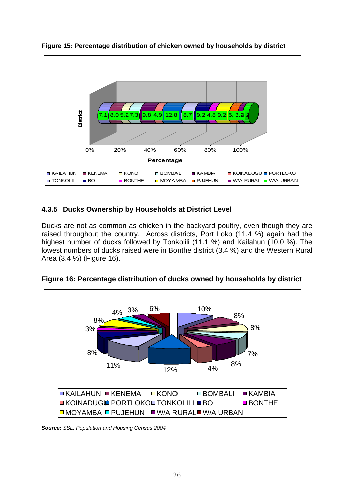

**Figure 15: Percentage distribution of chicken owned by households by district** 

# **4.3.5 Ducks Ownership by Households at District Level**

Ducks are not as common as chicken in the backyard poultry, even though they are raised throughout the country. Across districts, Port Loko (11.4 %) again had the highest number of ducks followed by Tonkolili (11.1 %) and Kailahun (10.0 %). The lowest numbers of ducks raised were in Bonthe district (3.4 %) and the Western Rural Area (3.4 %) (Figure 16).



**Figure 16: Percentage distribution of ducks owned by households by district** 

*Source: SSL, Population and Housing Census 2004*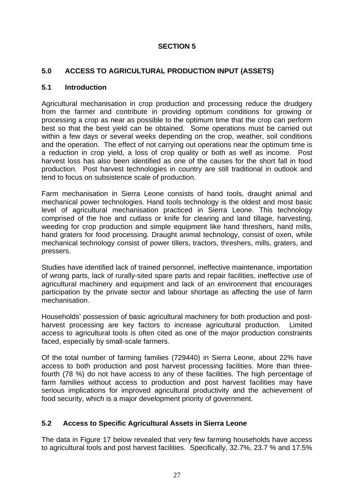## **SECTION 5**

## **5.0 ACCESS TO AGRICULTURAL PRODUCTION INPUT (ASSETS)**

#### **5.1 Introduction**

Agricultural mechanisation in crop production and processing reduce the drudgery from the farmer and contribute in providing optimum conditions for growing or processing a crop as near as possible to the optimum time that the crop can perform best so that the best yield can be obtained. Some operations must be carried out within a few days or several weeks depending on the crop, weather, soil conditions and the operation. The effect of not carrying out operations near the optimum time is a reduction in crop yield, a loss of crop quality or both as well as income. Post harvest loss has also been identified as one of the causes for the short fall in food production. Post harvest technologies in country are still traditional in outlook and tend to focus on subsistence scale of production.

Farm mechanisation in Sierra Leone consists of hand tools, draught animal and mechanical power technologies. Hand tools technology is the oldest and most basic level of agricultural mechanisation practiced in Sierra Leone. This technology comprised of the hoe and cutlass or knife for clearing and land tillage, harvesting, weeding for crop production and simple equipment like hand threshers, hand mills, hand graters for food processing. Draught animal technology, consist of oxen, while mechanical technology consist of power tillers, tractors, threshers, mills, graters, and pressers.

Studies have identified lack of trained personnel, ineffective maintenance, importation of wrong parts, lack of rurally-sited spare parts and repair facilities, ineffective use of agricultural machinery and equipment and lack of an environment that encourages participation by the private sector and labour shortage as affecting the use of farm mechanisation.

Households' possession of basic agricultural machinery for both production and postharvest processing are key factors to increase agricultural production. Limited access to agricultural tools is often cited as one of the major production constraints faced, especially by small-scale farmers.

Of the total number of farming families (729440) in Sierra Leone, about 22% have access to both production and post harvest processing facilities. More than threefourth (78 %) do not have access to any of these facilities. The high percentage of farm families without access to production and post harvest facilities may have serious implications for improved agricultural productivity and the achievement of food security, which is a major development priority of government.

## **5.2 Access to Specific Agricultural Assets in Sierra Leone**

The data in Figure 17 below revealed that very few farming households have access to agricultural tools and post harvest facilities. Specifically, 32.7%, 23.7 % and 17.5%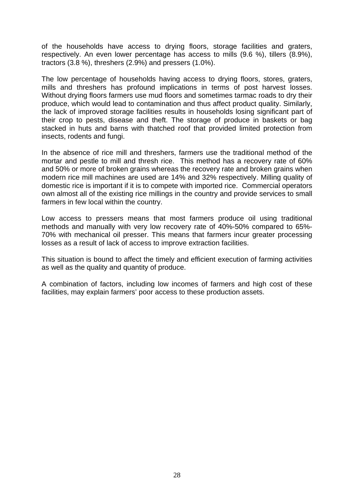of the households have access to drying floors, storage facilities and graters, respectively. An even lower percentage has access to mills (9.6 %), tillers (8.9%), tractors (3.8 %), threshers (2.9%) and pressers (1.0%).

The low percentage of households having access to drying floors, stores, graters, mills and threshers has profound implications in terms of post harvest losses. Without drying floors farmers use mud floors and sometimes tarmac roads to dry their produce, which would lead to contamination and thus affect product quality. Similarly, the lack of improved storage facilities results in households losing significant part of their crop to pests, disease and theft. The storage of produce in baskets or bag stacked in huts and barns with thatched roof that provided limited protection from insects, rodents and fungi.

In the absence of rice mill and threshers, farmers use the traditional method of the mortar and pestle to mill and thresh rice. This method has a recovery rate of 60% and 50% or more of broken grains whereas the recovery rate and broken grains when modern rice mill machines are used are 14% and 32% respectively. Milling quality of domestic rice is important if it is to compete with imported rice. Commercial operators own almost all of the existing rice millings in the country and provide services to small farmers in few local within the country.

Low access to pressers means that most farmers produce oil using traditional methods and manually with very low recovery rate of 40%-50% compared to 65%- 70% with mechanical oil presser. This means that farmers incur greater processing losses as a result of lack of access to improve extraction facilities.

This situation is bound to affect the timely and efficient execution of farming activities as well as the quality and quantity of produce.

A combination of factors, including low incomes of farmers and high cost of these facilities, may explain farmers' poor access to these production assets.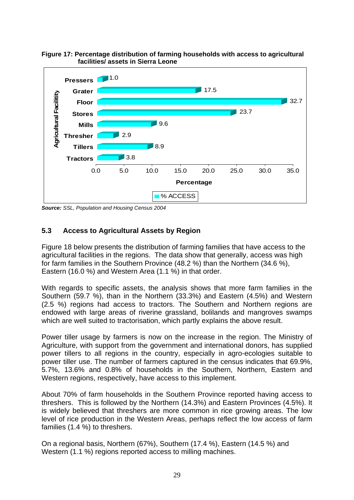

**Percentage**

#### **Figure 17: Percentage distribution of farming households with access to agricultural facilities/ assets in Sierra Leone**

*Source: SSL, Population and Housing Census 2004* 

## **5.3 Access to Agricultural Assets by Region**

Figure 18 below presents the distribution of farming families that have access to the agricultural facilities in the regions. The data show that generally, access was high for farm families in the Southern Province (48.2 %) than the Northern (34.6 %), Eastern (16.0 %) and Western Area (1.1 %) in that order.

% ACCESS

With regards to specific assets, the analysis shows that more farm families in the Southern (59.7 %), than in the Northern (33.3%) and Eastern (4.5%) and Western (2.5 %) regions had access to tractors. The Southern and Northern regions are endowed with large areas of riverine grassland, bolilands and mangroves swamps which are well suited to tractorisation, which partly explains the above result.

Power tiller usage by farmers is now on the increase in the region. The Ministry of Agriculture, with support from the government and international donors, has supplied power tillers to all regions in the country, especially in agro-ecologies suitable to power tiller use. The number of farmers captured in the census indicates that 69.9%, 5.7%, 13.6% and 0.8% of households in the Southern, Northern, Eastern and Western regions, respectively, have access to this implement.

About 70% of farm households in the Southern Province reported having access to threshers. This is followed by the Northern (14.3%) and Eastern Provinces (4.5%). It is widely believed that threshers are more common in rice growing areas. The low level of rice production in the Western Areas, perhaps reflect the low access of farm families (1.4 %) to threshers.

On a regional basis, Northern (67%), Southern (17.4 %), Eastern (14.5 %) and Western (1.1 %) regions reported access to milling machines.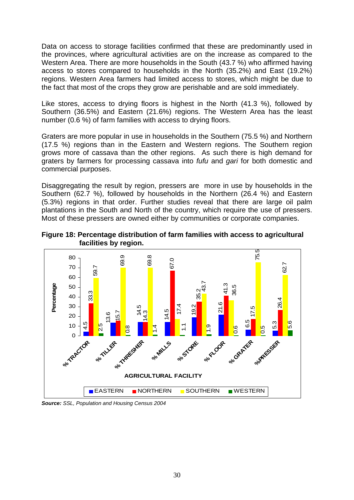Data on access to storage facilities confirmed that these are predominantly used in the provinces, where agricultural activities are on the increase as compared to the Western Area. There are more households in the South (43.7 %) who affirmed having access to stores compared to households in the North (35.2%) and East (19.2%) regions. Western Area farmers had limited access to stores, which might be due to the fact that most of the crops they grow are perishable and are sold immediately.

Like stores, access to drying floors is highest in the North (41.3 %), followed by Southern (36.5%) and Eastern (21.6%) regions. The Western Area has the least number (0.6 %) of farm families with access to drying floors.

Graters are more popular in use in households in the Southern (75.5 %) and Northern (17.5 %) regions than in the Eastern and Western regions. The Southern region grows more of cassava than the other regions. As such there is high demand for graters by farmers for processing cassava into *fufu* and *gari* for both domestic and commercial purposes.

Disaggregating the result by region, pressers are more in use by households in the Southern (62.7 %), followed by households in the Northern (26.4 %) and Eastern (5.3%) regions in that order. Further studies reveal that there are large oil palm plantations in the South and North of the country, which require the use of pressers. Most of these pressers are owned either by communities or corporate companies.

**Figure 18: Percentage distribution of farm families with access to agricultural facilities by region.**



*Source: SSL, Population and Housing Census 2004*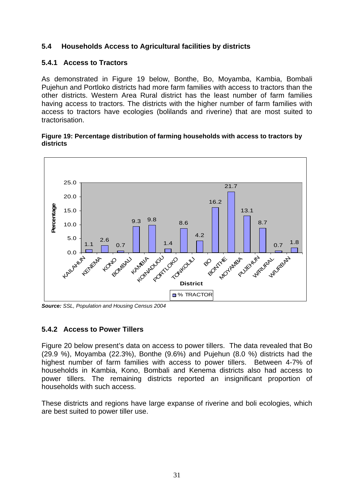## **5.4 Households Access to Agricultural facilities by districts**

### **5.4.1 Access to Tractors**

As demonstrated in Figure 19 below, Bonthe, Bo, Moyamba, Kambia, Bombali Pujehun and Portloko districts had more farm families with access to tractors than the other districts. Western Area Rural district has the least number of farm families having access to tractors. The districts with the higher number of farm families with access to tractors have ecologies (bolilands and riverine) that are most suited to tractorisation.

#### **Figure 19: Percentage distribution of farming households with access to tractors by districts**



*Source: SSL, Population and Housing Census 2004* 

#### **5.4.2 Access to Power Tillers**

Figure 20 below present's data on access to power tillers. The data revealed that Bo (29.9 %), Moyamba (22.3%), Bonthe (9.6%) and Pujehun (8.0 %) districts had the highest number of farm families with access to power tillers. Between 4-7% of households in Kambia, Kono, Bombali and Kenema districts also had access to power tillers. The remaining districts reported an insignificant proportion of households with such access.

These districts and regions have large expanse of riverine and boli ecologies, which are best suited to power tiller use.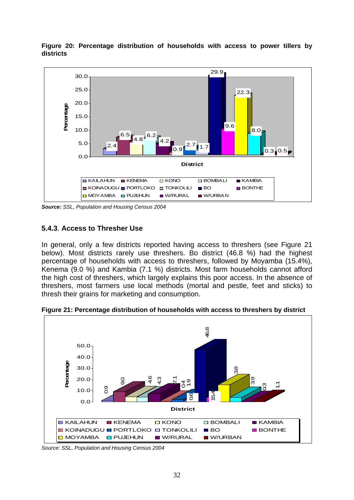

**Figure 20: Percentage distribution of households with access to power tillers by districts** 

*Source: SSL, Population and Housing Census 2004* 

#### **5.4.3**. **Access to Thresher Use**

In general, only a few districts reported having access to threshers (see Figure 21 below). Most districts rarely use threshers. Bo district (46.8 %) had the highest percentage of households with access to threshers, followed by Moyamba (15.4%), Kenema (9.0 %) and Kambia (7.1 %) districts. Most farm households cannot afford the high cost of threshers, which largely explains this poor access. In the absence of threshers, most farmers use local methods (mortal and pestle, feet and sticks) to thresh their grains for marketing and consumption.

**Figure 21: Percentage distribution of households with access to threshers by district** 



*Source: SSL, Population and Housing Census 2004*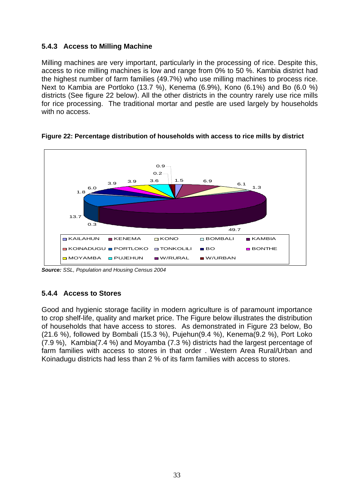## **5.4.3 Access to Milling Machine**

Milling machines are very important, particularly in the processing of rice. Despite this, access to rice milling machines is low and range from 0% to 50 %. Kambia district had the highest number of farm families (49.7%) who use milling machines to process rice. Next to Kambia are Portloko (13.7 %), Kenema (6.9%), Kono (6.1%) and Bo (6.0 %) districts (See figure 22 below). All the other districts in the country rarely use rice mills for rice processing. The traditional mortar and pestle are used largely by households with no access.



**Figure 22: Percentage distribution of households with access to rice mills by district** 

## **5.4.4 Access to Stores**

Good and hygienic storage facility in modern agriculture is of paramount importance to crop shelf-life, quality and market price. The Figure below illustrates the distribution of households that have access to stores. As demonstrated in Figure 23 below, Bo (21.6 %), followed by Bombali (15.3 %), Pujehun(9.4 %), Kenema(9.2 %), Port Loko (7.9 %), Kambia(7.4 %) and Moyamba (7.3 %) districts had the largest percentage of farm families with access to stores in that order . Western Area Rural/Urban and Koinadugu districts had less than 2 % of its farm families with access to stores.

*Source: SSL, Population and Housing Census 2004*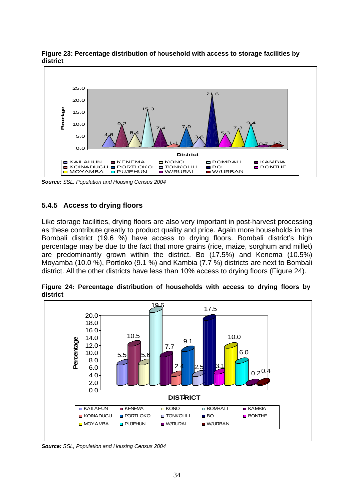

**Figure 23: Percentage distribution of** h**ousehold with access to storage facilities by district** 

*Source: SSL, Population and Housing Census 2004* 

### **5.4.5 Access to drying floors**

Like storage facilities, drying floors are also very important in post-harvest processing as these contribute greatly to product quality and price. Again more households in the Bombali district (19.6 %) have access to drying floors. Bombali district's high percentage may be due to the fact that more grains (rice, maize, sorghum and millet) are predominantly grown within the district. Bo (17.5%) and Kenema (10.5%) Moyamba (10.0 %), Portloko (9.1 %) and Kambia (7.7 %) districts are next to Bombali district. All the other districts have less than 10% access to drying floors (Figure 24).

**Figure 24: Percentage distribution of households with access to drying floors by district** 



*Source: SSL, Population and Housing Census 2004*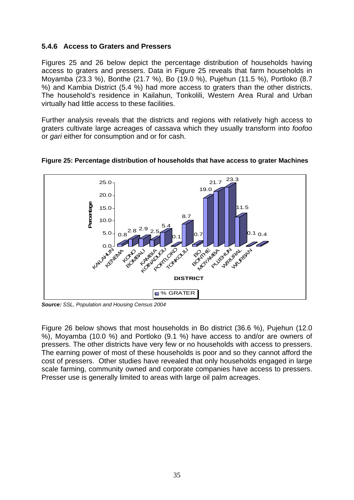### **5.4.6 Access to Graters and Pressers**

Figures 25 and 26 below depict the percentage distribution of households having access to graters and pressers. Data in Figure 25 reveals that farm households in Moyamba (23.3 %), Bonthe (21.7 %), Bo (19.0 %), Pujehun (11.5 %), Portloko (8.7 %) and Kambia District (5.4 %) had more access to graters than the other districts. The household's residence in Kailahun, Tonkolili, Western Area Rural and Urban virtually had little access to these facilities.

Further analysis reveals that the districts and regions with relatively high access to graters cultivate large acreages of cassava which they usually transform into *foofoo* or *gari* either for consumption and or for cash.



#### **Figure 25: Percentage distribution of households that have access to grater Machines**

*Source: SSL, Population and Housing Census 2004* 

Figure 26 below shows that most households in Bo district (36.6 %), Pujehun (12.0 %), Moyamba (10.0 %) and Portloko (9.1 %) have access to and/or are owners of pressers. The other districts have very few or no households with access to pressers. The earning power of most of these households is poor and so they cannot afford the cost of pressers. Other studies have revealed that only households engaged in large scale farming, community owned and corporate companies have access to pressers. Presser use is generally limited to areas with large oil palm acreages.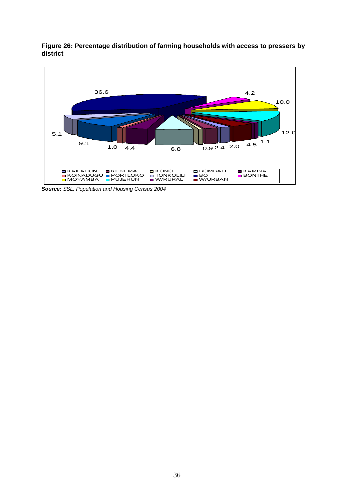

**Figure 26: Percentage distribution of farming households with access to pressers by district** 

*Source: SSL, Population and Housing Census 2004*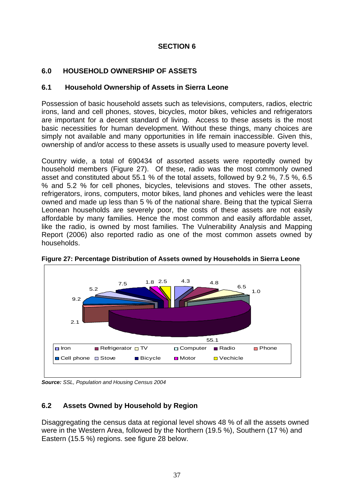## **SECTION 6**

## **6.0 HOUSEHOLD OWNERSHIP OF ASSETS**

### **6.1 Household Ownership of Assets in Sierra Leone**

Possession of basic household assets such as televisions, computers, radios, electric irons, land and cell phones, stoves, bicycles, motor bikes, vehicles and refrigerators are important for a decent standard of living. Access to these assets is the most basic necessities for human development. Without these things, many choices are simply not available and many opportunities in life remain inaccessible. Given this, ownership of and/or access to these assets is usually used to measure poverty level.

Country wide, a total of 690434 of assorted assets were reportedly owned by household members (Figure 27). Of these, radio was the most commonly owned asset and constituted about 55.1 % of the total assets, followed by 9.2 %, 7.5 %, 6.5 % and 5.2 % for cell phones, bicycles, televisions and stoves. The other assets, refrigerators, irons, computers, motor bikes, land phones and vehicles were the least owned and made up less than 5 % of the national share. Being that the typical Sierra Leonean households are severely poor, the costs of these assets are not easily affordable by many families. Hence the most common and easily affordable asset, like the radio, is owned by most families. The Vulnerability Analysis and Mapping Report (2006) also reported radio as one of the most common assets owned by households.



**Figure 27: Percentage Distribution of Assets owned by Households in Sierra Leone** 

*Source: SSL, Population and Housing Census 2004* 

## **6.2 Assets Owned by Household by Region**

Disaggregating the census data at regional level shows 48 % of all the assets owned were in the Western Area, followed by the Northern (19.5 %), Southern (17 %) and Eastern (15.5 %) regions. see figure 28 below.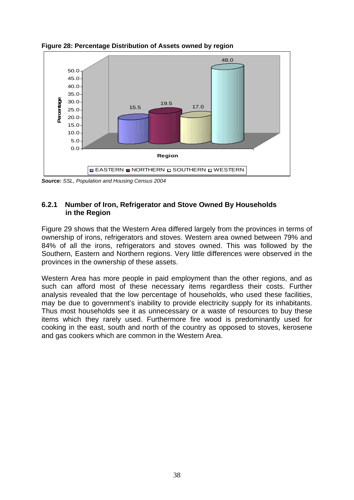

**Figure 28: Percentage Distribution of Assets owned by region** 

*Source: SSL, Population and Housing Census 2004* 

### **6.2.1 Number of Iron, Refrigerator and Stove Owned By Households in the Region**

Figure 29 shows that the Western Area differed largely from the provinces in terms of ownership of irons, refrigerators and stoves. Western area owned between 79% and 84% of all the irons, refrigerators and stoves owned. This was followed by the Southern, Eastern and Northern regions. Very little differences were observed in the provinces in the ownership of these assets.

Western Area has more people in paid employment than the other regions, and as such can afford most of these necessary items regardless their costs. Further analysis revealed that the low percentage of households, who used these facilities, may be due to government's inability to provide electricity supply for its inhabitants. Thus most households see it as unnecessary or a waste of resources to buy these items which they rarely used. Furthermore fire wood is predominantly used for cooking in the east, south and north of the country as opposed to stoves, kerosene and gas cookers which are common in the Western Area.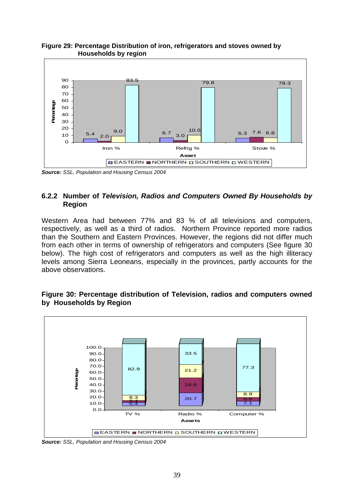

#### **Figure 29: Percentage Distribution of iron, refrigerators and stoves owned by Households by region**

*Source: SSL, Population and Housing Census 2004* 

### **6.2.2 Number of** *Television, Radios and Computers Owned By Households by*  **Region**

Western Area had between 77% and 83 % of all televisions and computers, respectively, as well as a third of radios. Northern Province reported more radios than the Southern and Eastern Provinces. However, the regions did not differ much from each other in terms of ownership of refrigerators and computers (See figure 30 below). The high cost of refrigerators and computers as well as the high illiteracy levels among Sierra Leoneans, especially in the provinces, partly accounts for the above observations.



#### **Figure 30: Percentage distribution of Television, radios and computers owned by Households by Region**

*Source: SSL, Population and Housing Census 2004*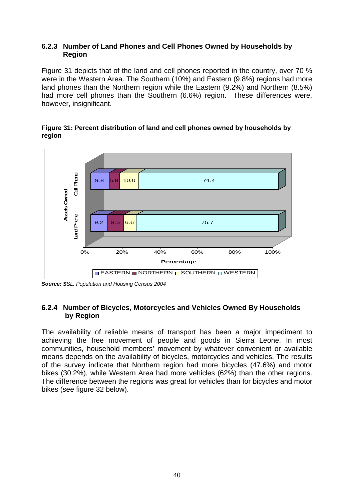#### **6.2.3 Number of Land Phones and Cell Phones Owned by Households by Region**

Figure 31 depicts that of the land and cell phones reported in the country, over 70 % were in the Western Area. The Southern (10%) and Eastern (9.8%) regions had more land phones than the Northern region while the Eastern (9.2%) and Northern (8.5%) had more cell phones than the Southern (6.6%) region. These differences were, however, insignificant.

#### **Figure 31: Percent distribution of land and cell phones owned by households by region**



*Source: SSL, Population and Housing Census 2004* 

### **6.2.4 Number of Bicycles, Motorcycles and Vehicles Owned By Households by Region**

The availability of reliable means of transport has been a major impediment to achieving the free movement of people and goods in Sierra Leone. In most communities, household members' movement by whatever convenient or available means depends on the availability of bicycles, motorcycles and vehicles. The results of the survey indicate that Northern region had more bicycles (47.6%) and motor bikes (30.2%), while Western Area had more vehicles (62%) than the other regions. The difference between the regions was great for vehicles than for bicycles and motor bikes (see figure 32 below).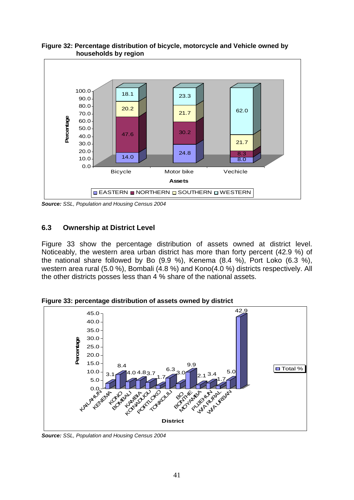

**Figure 32: Percentage distribution of bicycle, motorcycle and Vehicle owned by households by region** 

*Source: SSL, Population and Housing Census 2004* 

#### **6.3 Ownership at District Level**

Figure 33 show the percentage distribution of assets owned at district level. Noticeably, the western area urban district has more than forty percent (42.9 %) of the national share followed by Bo (9.9 %), Kenema (8.4 %), Port Loko (6.3 %), western area rural (5.0 %), Bombali (4.8 %) and Kono(4.0 %) districts respectively. All the other districts posses less than 4 % share of the national assets.

**Figure 33: percentage distribution of assets owned by district** 



*Source: SSL, Population and Housing Census 2004*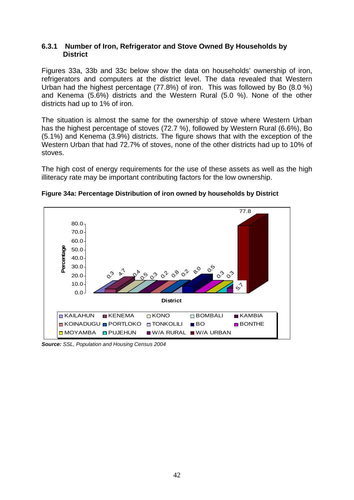#### **6.3.1 Number of Iron, Refrigerator and Stove Owned By Households by District**

Figures 33a, 33b and 33c below show the data on households' ownership of iron, refrigerators and computers at the district level. The data revealed that Western Urban had the highest percentage (77.8%) of iron. This was followed by Bo (8.0 %) and Kenema (5.6%) districts and the Western Rural (5.0 %). None of the other districts had up to 1% of iron.

The situation is almost the same for the ownership of stove where Western Urban has the highest percentage of stoves (72.7 %), followed by Western Rural (6.6%), Bo (5.1%) and Kenema (3.9%) districts. The figure shows that with the exception of the Western Urban that had 72.7% of stoves, none of the other districts had up to 10% of stoves.

The high cost of energy requirements for the use of these assets as well as the high illiteracy rate may be important contributing factors for the low ownership.



**Figure 34a: Percentage Distribution of iron owned by households by District** 

*Source: SSL, Population and Housing Census 2004*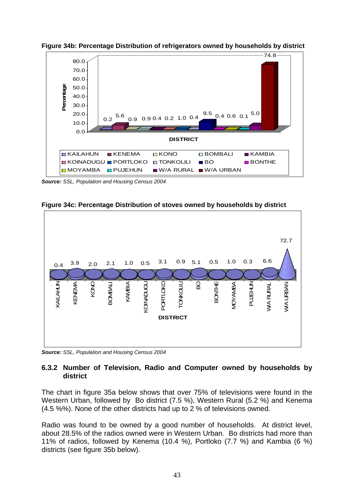

**Figure 34b: Percentage Distribution of refrigerators owned by households by district** 

*Source: SSL, Population and Housing Census 2004* 



**Figure 34c: Percentage Distribution of stoves owned by households by district**

*Source: SSL, Population and Housing Census 2004* 

#### **6.3.2 Number of Television, Radio and Computer owned by households by district**

The chart in figure 35a below shows that over 75% of televisions were found in the Western Urban, followed by Bo district (7.5 %), Western Rural (5.2 %) and Kenema (4.5 %%). None of the other districts had up to 2 % of televisions owned.

Radio was found to be owned by a good number of households. At district level, about 28.5% of the radios owned were in Western Urban. Bo districts had more than 11% of radios, followed by Kenema (10.4 %), Portloko (7.7 %) and Kambia (6 %) districts (see figure 35b below).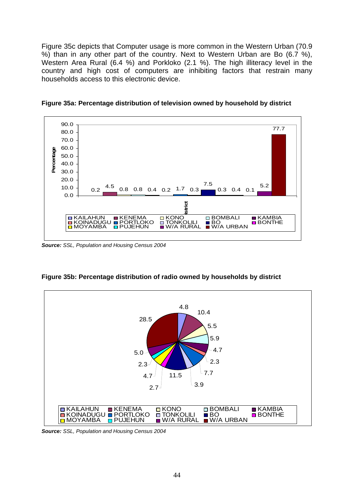Figure 35c depicts that Computer usage is more common in the Western Urban (70.9 %) than in any other part of the country. Next to Western Urban are Bo (6.7 %), Western Area Rural (6.4 %) and Porkloko (2.1 %). The high illiteracy level in the country and high cost of computers are inhibiting factors that restrain many households access to this electronic device.



**Figure 35a: Percentage distribution of television owned by household by district** 

*Source: SSL, Population and Housing Census 2004* 



**Figure 35b: Percentage distribution of radio owned by households by district** 

*Source: SSL, Population and Housing Census 2004*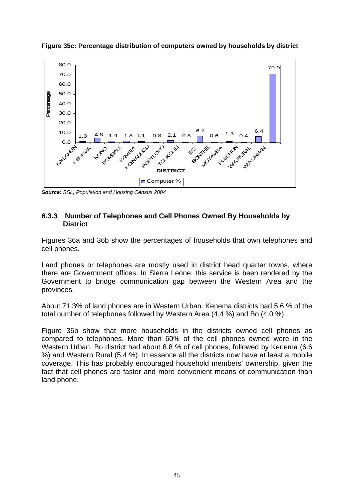

**Figure 35c: Percentage distribution of computers owned by households by district** 

*Source: SSL, Population and Housing Census 2004* 

#### **6.3.3 Number of Telephones and Cell Phones Owned By Households by District**

Figures 36a and 36b show the percentages of households that own telephones and cell phones.

Land phones or telephones are mostly used in district head quarter towns, where there are Government offices. In Sierra Leone, this service is been rendered by the Government to bridge communication gap between the Western Area and the provinces.

About 71.3% of land phones are in Western Urban. Kenema districts had 5.6 % of the total number of telephones followed by Western Area (4.4 %) and Bo (4.0 %).

Figure 36b show that more households in the districts owned cell phones as compared to telephones. More than 60% of the cell phones owned were in the Western Urban. Bo district had about 8.8 % of cell phones, followed by Kenema (6.6 %) and Western Rural (5.4 %). In essence all the districts now have at least a mobile coverage. This has probably encouraged household members' ownership, given the fact that cell phones are faster and more convenient means of communication than land phone.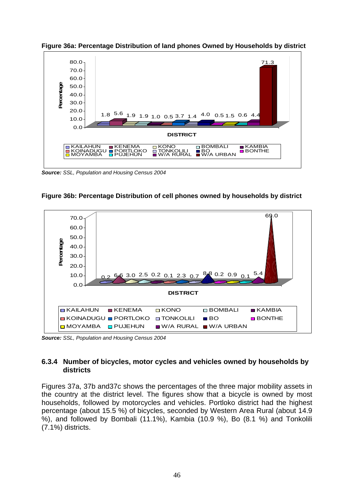



*Source: SSL, Population and Housing Census 2004* 





*Source: SSL, Population and Housing Census 2004* 

### **6.3.4 Number of bicycles, motor cycles and vehicles owned by households by districts**

Figures 37a, 37b and37c shows the percentages of the three major mobility assets in the country at the district level. The figures show that a bicycle is owned by most households, followed by motorcycles and vehicles. Portloko district had the highest percentage (about 15.5 %) of bicycles, seconded by Western Area Rural (about 14.9 %), and followed by Bombali (11.1%), Kambia (10.9 %), Bo (8.1 %) and Tonkolili (7.1%) districts.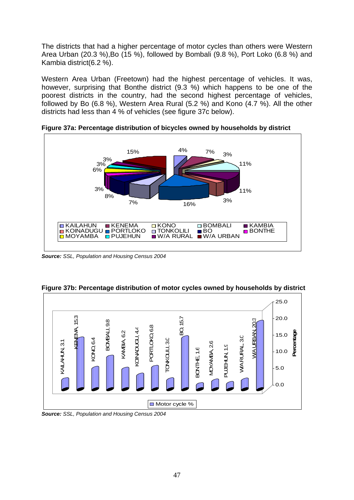The districts that had a higher percentage of motor cycles than others were Western Area Urban (20.3 %),Bo (15 %), followed by Bombali (9.8 %), Port Loko (6.8 %) and Kambia district(6.2 %).

Western Area Urban (Freetown) had the highest percentage of vehicles. It was, however, surprising that Bonthe district (9.3 %) which happens to be one of the poorest districts in the country, had the second highest percentage of vehicles, followed by Bo (6.8 %), Western Area Rural (5.2 %) and Kono (4.7 %). All the other districts had less than 4 % of vehicles (see figure 37c below).



**Figure 37a: Percentage distribution of bicycles owned by households by district** 

*Source: SSL, Population and Housing Census 2004* 



**Figure 37b: Percentage distribution of motor cycles owned by households by district** 

*Source: SSL, Population and Housing Census 2004*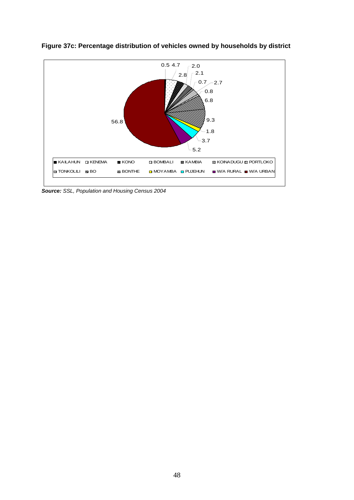

**Figure 37c: Percentage distribution of vehicles owned by households by district** 

*Source: SSL, Population and Housing Census 2004*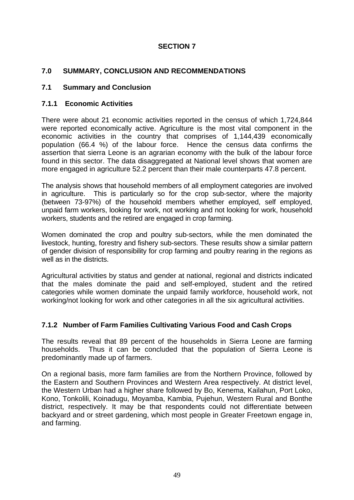## **SECTION 7**

## **7.0 SUMMARY, CONCLUSION AND RECOMMENDATIONS**

## **7.1 Summary and Conclusion**

## **7.1.1 Economic Activities**

There were about 21 economic activities reported in the census of which 1,724,844 were reported economically active. Agriculture is the most vital component in the economic activities in the country that comprises of 1,144,439 economically population (66.4 %) of the labour force. Hence the census data confirms the assertion that sierra Leone is an agrarian economy with the bulk of the labour force found in this sector. The data disaggregated at National level shows that women are more engaged in agriculture 52.2 percent than their male counterparts 47.8 percent.

The analysis shows that household members of all employment categories are involved in agriculture. This is particularly so for the crop sub-sector, where the majority (between 73-97%) of the household members whether employed, self employed, unpaid farm workers, looking for work, not working and not looking for work, household workers, students and the retired are engaged in crop farming.

Women dominated the crop and poultry sub-sectors, while the men dominated the livestock, hunting, forestry and fishery sub-sectors. These results show a similar pattern of gender division of responsibility for crop farming and poultry rearing in the regions as well as in the districts.

Agricultural activities by status and gender at national, regional and districts indicated that the males dominate the paid and self-employed, student and the retired categories while women dominate the unpaid family workforce, household work, not working/not looking for work and other categories in all the six agricultural activities.

## **7.1.2 Number of Farm Families Cultivating Various Food and Cash Crops**

The results reveal that 89 percent of the households in Sierra Leone are farming households. Thus it can be concluded that the population of Sierra Leone is predominantly made up of farmers.

On a regional basis, more farm families are from the Northern Province, followed by the Eastern and Southern Provinces and Western Area respectively. At district level, the Western Urban had a higher share followed by Bo, Kenema, Kailahun, Port Loko, Kono, Tonkolili, Koinadugu, Moyamba, Kambia, Pujehun, Western Rural and Bonthe district, respectively. It may be that respondents could not differentiate between backyard and or street gardening, which most people in Greater Freetown engage in, and farming.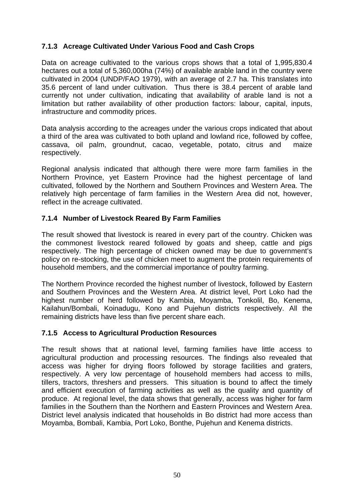## **7.1.3 Acreage Cultivated Under Various Food and Cash Crops**

Data on acreage cultivated to the various crops shows that a total of 1,995,830.4 hectares out a total of 5,360,000ha (74%) of available arable land in the country were cultivated in 2004 (UNDP/FAO 1979), with an average of 2.7 ha. This translates into 35.6 percent of land under cultivation. Thus there is 38.4 percent of arable land currently not under cultivation, indicating that availability of arable land is not a limitation but rather availability of other production factors: labour, capital, inputs, infrastructure and commodity prices.

Data analysis according to the acreages under the various crops indicated that about a third of the area was cultivated to both upland and lowland rice, followed by coffee, cassava, oil palm, groundnut, cacao, vegetable, potato, citrus and maize respectively.

Regional analysis indicated that although there were more farm families in the Northern Province, yet Eastern Province had the highest percentage of land cultivated, followed by the Northern and Southern Provinces and Western Area. The relatively high percentage of farm families in the Western Area did not, however, reflect in the acreage cultivated.

## **7.1.4 Number of Livestock Reared By Farm Families**

The result showed that livestock is reared in every part of the country. Chicken was the commonest livestock reared followed by goats and sheep, cattle and pigs respectively. The high percentage of chicken owned may be due to government's policy on re-stocking, the use of chicken meet to augment the protein requirements of household members, and the commercial importance of poultry farming.

The Northern Province recorded the highest number of livestock, followed by Eastern and Southern Provinces and the Western Area. At district level, Port Loko had the highest number of herd followed by Kambia, Moyamba, Tonkolil, Bo, Kenema, Kailahun/Bombali, Koinadugu, Kono and Pujehun districts respectively. All the remaining districts have less than five percent share each.

## **7.1.5 Access to Agricultural Production Resources**

The result shows that at national level, farming families have little access to agricultural production and processing resources. The findings also revealed that access was higher for drying floors followed by storage facilities and graters, respectively. A very low percentage of household members had access to mills, tillers, tractors, threshers and pressers. This situation is bound to affect the timely and efficient execution of farming activities as well as the quality and quantity of produce. At regional level, the data shows that generally, access was higher for farm families in the Southern than the Northern and Eastern Provinces and Western Area. District level analysis indicated that households in Bo district had more access than Moyamba, Bombali, Kambia, Port Loko, Bonthe, Pujehun and Kenema districts.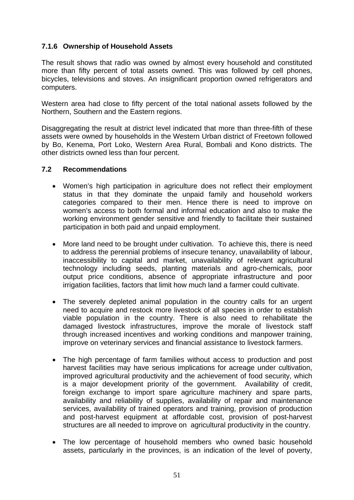## **7.1.6 Ownership of Household Assets**

The result shows that radio was owned by almost every household and constituted more than fifty percent of total assets owned. This was followed by cell phones, bicycles, televisions and stoves. An insignificant proportion owned refrigerators and computers.

Western area had close to fifty percent of the total national assets followed by the Northern, Southern and the Eastern regions.

Disaggregating the result at district level indicated that more than three-fifth of these assets were owned by households in the Western Urban district of Freetown followed by Bo, Kenema, Port Loko, Western Area Rural, Bombali and Kono districts. The other districts owned less than four percent.

#### **7.2 Recommendations**

- Women's high participation in agriculture does not reflect their employment status in that they dominate the unpaid family and household workers categories compared to their men. Hence there is need to improve on women's access to both formal and informal education and also to make the working environment gender sensitive and friendly to facilitate their sustained participation in both paid and unpaid employment.
- More land need to be brought under cultivation. To achieve this, there is need to address the perennial problems of insecure tenancy, unavailability of labour, inaccessibility to capital and market, unavailability of relevant agricultural technology including seeds, planting materials and agro-chemicals, poor output price conditions, absence of appropriate infrastructure and poor irrigation facilities, factors that limit how much land a farmer could cultivate.
- The severely depleted animal population in the country calls for an urgent need to acquire and restock more livestock of all species in order to establish viable population in the country. There is also need to rehabilitate the damaged livestock infrastructures, improve the morale of livestock staff through increased incentives and working conditions and manpower training, improve on veterinary services and financial assistance to livestock farmers.
- The high percentage of farm families without access to production and post harvest facilities may have serious implications for acreage under cultivation, improved agricultural productivity and the achievement of food security, which is a major development priority of the government. Availability of credit, foreign exchange to import spare agriculture machinery and spare parts, availability and reliability of supplies, availability of repair and maintenance services, availability of trained operators and training, provision of production and post-harvest equipment at affordable cost, provision of post-harvest structures are all needed to improve on agricultural productivity in the country.
- The low percentage of household members who owned basic household assets, particularly in the provinces, is an indication of the level of poverty,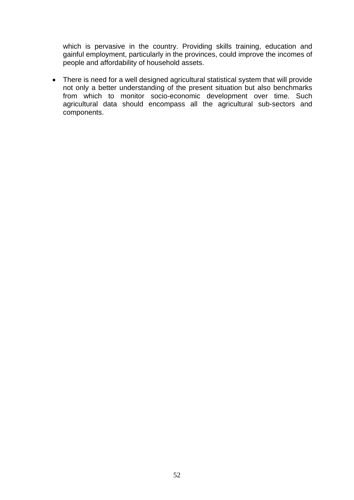which is pervasive in the country. Providing skills training, education and gainful employment, particularly in the provinces, could improve the incomes of people and affordability of household assets.

• There is need for a well designed agricultural statistical system that will provide not only a better understanding of the present situation but also benchmarks from which to monitor socio-economic development over time. Such agricultural data should encompass all the agricultural sub-sectors and components.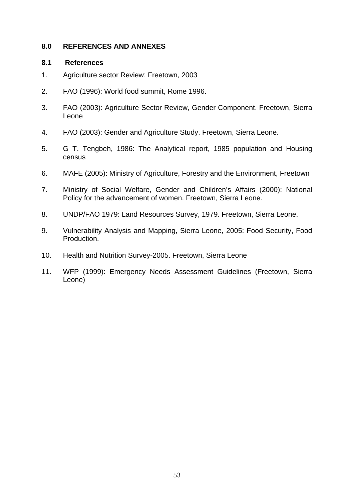### **8.0 REFERENCES AND ANNEXES**

### **8.1 References**

- 1. Agriculture sector Review: Freetown, 2003
- 2. FAO (1996): World food summit, Rome 1996.
- 3. FAO (2003): Agriculture Sector Review, Gender Component. Freetown, Sierra Leone
- 4. FAO (2003): Gender and Agriculture Study. Freetown, Sierra Leone.
- 5. G T. Tengbeh, 1986: The Analytical report, 1985 population and Housing census
- 6. MAFE (2005): Ministry of Agriculture, Forestry and the Environment, Freetown
- 7. Ministry of Social Welfare, Gender and Children's Affairs (2000): National Policy for the advancement of women. Freetown, Sierra Leone.
- 8. UNDP/FAO 1979: Land Resources Survey, 1979. Freetown, Sierra Leone.
- 9. Vulnerability Analysis and Mapping, Sierra Leone, 2005: Food Security, Food Production.
- 10. Health and Nutrition Survey-2005. Freetown, Sierra Leone
- 11. WFP (1999): Emergency Needs Assessment Guidelines (Freetown, Sierra Leone)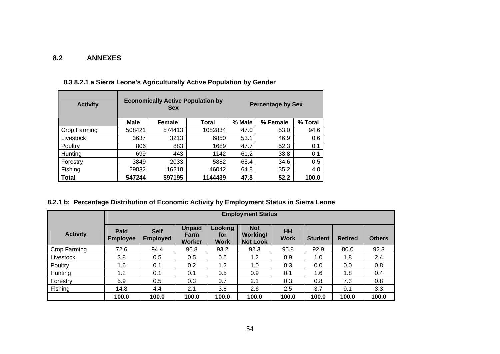#### **8.2 ANNEXES**

| <b>Activity</b> |             | <b>Economically Active Population by</b><br><b>Sex</b> |         |        | <b>Percentage by Sex</b> |         |
|-----------------|-------------|--------------------------------------------------------|---------|--------|--------------------------|---------|
|                 | <b>Male</b> | <b>Female</b>                                          | Total   | % Male | % Female                 | % Total |
| Crop Farming    | 508421      | 574413                                                 | 1082834 | 47.0   | 53.0                     | 94.6    |
| Livestock       | 3637        | 3213                                                   | 6850    | 53.1   | 46.9                     | 0.6     |
| Poultry         | 806         | 883                                                    | 1689    | 47.7   | 52.3                     | 0.1     |
| Hunting         | 699         | 443                                                    | 1142    | 61.2   | 38.8                     | 0.1     |
| Forestry        | 3849        | 2033                                                   | 5882    | 65.4   | 34.6                     | 0.5     |
| Fishing         | 29832       | 16210                                                  | 46042   | 64.8   | 35.2                     | 4.0     |
| Total           | 547244      | 597195                                                 | 1144439 | 47.8   | 52.2                     | 100.0   |

## **8.3 8.2.1 a Sierra Leone's Agriculturally Active Population by Gender**

## **8.2.1 b: Percentage Distribution of Economic Activity by Employment Status in Sierra Leone**

|                 |                                |                                |                                        |                               | <b>Employment Status</b>                  |                   |                |                |               |
|-----------------|--------------------------------|--------------------------------|----------------------------------------|-------------------------------|-------------------------------------------|-------------------|----------------|----------------|---------------|
| <b>Activity</b> | <b>Paid</b><br><b>Employee</b> | <b>Self</b><br><b>Employed</b> | <b>Unpaid</b><br>Farm<br><b>Worker</b> | Looking<br>for<br><b>Work</b> | <b>Not</b><br>Working/<br><b>Not Look</b> | HH<br><b>Work</b> | <b>Student</b> | <b>Retired</b> | <b>Others</b> |
| Crop Farming    | 72.6                           | 94.4                           | 96.8                                   | 93.2                          | 92.3                                      | 95.8              | 92.9           | 80.0           | 92.3          |
| Livestock       | 3.8                            | 0.5                            | 0.5                                    | 0.5                           | 1.2                                       | 0.9               | 1.0            | 1.8            | 2.4           |
| Poultry         | 1.6                            | 0.1                            | 0.2                                    | 1.2                           | 1.0                                       | 0.3               | 0.0            | 0.0            | 0.8           |
| Hunting         | 1.2                            | 0.1                            | 0.1                                    | 0.5                           | 0.9                                       | 0.1               | 1.6            | 1.8            | 0.4           |
| Forestry        | 5.9                            | 0.5                            | 0.3                                    | 0.7                           | 2.1                                       | 0.3               | 0.8            | 7.3            | 0.8           |
| Fishing         | 14.8                           | 4.4                            | 2.1                                    | 3.8                           | 2.6                                       | 2.5               | 3.7            | 9.1            | 3.3           |
|                 | 100.0                          | 100.0                          | 100.0                                  | 100.0                         | 100.0                                     | 100.0             | 100.0          | 100.0          | 100.0         |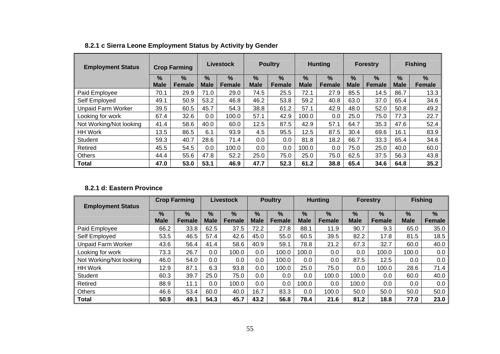| <b>Employment Status</b>  |                              | <b>Crop Farming</b> |                  | Livestock             |                  | <b>Poultry</b>     |                  | <b>Hunting</b>        |                              | <b>Forestry</b>       |                              | <b>Fishing</b> |
|---------------------------|------------------------------|---------------------|------------------|-----------------------|------------------|--------------------|------------------|-----------------------|------------------------------|-----------------------|------------------------------|----------------|
|                           | $\frac{9}{6}$<br><b>Male</b> | %<br><b>Female</b>  | %<br><b>Male</b> | $\%$<br><b>Female</b> | %<br><b>Male</b> | %<br><b>Female</b> | %<br><b>Male</b> | $\%$<br><b>Female</b> | $\frac{9}{6}$<br><b>Male</b> | $\%$<br><b>Female</b> | $\frac{9}{6}$<br><b>Male</b> | $\%$<br>Female |
| Paid Employee             | 70.1                         | 29.9                | 71.0             | 29.0                  | 74.5             | 25.5               | 72.1             | 27.9                  | 85.5                         | 14.5                  | 86.7                         | 13.3           |
| Self Employed             | 49.1                         | 50.9                | 53.2             | 46.8                  | 46.2             | 53.8               | 59.2             | 40.8                  | 63.0                         | 37.0                  | 65.4                         | 34.6           |
| <b>Unpaid Farm Worker</b> | 39.5                         | 60.5                | 45.7             | 54.3                  | 38.8             | 61.2               | 57.1             | 42.9                  | 48.0                         | 52.0                  | 50.8                         | 49.2           |
| Looking for work          | 67.4                         | 32.6                | 0.0              | 100.0                 | 57.1             | 42.9               | 100.0            | 0.0                   | 25.0                         | 75.0                  | 77.3                         | 22.7           |
| Not Working/Not looking   | 41.4                         | 58.6                | 40.0             | 60.0                  | 12.5             | 87.5               | 42.9             | 57.1                  | 64.7                         | 35.3                  | 47.6                         | 52.4           |
| <b>HH Work</b>            | 13.5                         | 86.5                | 6.1              | 93.9                  | 4.5              | 95.5               | 12.5             | 87.5                  | 30.4                         | 69.6                  | 16.1                         | 83.9           |
| Student                   | 59.3                         | 40.7                | 28.6             | 71.4                  | 0.0              | 0.0                | 81.8             | 18.2                  | 66.7                         | 33.3                  | 65.4                         | 34.6           |
| Retired                   | 45.5                         | 54.5                | 0.0              | 100.0                 | 0.0              | 0.0                | 100.0            | 0.0                   | 75.0                         | 25.0                  | 40.0                         | 60.0           |
| <b>Others</b>             | 44.4                         | 55.6                | 47.8             | 52.2                  | 25.0             | 75.0               | 25.0             | 75.0                  | 62.5                         | 37.5                  | 56.3                         | 43.8           |
| <b>Total</b>              | 47.0                         | 53.0                | 53.1             | 46.9                  | 47.7             | 52.3               | 61.2             | 38.8                  | 65.4                         | 34.6                  | 64.8                         | 35.2           |

# **8.2.1 c Sierra Leone Employment Status by Activity by Gender**

#### **8.2.1 d: Eastern Province**

| <b>Employment Status</b>  |                     | <b>Crop Farming</b>   |                              | <b>Livestock</b>      |                              | <b>Poultry</b> |                     | <b>Hunting</b>                 |                     | <b>Forestry</b>       |                              | <b>Fishing</b> |
|---------------------------|---------------------|-----------------------|------------------------------|-----------------------|------------------------------|----------------|---------------------|--------------------------------|---------------------|-----------------------|------------------------------|----------------|
|                           | $\%$<br><b>Male</b> | $\%$<br><b>Female</b> | $\frac{9}{6}$<br><b>Male</b> | $\%$<br><b>Female</b> | $\frac{9}{6}$<br><b>Male</b> | %<br>Female    | $\%$<br><b>Male</b> | $\frac{9}{6}$<br><b>Female</b> | $\%$<br><b>Male</b> | $\%$<br><b>Female</b> | $\frac{0}{0}$<br><b>Male</b> | $\%$<br>Female |
| Paid Employee             | 66.2                | 33.8                  | 62.5                         | 37.5                  | 72.2                         | 27.8           | 88.1                | 11.9                           | 90.7                | 9.3                   | 65.0                         | 35.0           |
| Self Employed             | 53.5                | 46.5                  | 57.4                         | 42.6                  | 45.0                         | 55.0           | 60.5                | 39.5                           | 82.2                | 17.8                  | 81.5                         | 18.5           |
| <b>Unpaid Farm Worker</b> | 43.6                | 56.4                  | 41.4                         | 58.6                  | 40.9                         | 59.1           | 78.8                | 21.2                           | 67.3                | 32.7                  | 60.0                         | 40.0           |
| Looking for work          | 73.3                | 26.7                  | 0.0                          | 100.0                 | 0.0                          | 100.0          | 100.0               | 0.0                            | 0.0                 | 100.0                 | 100.0                        | 0.0            |
| Not Working/Not looking   | 46.0                | 54.0                  | $0.0\,$                      | 0.0                   | 0.0                          | 100.0          | $0.0\,$             | 0.0                            | 87.5                | 12.5                  | 0.0                          | 0.0            |
| <b>HH Work</b>            | 12.9                | 87.1                  | 6.3                          | 93.8                  | 0.0                          | 100.0          | 25.0                | 75.0                           | 0.0                 | 100.0                 | 28.6                         | 71.4           |
| Student                   | 60.3                | 39.7                  | 25.0                         | 75.0                  | 0.0                          | 0.0            | $0.0\,$             | 100.0                          | 100.0               | 0.0                   | 60.0                         | 40.0           |
| Retired                   | 88.9                | 11.1                  | 0.0                          | 100.0                 | 0.0                          | 0.0            | 100.0               | 0.0                            | 100.0               | 0.0                   | 0.0                          | 0.0            |
| <b>Others</b>             | 46.6                | 53.4                  | 60.0                         | 40.0                  | 16.7                         | 83.3           | $0.0\,$             | 100.0                          | 50.0                | 50.0                  | 50.0                         | 50.0           |
| Total                     | 50.9                | 49.1                  | 54.3                         | 45.7                  | 43.2                         | 56.8           | 78.4                | 21.6                           | 81.2                | 18.8                  | 77.0                         | 23.0           |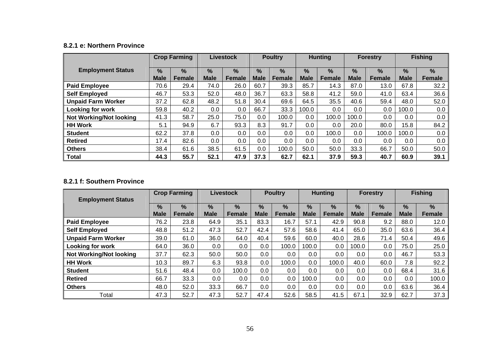#### **8.2.1 e: Northern Province**

|                                |                              | <b>Crop Farming</b> |                     | <b>Livestock</b>               |                              | <b>Poultry</b>                 |                  | <b>Hunting</b>        |                     | <b>Forestry</b>                |                              | <b>Fishing</b>        |
|--------------------------------|------------------------------|---------------------|---------------------|--------------------------------|------------------------------|--------------------------------|------------------|-----------------------|---------------------|--------------------------------|------------------------------|-----------------------|
| <b>Employment Status</b>       | $\frac{9}{6}$<br><b>Male</b> | $\%$<br>Female      | $\%$<br><b>Male</b> | $\frac{9}{6}$<br><b>Female</b> | $\frac{9}{6}$<br><b>Male</b> | $\frac{0}{2}$<br><b>Female</b> | %<br><b>Male</b> | $\%$<br><b>Female</b> | $\%$<br><b>Male</b> | $\frac{9}{6}$<br><b>Female</b> | $\frac{9}{6}$<br><b>Male</b> | $\%$<br><b>Female</b> |
| <b>Paid Employee</b>           | 70.6                         | 29.4                | 74.0                | 26.0                           | 60.7                         | 39.3                           | 85.7             | 14.3                  | 87.0                | 13.0                           | 67.8                         | 32.2                  |
| <b>Self Employed</b>           | 46.7                         | 53.3                | 52.0                | 48.0                           | 36.7                         | 63.3                           | 58.8             | 41.2                  | 59.0                | 41.0                           | 63.4                         | 36.6                  |
| <b>Unpaid Farm Worker</b>      | 37.2                         | 62.8                | 48.2                | 51.8                           | 30.4                         | 69.6                           | 64.5             | 35.5                  | 40.6                | 59.4                           | 48.0                         | 52.0                  |
| <b>Looking for work</b>        | 59.8                         | 40.2                | $0.0\,$             | 0.0                            | 66.7                         | 33.3                           | 100.0            | 0.0                   | $0.0\,$             | 0.0                            | 100.0                        | 0.0                   |
| <b>Not Working/Not looking</b> | 41.3                         | 58.7                | 25.0                | 75.0                           | $0.0\,$                      | 100.0                          | 0.0              | 100.0                 | 100.0               | 0.0                            | $0.0\,$                      | 0.0                   |
| <b>HH Work</b>                 | 5.1                          | 94.9                | 6.7                 | 93.3                           | 8.3                          | 91.7                           | 0.0              | 0.0                   | 20.0                | 80.0                           | 15.8                         | 84.2                  |
| <b>Student</b>                 | 62.2                         | 37.8                | 0.0                 | 0.0                            | $0.0\,$                      | 0.0                            | 0.0              | 100.0                 | 0.0                 | 100.0                          | 100.0                        | 0.0                   |
| <b>Retired</b>                 | 17.4                         | 82.6                | 0.0                 | 0.0                            | $0.0\,$                      | 0.0                            | 0.0              | 0.0                   | $0.0\,$             | 0.0                            | $0.0\,$                      | $0.0\,$               |
| <b>Others</b>                  | 38.4                         | 61.6                | 38.5                | 61.5                           | $0.0\,$                      | 100.0                          | 50.0             | 50.0                  | 33.3                | 66.7                           | 50.0                         | 50.0                  |
| <b>Total</b>                   | 44.3                         | 55.7                | 52.1                | 47.9                           | 37.3                         | 62.7                           | 62.1             | 37.9                  | 59.3                | 40.7                           | 60.9                         | 39.1                  |

#### **8.2.1 f: Southern Province**

| <b>Employment Status</b>       |                     | <b>Crop Farming</b>            |                              | <b>Livestock</b>               |                              | <b>Poultry</b>        |                              | <b>Hunting</b>                 |                     | <b>Forestry</b>                |                     | <b>Fishing</b>        |
|--------------------------------|---------------------|--------------------------------|------------------------------|--------------------------------|------------------------------|-----------------------|------------------------------|--------------------------------|---------------------|--------------------------------|---------------------|-----------------------|
|                                | $\%$<br><b>Male</b> | $\frac{9}{6}$<br><b>Female</b> | $\frac{9}{6}$<br><b>Male</b> | $\frac{9}{6}$<br><b>Female</b> | $\frac{9}{6}$<br><b>Male</b> | $\%$<br><b>Female</b> | $\frac{9}{6}$<br><b>Male</b> | $\frac{9}{6}$<br><b>Female</b> | $\%$<br><b>Male</b> | $\frac{9}{6}$<br><b>Female</b> | $\%$<br><b>Male</b> | $\%$<br><b>Female</b> |
| <b>Paid Employee</b>           | 76.2                | 23.8                           | 64.9                         | 35.1                           | 83.3                         | 16.7                  | 57.1                         | 42.9                           | 90.8                | 9.2                            | 88.0                | 12.0                  |
| <b>Self Employed</b>           | 48.8                | 51.2                           | 47.3                         | 52.7                           | 42.4                         | 57.6                  | 58.6                         | 41.4                           | 65.0                | 35.0                           | 63.6                | 36.4                  |
| <b>Unpaid Farm Worker</b>      | 39.0                | 61.0                           | 36.0                         | 64.0                           | 40.4                         | 59.6                  | 60.0                         | 40.0                           | 28.6                | 71.4                           | 50.4                | 49.6                  |
| <b>Looking for work</b>        | 64.0                | 36.0                           | 0.0                          | 0.0                            | 0.0                          | 100.0                 | 100.0                        | 0.0                            | 100.0               | 0.0                            | 75.0                | 25.0                  |
| <b>Not Working/Not looking</b> | 37.7                | 62.3                           | 50.0                         | 50.0                           | $0.0\,$                      | 0.0                   | 0.0                          | $0.0\,$                        | $0.0\,$             | 0.0                            | 46.7                | 53.3                  |
| <b>HH Work</b>                 | 10.3                | 89.7                           | 6.3                          | 93.8                           | 0.0                          | 100.0                 | 0.0                          | 100.0                          | 40.0                | 60.0                           | 7.8                 | 92.2                  |
| <b>Student</b>                 | 51.6                | 48.4                           | 0.0                          | 100.0                          | $0.0\,$                      | 0.0                   | 0.0                          | $0.0\,$                        | 0.0                 | 0.0                            | 68.4                | 31.6                  |
| <b>Retired</b>                 | 66.7                | 33.3                           | 0.0                          | 0.0                            | 0.0                          | 0.0                   | 100.0                        | $0.0\,$                        | $0.0\,$             | 0.0                            | 0.0                 | 100.0                 |
| <b>Others</b>                  | 48.0                | 52.0                           | 33.3                         | 66.7                           | $0.0\,$                      | 0.0                   | 0.0                          | $0.0\,$                        | $0.0\,$             | 0.0                            | 63.6                | 36.4                  |
| Total                          | 47.3                | 52.7                           | 47.3                         | 52.7                           | 47.4                         | 52.6                  | 58.5                         | 41.5                           | 67.1                | 32.9                           | 62.7                | 37.3                  |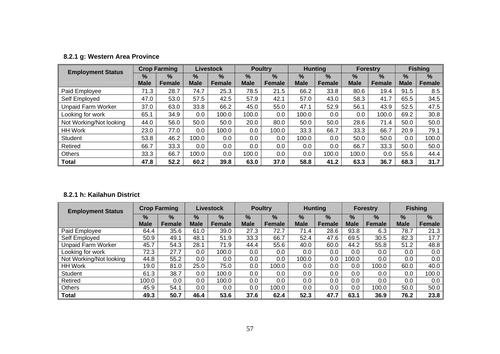|  |  |  | 8.2.1 g: Western Area Province |
|--|--|--|--------------------------------|
|--|--|--|--------------------------------|

| <b>Employment Status</b>  |             | <b>Crop Farming</b> |             | <b>Livestock</b> |             | <b>Poultry</b> |             | <b>Hunting</b> |             | <b>Forestry</b> |             | <b>Fishing</b> |
|---------------------------|-------------|---------------------|-------------|------------------|-------------|----------------|-------------|----------------|-------------|-----------------|-------------|----------------|
|                           | %           | $\frac{9}{6}$       | $\%$        | $\frac{9}{6}$    | $\%$        | $\frac{9}{6}$  | $\%$        | $\frac{9}{6}$  | $\%$        | $\frac{9}{6}$   | $\%$        | %              |
|                           | <b>Male</b> | <b>Female</b>       | <b>Male</b> | <b>Female</b>    | <b>Male</b> | <b>Female</b>  | <b>Male</b> | <b>Female</b>  | <b>Male</b> | Female          | <b>Male</b> | <b>Female</b>  |
| Paid Employee             | 71.3        | 28.7                | 74.7        | 25.3             | 78.5        | 21.5           | 66.2        | 33.8           | 80.6        | 19.4            | 91.5        | 8.5            |
| Self Employed             | 47.0        | 53.0                | 57.5        | 42.5             | 57.9        | 42.1           | 57.0        | 43.0           | 58.3        | 41.7            | 65.5        | 34.5           |
| <b>Unpaid Farm Worker</b> | 37.0        | 63.0                | 33.8        | 66.2             | 45.0        | 55.0           | 47.1        | 52.9           | 56.1        | 43.9            | 52.5        | 47.5           |
| Looking for work          | 65.1        | 34.9                | 0.0         | 100.0            | 100.0       | 0.0            | 100.0       | $0.0\,$        | 0.0         | 100.0           | 69.2        | 30.8           |
| Not Working/Not looking   | 44.0        | 56.0                | 50.0        | 50.0             | 20.0        | 80.0           | 50.0        | 50.0           | 28.6        | 71.4            | 50.0        | 50.0           |
| <b>HH Work</b>            | 23.0        | 77.0                | $0.0\,$     | 100.0            | 0.0         | 100.0          | 33.3        | 66.7           | 33.3        | 66.7            | 20.9        | 79.1           |
| <b>Student</b>            | 53.8        | 46.2                | 100.0       | 0.0              | 0.0         | 0.0            | 100.0       | $0.0\,$        | 50.0        | 50.0            | 0.0         | 100.0          |
| Retired                   | 66.7        | 33.3                | 0.0         | 0.0              | 0.0         | 0.0            | 0.0         | $0.0\,$        | 66.7        | 33.3            | 50.0        | 50.0           |
| <b>Others</b>             | 33.3        | 66.7                | 100.0       | 0.0              | 100.0       | 0.0            | 0.0         | 100.0          | 100.0       | 0.0             | 55.6        | 44.4           |
| Total                     | 47.8        | 52.2                | 60.2        | 39.8             | 63.0        | 37.0           | 58.8        | 41.2           | 63.3        | 36.7            | 68.3        | 31.7           |

#### **8.2.1 h: Kailahun District**

| <b>Employment Status</b>  |             | <b>Crop Farming</b> |               | Livestock     |               | <b>Poultry</b> |               | <b>Hunting</b> |               | <b>Forestry</b> |               | <b>Fishing</b> |
|---------------------------|-------------|---------------------|---------------|---------------|---------------|----------------|---------------|----------------|---------------|-----------------|---------------|----------------|
|                           | %           | %                   | $\frac{9}{6}$ | $\frac{9}{6}$ | $\frac{9}{6}$ | %              | $\frac{9}{6}$ | %              | $\frac{9}{6}$ | $\frac{9}{6}$   | $\frac{9}{6}$ | %              |
|                           | <b>Male</b> | Female              | <b>Male</b>   | <b>Female</b> | <b>Male</b>   | Female         | <b>Male</b>   | Female         | <b>Male</b>   | <b>Female</b>   | <b>Male</b>   | Female         |
| Paid Employee             | 64.4        | 35.6                | 61.0          | 39.0          | 27.3          | 72.7           | 71.4          | 28.6           | 93.8          | 6.3             | 78.7          | 21.3           |
| Self Employed             | 50.9        | 49.1                | 48.1          | 51.9          | 33.3          | 66.7           | 52.4          | 47.6           | 69.5          | 30.5            | 82.3          | 17.7           |
| <b>Unpaid Farm Worker</b> | 45.7        | 54.3                | 28.1          | 71.9          | 44.4          | 55.6           | 40.0          | 60.0           | 44.2          | 55.8            | 51.2          | 48.8           |
| Looking for work          | 72.3        | 27.7                | 0.0           | 100.0         | 0.0           | $0.0\,$        | 0.0           | $0.0\,$        | $0.0\,$       | 0.0             | 0.0           | 0.0            |
| Not Working/Not looking   | 44.8        | 55.2                | 0.0           | 0.0           | 0.0           | 0.0            | 100.0         | 0.0            | 100.0         | 0.0             | 0.0           | 0.0            |
| <b>HH Work</b>            | 19.0        | 81.0                | 25.0          | 75.0          | 0.0           | 100.0          | 0.0           | 0.0            | $0.0\,$       | 100.0           | 60.0          | 40.0           |
| Student                   | 61.3        | 38.7                | 0.0           | 100.0         | 0.0           | 0.0            | 0.0           | 0.0            | $0.0\,$       | 0.0             | 0.0           | 100.0          |
| Retired                   | 100.0       | $0.0\,$             | 0.0           | 100.0         | 0.0           | $0.0\,$        | 0.0           | $0.0\,$        | $0.0\,$       | 0.0             | 0.0           | 0.0            |
| Others                    | 45.9        | 54.1                | 0.0           | 0.0           | 0.0           | 100.0          | 0.0           | 0.0            | $0.0\,$       | 100.0           | 50.0          | 50.0           |
| <b>Total</b>              | 49.3        | 50.7                | 46.4          | 53.6          | 37.6          | 62.4           | 52.3          | 47.7           | 63.1          | 36.9            | 76.2          | 23.8           |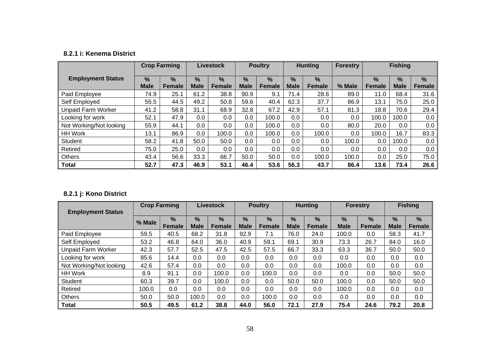#### **8.2.1 i: Kenema District**

|                           |                              | <b>Crop Farming</b>   |                              | <b>Livestock</b>      |                              | <b>Poultry</b>        |                  | <b>Hunting</b>        | <b>Forestry</b> |                                | <b>Fishing</b>      |                    |
|---------------------------|------------------------------|-----------------------|------------------------------|-----------------------|------------------------------|-----------------------|------------------|-----------------------|-----------------|--------------------------------|---------------------|--------------------|
| <b>Employment Status</b>  | $\frac{9}{6}$<br><b>Male</b> | $\%$<br><b>Female</b> | $\frac{9}{6}$<br><b>Male</b> | $\%$<br><b>Female</b> | $\frac{9}{6}$<br><b>Male</b> | $\%$<br><b>Female</b> | %<br><b>Male</b> | $\%$<br><b>Female</b> | % Male          | $\frac{9}{6}$<br><b>Female</b> | $\%$<br><b>Male</b> | %<br><b>Female</b> |
| Paid Employee             | 74.9                         | 25.1                  | 61.2                         | 38.8                  | 90.9                         | 9.1                   | 71.4             | 28.6                  | 89.0            | 11.0                           | 68.4                | 31.6               |
| Self Employed             | 55.5                         | 44.5                  | 49.2                         | 50.8                  | 59.6                         | 40.4                  | 62.3             | 37.7                  | 86.9            | 13.1                           | 75.0                | 25.0               |
| <b>Unpaid Farm Worker</b> | 41.2                         | 58.8                  | 31.1                         | 68.9                  | 32.8                         | 67.2                  | 42.9             | 57.1                  | 81.3            | 18.8                           | 70.6                | 29.4               |
| Looking for work          | 52.1                         | 47.9                  | $0.0\,$                      | 0.0                   | $0.0\,$                      | 100.0                 | 0.0              | 0.0                   | 0.0             | 100.0                          | 100.0               | 0.0                |
| Not Working/Not looking   | 55.9                         | 44.1                  | 0.0                          | 0.0                   | 0.0                          | 100.0                 | 0.0              | 0.0                   | 80.0            | 20.0                           | 0.0                 | 0.0                |
| <b>HH Work</b>            | 13.1                         | 86.9                  | 0.0                          | 100.0                 | $0.0\,$                      | 100.0                 | 0.0              | 100.0                 | 0.0             | 100.0                          | 16.7                | 83.3               |
| <b>Student</b>            | 58.2                         | 41.8                  | 50.0                         | 50.0                  | $0.0\,$                      | 0.0                   | 0.0              | 0.0                   | 100.0           | 0.0                            | 100.0               | 0.0                |
| Retired                   | 75.0                         | 25.0                  | 0.0                          | 0.0                   | $0.0\,$                      | 0.0                   | 0.0              | 0.0                   | 0.0             | 0.0                            | 0.0                 | 0.0                |
| <b>Others</b>             | 43.4                         | 56.6                  | 33.3                         | 66.7                  | 50.0                         | 50.0                  | 0.0              | 100.0                 | 100.0           | 0.0                            | 25.0                | 75.0               |
| <b>Total</b>              | 52.7                         | 47.3                  | 46.9                         | 53.1                  | 46.4                         | 53.6                  | 56.3             | 43.7                  | 86.4            | 13.6                           | 73.4                | 26.6               |

## **8.2.1 j: Kono District**

| <b>Employment Status</b>  |        | <b>Crop Farming</b>   |                              | <b>Livestock</b> |                  | <b>Poultry</b>        |                              | <b>Hunting</b>          |                  | <b>Forestry</b>                |                  | <b>Fishing</b>        |
|---------------------------|--------|-----------------------|------------------------------|------------------|------------------|-----------------------|------------------------------|-------------------------|------------------|--------------------------------|------------------|-----------------------|
|                           | % Male | $\%$<br><b>Female</b> | $\frac{9}{6}$<br><b>Male</b> | $\%$<br>Female   | %<br><b>Male</b> | $\%$<br><b>Female</b> | $\frac{9}{6}$<br><b>Male</b> | $\frac{9}{6}$<br>Female | %<br><b>Male</b> | $\frac{0}{0}$<br><b>Female</b> | %<br><b>Male</b> | $\%$<br><b>Female</b> |
| Paid Employee             | 59.5   | 40.5                  | 68.2                         | 31.8             | 92.9             | 7.1                   | 76.0                         | 24.0                    | 100.0            | 0.0                            | 58.3             | 41.7                  |
| Self Employed             | 53.2   | 46.8                  | 64.0                         | 36.0             | 40.9             | 59.1                  | 69.1                         | 30.9                    | 73.3             | 26.7                           | 84.0             | 16.0                  |
| <b>Unpaid Farm Worker</b> | 42.3   | 57.7                  | 52.5                         | 47.5             | 42.5             | 57.5                  | 66.7                         | 33.3                    | 63.3             | 36.7                           | 50.0             | 50.0                  |
| Looking for work          | 85.6   | 14.4                  | 0.0                          | 0.0              | 0.0              | 0.0                   | 0.0                          | 0.0                     | 0.0              | 0.0                            | 0.0              | 0.0                   |
| Not Working/Not looking   | 42.6   | 57.4                  | 0.0                          | 0.0              | 0.0              | 0.0                   | 0.0                          | 0.0                     | 100.0            | 0.0                            | 0.0              | 0.0                   |
| <b>HH Work</b>            | 8.9    | 91.1                  | 0.0                          | 100.0            | 0.0              | 100.0                 | 0.0                          | 0.0                     | 0.0              | $0.0\,$                        | 50.0             | 50.0                  |
| Student                   | 60.3   | 39.7                  | 0.0                          | 100.0            | 0.0              | 0.0                   | 50.0                         | 50.0                    | 100.0            | $0.0\,$                        | 50.0             | 50.0                  |
| Retired                   | 100.0  | 0.0                   | 0.0                          | 0.0              | 0.0              | 0.0                   | 0.0                          | 0.0                     | 100.0            | 0.0                            | 0.0              | 0.0                   |
| <b>Others</b>             | 50.0   | 50.0                  | 100.0                        | 0.0              | 0.0              | 100.0                 | 0.0                          | 0.0                     | 0.0              | 0.0                            | 0.0              | 0.0                   |
| Total                     | 50.5   | 49.5                  | 61.2                         | 38.8             | 44.0             | 56.0                  | 72.1                         | 27.9                    | 75.4             | 24.6                           | 79.2             | 20.8                  |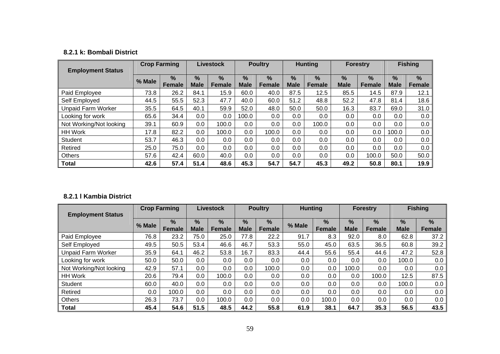#### **8.2.1 k: Bombali District**

| <b>Employment Status</b>  |        | <b>Crop Farming</b>            |                  | <b>Livestock</b>      |                              | <b>Poultry</b>        |                  | <b>Hunting</b>     |                  | <b>Forestry</b>       |                     | <b>Fishing</b> |
|---------------------------|--------|--------------------------------|------------------|-----------------------|------------------------------|-----------------------|------------------|--------------------|------------------|-----------------------|---------------------|----------------|
|                           | % Male | $\frac{9}{6}$<br><b>Female</b> | %<br><b>Male</b> | $\%$<br><b>Female</b> | $\frac{9}{6}$<br><b>Male</b> | $\%$<br><b>Female</b> | %<br><b>Male</b> | %<br><b>Female</b> | %<br><b>Male</b> | $\%$<br><b>Female</b> | $\%$<br><b>Male</b> | $\%$<br>Female |
| Paid Employee             | 73.8   | 26.2                           | 84.1             | 15.9                  | 60.0                         | 40.0                  | 87.5             | 12.5               | 85.5             | 14.5                  | 87.9                | 12.1           |
| Self Employed             | 44.5   | 55.5                           | 52.3             | 47.7                  | 40.0                         | 60.0                  | 51.2             | 48.8               | 52.2             | 47.8                  | 81.4                | 18.6           |
| <b>Unpaid Farm Worker</b> | 35.5   | 64.5                           | 40.1             | 59.9                  | 52.0                         | 48.0                  | 50.0             | 50.0               | 16.3             | 83.7                  | 69.0                | 31.0           |
| Looking for work          | 65.6   | 34.4                           | $0.0\,$          | 0.0                   | 100.0                        | 0.0                   | 0.0              | $0.0\,$            | 0.0              | 0.0                   | 0.0                 | 0.0            |
| Not Working/Not looking   | 39.1   | 60.9                           | $0.0\,$          | 100.0                 | $0.0\,$                      | 0.0                   | 0.0              | 100.0              | 0.0              | 0.0                   | $0.0\,$             | 0.0            |
| HH Work                   | 17.8   | 82.2                           | $0.0\,$          | 100.0                 | $0.0\,$                      | 100.0                 | 0.0              | $0.0\,$            | 0.0              | 0.0                   | 100.0               | 0.0            |
| <b>Student</b>            | 53.7   | 46.3                           | $0.0\,$          | 0.0                   | 0.0                          | 0.0                   | 0.0              | 0.0                | 0.0              | 0.0                   | 0.0                 | 0.0            |
| Retired                   | 25.0   | 75.0                           | $0.0\,$          | 0.0                   | $0.0\,$                      | 0.0                   | 0.0              | $0.0\,$            | 0.0              | 0.0                   | $0.0\,$             | 0.0            |
| <b>Others</b>             | 57.6   | 42.4                           | 60.0             | 40.0                  | 0.0                          | $0.0\,$               | 0.0              | $0.0\,$            | 0.0              | 100.0                 | 50.0                | 50.0           |
| <b>Total</b>              | 42.6   | 57.4                           | 51.4             | 48.6                  | 45.3                         | 54.7                  | 54.7             | 45.3               | 49.2             | 50.8                  | 80.1                | 19.9           |

#### **8.2.1 l Kambia District**

| <b>Employment Status</b>  | <b>Crop Farming</b> |                       | Livestock                    |                                | <b>Poultry</b>               |                                | <b>Hunting</b> |                                | <b>Forestry</b>     |                    | <b>Fishing</b>   |                |
|---------------------------|---------------------|-----------------------|------------------------------|--------------------------------|------------------------------|--------------------------------|----------------|--------------------------------|---------------------|--------------------|------------------|----------------|
|                           | % Male              | $\%$<br><b>Female</b> | $\frac{9}{6}$<br><b>Male</b> | $\frac{9}{6}$<br><b>Female</b> | $\frac{9}{6}$<br><b>Male</b> | $\frac{0}{0}$<br><b>Female</b> | % Male         | $\frac{9}{6}$<br><b>Female</b> | $\%$<br><b>Male</b> | %<br><b>Female</b> | %<br><b>Male</b> | $\%$<br>Female |
| Paid Employee             | 76.8                | 23.2                  | 75.0                         | 25.0                           | 77.8                         | 22.2                           | 91.7           | 8.3                            | 92.0                | 8.0                | 62.8             | 37.2           |
| Self Employed             | 49.5                | 50.5                  | 53.4                         | 46.6                           | 46.7                         | 53.3                           | 55.0           | 45.0                           | 63.5                | 36.5               | 60.8             | 39.2           |
| <b>Unpaid Farm Worker</b> | 35.9                | 64.1                  | 46.2                         | 53.8                           | 16.7                         | 83.3                           | 44.4           | 55.6                           | 55.4                | 44.6               | 47.2             | 52.8           |
| Looking for work          | 50.0                | 50.0                  | 0.0                          | 0.0                            | $0.0\,$                      | 0.0                            | 0.0            | 0.0                            | 0.0                 | 0.0                | 100.0            | 0.0            |
| Not Working/Not looking   | 42.9                | 57.1                  | 0.0                          | 0.0                            | $0.0\,$                      | 100.0                          | 0.0            | 0.0                            | 100.0               | 0.0                | 0.0              | 0.0            |
| <b>HH Work</b>            | 20.6                | 79.4                  | 0.0                          | 100.0                          | $0.0\,$                      | $0.0\,$                        | 0.0            | 0.0                            | 0.0                 | 100.0              | 12.5             | 87.5           |
| <b>Student</b>            | 60.0                | 40.0                  | 0.0                          | 0.0                            | $0.0\,$                      | 0.0                            | 0.0            | 0.0                            | $0.0\,$             | 0.0                | 100.0            | 0.0            |
| Retired                   | 0.0                 | 100.0                 | 0.0                          | 0.0                            | $0.0\,$                      | $0.0\,$                        | 0.0            | 0.0                            | $0.0\,$             | 0.0                | 0.0              | 0.0            |
| <b>Others</b>             | 26.3                | 73.7                  | 0.0                          | 100.0                          | $0.0\,$                      | $0.0\,$                        | 0.0            | 100.0                          | 0.0                 | 0.0                | 0.0              | 0.0            |
| <b>Total</b>              | 45.4                | 54.6                  | 51.5                         | 48.5                           | 44.2                         | 55.8                           | 61.9           | 38.1                           | 64.7                | 35.3               | 56.5             | 43.5           |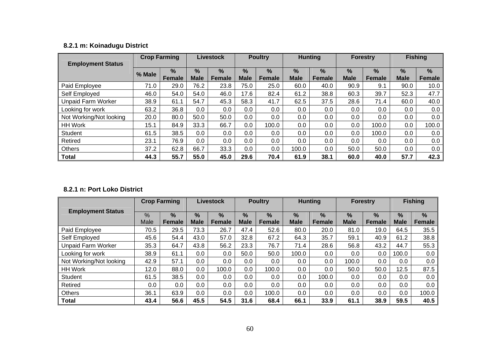# **8.2.1 m: Koinadugu District**

|                           | <b>Crop Farming</b> |               | <b>Livestock</b> |               | <b>Poultry</b> |               | <b>Hunting</b> |               | <b>Forestry</b> |               | <b>Fishing</b> |               |
|---------------------------|---------------------|---------------|------------------|---------------|----------------|---------------|----------------|---------------|-----------------|---------------|----------------|---------------|
| <b>Employment Status</b>  |                     |               |                  |               |                |               |                |               |                 |               |                |               |
|                           | % Male              | $\frac{0}{0}$ | %                | $\frac{9}{6}$ | %              | $\frac{9}{6}$ | %              | $\frac{9}{6}$ | $\%$            | $\%$          | $\frac{9}{6}$  | $\%$          |
|                           |                     | <b>Female</b> | <b>Male</b>      | <b>Female</b> | <b>Male</b>    | <b>Female</b> | <b>Male</b>    | <b>Female</b> | <b>Male</b>     | <b>Female</b> | <b>Male</b>    | <b>Female</b> |
| Paid Employee             | 71.0                | 29.0          | 76.2             | 23.8          | 75.0           | 25.0          | 60.0           | 40.0          | 90.9            | 9.1           | 90.0           | 10.0          |
| Self Employed             | 46.0                | 54.0          | 54.0             | 46.0          | 17.6           | 82.4          | 61.2           | 38.8          | 60.3            | 39.7          | 52.3           | 47.7          |
| <b>Unpaid Farm Worker</b> | 38.9                | 61.1          | 54.7             | 45.3          | 58.3           | 41.7          | 62.5           | 37.5          | 28.6            | 71.4          | 60.0           | 40.0          |
| Looking for work          | 63.2                | 36.8          | $0.0\,$          | 0.0           | 0.0            | 0.0           | 0.0            | 0.0           | 0.0             | 0.0           | 0.0            | 0.0           |
| Not Working/Not looking   | 20.0                | 80.0          | 50.0             | 50.0          | 0.0            | $0.0\,$       | 0.0            | 0.0           | $0.0\,$         | 0.0           | 0.0            | 0.0           |
| <b>HH Work</b>            | 15.1                | 84.9          | 33.3             | 66.7          | 0.0            | 100.0         | 0.0            | 0.0           | 0.0             | 100.0         | 0.0            | 100.0         |
| Student                   | 61.5                | 38.5          | $0.0\,$          | 0.0           | 0.0            | 0.0           | 0.0            | 0.0           | 0.0             | 100.0         | 0.0            | 0.0           |
| Retired                   | 23.1                | 76.9          | $0.0\,$          | 0.0           | 0.0            | $0.0\,$       | 0.0            | 0.0           | $0.0\,$         | 0.0           | 0.0            | 0.0           |
| <b>Others</b>             | 37.2                | 62.8          | 66.7             | 33.3          | 0.0            | 0.0           | 100.0          | 0.0           | 50.0            | 50.0          | 0.0            | 0.0           |
| <b>Total</b>              | 44.3                | 55.7          | 55.0             | 45.0          | 29.6           | 70.4          | 61.9           | 38.1          | 60.0            | 40.0          | 57.7           | 42.3          |

#### **8.2.1 n: Port Loko District**

|                           | <b>Crop Farming</b> |                                | <b>Livestock</b> |                         | <b>Poultry</b>               |                                | <b>Hunting</b>               |                         | <b>Forestry</b>  |                       | <b>Fishing</b>   |                         |
|---------------------------|---------------------|--------------------------------|------------------|-------------------------|------------------------------|--------------------------------|------------------------------|-------------------------|------------------|-----------------------|------------------|-------------------------|
| <b>Employment Status</b>  | %<br>Male           | $\frac{0}{0}$<br><b>Female</b> | %<br><b>Male</b> | $\frac{9}{6}$<br>Female | $\frac{9}{6}$<br><b>Male</b> | $\frac{9}{6}$<br><b>Female</b> | $\frac{9}{6}$<br><b>Male</b> | $\frac{9}{6}$<br>Female | %<br><b>Male</b> | $\%$<br><b>Female</b> | %<br><b>Male</b> | $\frac{9}{6}$<br>Female |
| Paid Employee             | 70.5                | 29.5                           | 73.3             | 26.7                    | 47.4                         | 52.6                           | 80.0                         | 20.0                    | 81.0             | 19.0                  | 64.5             | 35.5                    |
| Self Employed             | 45.6                | 54.4                           | 43.0             | 57.0                    | 32.8                         | 67.2                           | 64.3                         | 35.7                    | 59.1             | 40.9                  | 61.2             | 38.8                    |
| <b>Unpaid Farm Worker</b> | 35.3                | 64.7                           | 43.8             | 56.2                    | 23.3                         | 76.7                           | 71.4                         | 28.6                    | 56.8             | 43.2                  | 44.7             | 55.3                    |
| Looking for work          | 38.9                | 61.1                           | 0.0              | 0.0                     | 50.0                         | 50.0                           | 100.0                        | 0.0                     | 0.0              | 0.0                   | 100.0            | 0.0                     |
| Not Working/Not looking   | 42.9                | 57.1                           | 0.0              | $0.0\,$                 | 0.0                          | $0.0\,$                        | 0.0                          | 0.0                     | 100.0            | 0.0                   | 0.0              | 0.0                     |
| <b>HH Work</b>            | 12.0                | 88.0                           | 0.0              | 100.0                   | 0.0                          | 100.0                          | 0.0                          | 0.0                     | 50.0             | 50.0                  | 12.5             | 87.5                    |
| Student                   | 61.5                | 38.5                           | 0.0              | $0.0\,$                 | 0.0                          | 0.0                            | 0.0                          | 100.0                   | 0.0              | 0.0                   | 0.0              | 0.0                     |
| Retired                   | 0.0                 | 0.0                            | 0.0              | 0.0                     | 0.0                          | 0.0                            | 0.0                          | 0.0                     | 0.0              | 0.0                   | 0.0              | 0.0                     |
| <b>Others</b>             | 36.1                | 63.9                           | 0.0              | 0.0                     | 0.0                          | 100.0                          | 0.0                          | 0.0                     | 0.0              | 0.0                   | 0.0              | 100.0                   |
| <b>Total</b>              | 43.4                | 56.6                           | 45.5             | 54.5                    | 31.6                         | 68.4                           | 66.1                         | 33.9                    | 61.1             | 38.9                  | 59.5             | 40.5                    |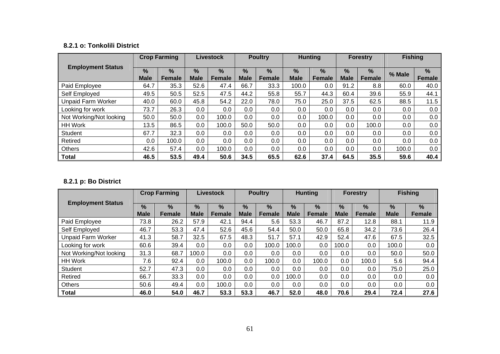#### **8.2.1 o: Tonkolili District**

|                           |                              | <b>Crop Farming</b>   |                              | <b>Livestock</b>      |                  | <b>Poultry</b>                 |                     | <b>Hunting</b>        |                     | <b>Forestry</b>                | <b>Fishing</b> |                |
|---------------------------|------------------------------|-----------------------|------------------------------|-----------------------|------------------|--------------------------------|---------------------|-----------------------|---------------------|--------------------------------|----------------|----------------|
| <b>Employment Status</b>  | $\frac{9}{6}$<br><b>Male</b> | $\%$<br><b>Female</b> | $\frac{9}{6}$<br><b>Male</b> | $\%$<br><b>Female</b> | %<br><b>Male</b> | $\frac{9}{6}$<br><b>Female</b> | $\%$<br><b>Male</b> | $\%$<br><b>Female</b> | $\%$<br><b>Male</b> | $\frac{9}{6}$<br><b>Female</b> | % Male         | $\%$<br>Female |
| Paid Employee             | 64.7                         | 35.3                  | 52.6                         | 47.4                  | 66.7             | 33.3                           | 100.0               | 0.0                   | 91.2                | 8.8                            | 60.0           | 40.0           |
| Self Employed             | 49.5                         | 50.5                  | 52.5                         | 47.5                  | 44.2             | 55.8                           | 55.7                | 44.3                  | 60.4                | 39.6                           | 55.9           | 44.1           |
| <b>Unpaid Farm Worker</b> | 40.0                         | 60.0                  | 45.8                         | 54.2                  | 22.0             | 78.0                           | 75.0                | 25.0                  | 37.5                | 62.5                           | 88.5           | 11.5           |
| Looking for work          | 73.7                         | 26.3                  | 0.0                          | 0.0                   | 0.0              | 0.0                            | 0.0                 | 0.0                   | 0.0                 | 0.0                            | 0.0            | 0.0            |
| Not Working/Not looking   | 50.0                         | 50.0                  | 0.0                          | 100.0                 | $0.0\,$          | 0.0                            | 0.0                 | 100.0                 | 0.0                 | $0.0\,$                        | 0.0            | 0.0            |
| <b>HH Work</b>            | 13.5                         | 86.5                  | 0.0                          | 100.0                 | 50.0             | 50.0                           | 0.0                 | 0.0                   | 0.0                 | 100.0                          | 0.0            | 0.0            |
| Student                   | 67.7                         | 32.3                  | 0.0                          | 0.0                   | 0.0              | 0.0                            | $0.0\,$             | 0.0                   | 0.0                 | 0.0                            | 0.0            | 0.0            |
| Retired                   | 0.0                          | 100.0                 | 0.0                          | 0.0                   | $0.0\,$          | 0.0                            | 0.0                 | 0.0                   | 0.0                 | 0.0                            | 0.0            | 0.0            |
| <b>Others</b>             | 42.6                         | 57.4                  | 0.0                          | 100.0                 | 0.0              | 0.0                            | 0.0                 | 0.0                   | 0.0                 | 0.0                            | 100.0          | 0.0            |
| <b>Total</b>              | 46.5                         | 53.5                  | 49.4                         | 50.6                  | 34.5             | 65.5                           | 62.6                | 37.4                  | 64.5                | 35.5                           | 59.6           | 40.4           |

## **8.2.1 p: Bo District**

|                           | <b>Crop Farming</b> |               |             | Livestock     |             | <b>Poultry</b> |             | <b>Hunting</b> |               | <b>Forestry</b> |               | <b>Fishing</b> |
|---------------------------|---------------------|---------------|-------------|---------------|-------------|----------------|-------------|----------------|---------------|-----------------|---------------|----------------|
| <b>Employment Status</b>  |                     |               |             |               |             |                |             |                |               |                 |               |                |
|                           | $\frac{9}{6}$       | $\frac{9}{6}$ | $\%$        | $\%$          | $\%$        | $\%$           | $\%$        | $\%$           | $\frac{9}{6}$ | $\%$            | $\frac{9}{6}$ | $\frac{9}{6}$  |
|                           | <b>Male</b>         | <b>Female</b> | <b>Male</b> | <b>Female</b> | <b>Male</b> | <b>Female</b>  | <b>Male</b> | <b>Female</b>  | <b>Male</b>   | <b>Female</b>   | <b>Male</b>   | <b>Female</b>  |
| Paid Employee             | 73.8                | 26.2          | 57.9        | 42.1          | 94.4        | 5.6            | 53.3        | 46.7           | 87.2          | 12.8            | 88.1          | 11.9           |
| Self Employed             | 46.7                | 53.3          | 47.4        | 52.6          | 45.6        | 54.4           | 50.0        | 50.0           | 65.8          | 34.2            | 73.6          | 26.4           |
| <b>Unpaid Farm Worker</b> | 41.3                | 58.7          | 32.5        | 67.5          | 48.3        | 51.7           | 57.1        | 42.9           | 52.4          | 47.6            | 67.5          | 32.5           |
| Looking for work          | 60.6                | 39.4          | $0.0\,$     | 0.0           | 0.0         | 100.0          | 100.0       | 0.0            | 100.0         | 0.0             | 100.0         | 0.0            |
| Not Working/Not looking   | 31.3                | 68.7          | 100.0       | 0.0           | 0.0         | 0.0            | 0.0         | 0.0            | 0.0           | 0.0             | 50.0          | 50.0           |
| <b>HH Work</b>            | 7.6                 | 92.4          | 0.0         | 100.0         | 0.0         | 100.0          | 0.0         | 100.0          | 0.0           | 100.0           | 5.6           | 94.4           |
| Student                   | 52.7                | 47.3          | 0.0         | 0.0           | 0.0         | 0.0            | 0.0         | 0.0            | 0.0           | 0.0             | 75.0          | 25.0           |
| Retired                   | 66.7                | 33.3          | 0.0         | 0.0           | 0.0         | 0.0            | 100.0       | 0.0            | 0.0           | 0.0             | 0.0           | 0.0            |
| <b>Others</b>             | 50.6                | 49.4          | 0.0         | 100.0         | 0.0         | 0.0            | 0.0         | 0.0            | 0.0           | 0.0             | 0.0           | 0.0            |
| <b>Total</b>              | 46.0                | 54.0          | 46.7        | 53.3          | 53.3        | 46.7           | 52.0        | 48.0           | 70.6          | 29.4            | 72.4          | 27.6           |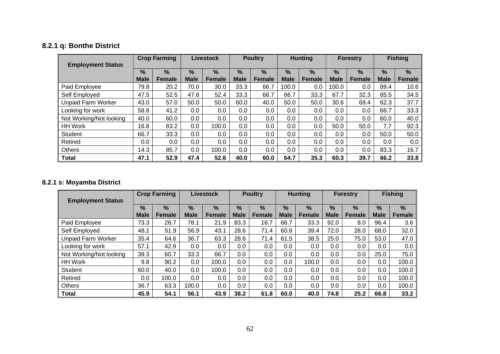# **8.2.1 q: Bonthe District**

| <b>Employment Status</b>  |                     | <b>Crop Farming</b>            |                     | <b>Livestock</b>               |                              | <b>Poultry</b>                 |                  | <b>Hunting</b>        |                              | <b>Forestry</b>                |                              | <b>Fishing</b>        |
|---------------------------|---------------------|--------------------------------|---------------------|--------------------------------|------------------------------|--------------------------------|------------------|-----------------------|------------------------------|--------------------------------|------------------------------|-----------------------|
|                           | $\%$<br><b>Male</b> | $\frac{9}{6}$<br><b>Female</b> | $\%$<br><b>Male</b> | $\frac{9}{6}$<br><b>Female</b> | $\frac{9}{6}$<br><b>Male</b> | $\frac{9}{6}$<br><b>Female</b> | %<br><b>Male</b> | $\%$<br><b>Female</b> | $\frac{9}{6}$<br><b>Male</b> | $\frac{9}{6}$<br><b>Female</b> | $\frac{9}{6}$<br><b>Male</b> | $\%$<br><b>Female</b> |
| Paid Employee             | 79.8                | 20.2                           | 70.0                | 30.0                           | 33.3                         | 66.7                           | 100.0            | 0.0                   | 100.0                        | 0.0                            | 89.4                         | 10.6                  |
| Self Employed             | 47.5                | 52.5                           | 47.6                | 52.4                           | 33.3                         | 66.7                           | 66.7             | 33.3                  | 67.7                         | 32.3                           | 65.5                         | 34.5                  |
| <b>Unpaid Farm Worker</b> | 43.0                | 57.0                           | 50.0                | 50.0                           | 60.0                         | 40.0                           | 50.0             | 50.0                  | 30.6                         | 69.4                           | 62.3                         | 37.7                  |
| Looking for work          | 58.8                | 41.2                           | 0.0                 | 0.0                            | 0.0                          | 0.0                            | $0.0\,$          | 0.0                   | $0.0\,$                      | 0.0                            | 66.7                         | 33.3                  |
| Not Working/Not looking   | 40.0                | 60.0                           | 0.0                 | 0.0                            | $0.0\,$                      | $0.0\,$                        | 0.0              | 0.0                   | 0.0                          | 0.0                            | 60.0                         | 40.0                  |
| <b>HH Work</b>            | 16.8                | 83.2                           | 0.0                 | 100.0                          | 0.0                          | $0.0\,$                        | 0.0              | 0.0                   | 50.0                         | 50.0                           | 7.7                          | 92.3                  |
| <b>Student</b>            | 66.7                | 33.3                           | 0.0                 | 0.0                            | 0.0                          | 0.0                            | 0.0              | 0.0                   | $0.0\,$                      | 0.0                            | 50.0                         | 50.0                  |
| Retired                   | $0.0\,$             | 0.0                            | 0.0                 | 0.0                            | 0.0                          | $0.0\,$                        | $0.0\,$          | 0.0                   | 0.0                          | 0.0                            | 0.0                          | 0.0                   |
| <b>Others</b>             | 14.3                | 85.7                           | 0.0                 | 100.0                          | 0.0                          | 0.0                            | 0.0              | 0.0                   | 0.0                          | 0.0                            | 83.3                         | 16.7                  |
| <b>Total</b>              | 47.1                | 52.9                           | 47.4                | 52.6                           | 40.0                         | 60.0                           | 64.7             | 35.3                  | 60.3                         | 39.7                           | 66.2                         | 33.8                  |

## **8.2.1 s: Moyamba District**

| <b>Employment Status</b>  |                     | <b>Crop Farming</b>     |                              | <b>Livestock</b>   |                     | <b>Poultry</b>                 |                     | <b>Hunting</b>                 |                  | <b>Forestry</b>    |                     | <b>Fishing</b>        |
|---------------------------|---------------------|-------------------------|------------------------------|--------------------|---------------------|--------------------------------|---------------------|--------------------------------|------------------|--------------------|---------------------|-----------------------|
|                           | $\%$<br><b>Male</b> | $\frac{9}{6}$<br>Female | $\frac{9}{6}$<br><b>Male</b> | %<br><b>Female</b> | $\%$<br><b>Male</b> | $\frac{9}{6}$<br><b>Female</b> | $\%$<br><b>Male</b> | $\frac{0}{0}$<br><b>Female</b> | %<br><b>Male</b> | %<br><b>Female</b> | $\%$<br><b>Male</b> | $\%$<br><b>Female</b> |
| Paid Employee             | 73.3                | 26.7                    | 78.1                         | 21.9               | 83.3                | 16.7                           | 66.7                | 33.3                           | 92.0             | 8.0                | 96.4                | 3.6                   |
| Self Employed             | 48.1                | 51.9                    | 56.9                         | 43.1               | 28.6                | 71.4                           | 60.6                | 39.4                           | 72.0             | 28.0               | 68.0                | 32.0                  |
| <b>Unpaid Farm Worker</b> | 35.4                | 64.6                    | 36.7                         | 63.3               | 28.6                | 71.4                           | 61.5                | 38.5                           | 25.0             | 75.0               | 53.0                | 47.0                  |
| Looking for work          | 57.1                | 42.9                    | $0.0\,$                      | 0.0                | 0.0                 | 0.0                            | 0.0                 | 0.0                            | 0.0              | 0.0                | $0.0\,$             | 0.0                   |
| Not Working/Not looking   | 39.3                | 60.7                    | 33.3                         | 66.7               | 0.0                 | 0.0                            | 0.0                 | 0.0                            | 0.0              | 0.0                | 25.0                | 75.0                  |
| <b>HH Work</b>            | 9.8                 | 90.2                    | $0.0\,$                      | 100.0              | 0.0                 | 0.0                            | 0.0                 | 100.0                          | 0.0              | 0.0                | 0.0                 | 100.0                 |
| <b>Student</b>            | 60.0                | 40.0                    | $0.0\,$                      | 100.0              | 0.0                 | 0.0                            | 0.0                 | 0.0                            | 0.0              | 0.0                | $0.0\,$             | 100.0                 |
| Retired                   | 0.0                 | 100.0                   | $0.0\,$                      | 0.0                | 0.0                 | 0.0                            | 0.0                 | 0.0                            | 0.0              | 0.0                | 0.0                 | 100.0                 |
| <b>Others</b>             | 36.7                | 63.3                    | 100.0                        | 0.0                | 0.0                 | 0.0                            | 0.0                 | 0.0                            | 0.0              | 0.0                | 0.0                 | 100.0                 |
| <b>Total</b>              | 45.9                | 54.1                    | 56.1                         | 43.9               | 38.2                | 61.8                           | 60.0                | 40.0                           | 74.8             | 25.2               | 66.8                | 33.2                  |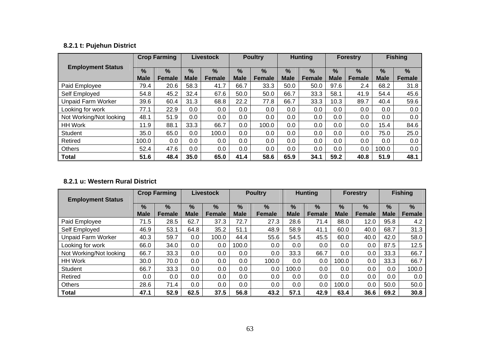# **8.2.1 t: Pujehun District**

|                           |                              | <b>Crop Farming</b>            |                              | <b>Livestock</b>      |                  | <b>Poultry</b>          |                     | <b>Hunting</b>                 |                              | <b>Forestry</b>         |                              | <b>Fishing</b>        |
|---------------------------|------------------------------|--------------------------------|------------------------------|-----------------------|------------------|-------------------------|---------------------|--------------------------------|------------------------------|-------------------------|------------------------------|-----------------------|
| <b>Employment Status</b>  | $\frac{9}{6}$<br><b>Male</b> | $\frac{9}{6}$<br><b>Female</b> | $\frac{9}{6}$<br><b>Male</b> | $\%$<br><b>Female</b> | %<br><b>Male</b> | $\frac{9}{6}$<br>Female | $\%$<br><b>Male</b> | $\frac{0}{0}$<br><b>Female</b> | $\frac{9}{6}$<br><b>Male</b> | $\frac{0}{0}$<br>Female | $\frac{9}{6}$<br><b>Male</b> | $\%$<br><b>Female</b> |
| Paid Employee             | 79.4                         | 20.6                           | 58.3                         | 41.7                  | 66.7             | 33.3                    | 50.0                | 50.0                           | 97.6                         | 2.4                     | 68.2                         | 31.8                  |
| Self Employed             | 54.8                         | 45.2                           | 32.4                         | 67.6                  | 50.0             | 50.0                    | 66.7                | 33.3                           | 58.1                         | 41.9                    | 54.4                         | 45.6                  |
| <b>Unpaid Farm Worker</b> | 39.6                         | 60.4                           | 31.3                         | 68.8                  | 22.2             | 77.8                    | 66.7                | 33.3                           | 10.3                         | 89.7                    | 40.4                         | 59.6                  |
| Looking for work          | 77.1                         | 22.9                           | 0.0                          | 0.0                   | 0.0              | $0.0\,$                 | 0.0                 | $0.0\,$                        | $0.0\,$                      | 0.0                     | 0.0                          | 0.0                   |
| Not Working/Not looking   | 48.1                         | 51.9                           | 0.0                          | 0.0                   | 0.0              | $0.0\,$                 | 0.0                 | 0.0                            | $0.0\,$                      | 0.0                     | 0.0                          | 0.0                   |
| <b>HH Work</b>            | 11.9                         | 88.1                           | 33.3                         | 66.7                  | 0.0              | 100.0                   | $0.0\,$             | $0.0\,$                        | $0.0\,$                      | 0.0                     | 15.4                         | 84.6                  |
| Student                   | 35.0                         | 65.0                           | 0.0                          | 100.0                 | 0.0              | $0.0\,$                 | $0.0\,$             | $0.0\,$                        | $0.0\,$                      | 0.0                     | 75.0                         | 25.0                  |
| Retired                   | 100.0                        | 0.0                            | 0.0                          | 0.0                   | 0.0              | $0.0\,$                 | $0.0\,$             | $0.0\,$                        | $0.0\,$                      | 0.0                     | 0.0                          | 0.0                   |
| <b>Others</b>             | 52.4                         | 47.6                           | 0.0                          | 0.0                   | 0.0              | 0.0                     | 0.0                 | $0.0\,$                        | $0.0\,$                      | 0.0                     | 100.0                        | 0.0                   |
| <b>Total</b>              | 51.6                         | 48.4                           | 35.0                         | 65.0                  | 41.4             | 58.6                    | 65.9                | 34.1                           | 59.2                         | 40.8                    | 51.9                         | 48.1                  |

#### **8.2.1 u: Western Rural District**

| <b>Employment Status</b>  |                     | <b>Crop Farming</b> |                              | <b>Livestock</b>      |                              | <b>Poultry</b>                 |                     | <b>Hunting</b>                 |                              | <b>Forestry</b>                |                  | <b>Fishing</b>        |
|---------------------------|---------------------|---------------------|------------------------------|-----------------------|------------------------------|--------------------------------|---------------------|--------------------------------|------------------------------|--------------------------------|------------------|-----------------------|
|                           | $\%$<br><b>Male</b> | %<br><b>Female</b>  | $\frac{9}{6}$<br><b>Male</b> | $\%$<br><b>Female</b> | $\frac{9}{6}$<br><b>Male</b> | $\frac{9}{6}$<br><b>Female</b> | $\%$<br><b>Male</b> | $\frac{9}{6}$<br><b>Female</b> | $\frac{9}{6}$<br><b>Male</b> | $\frac{9}{6}$<br><b>Female</b> | %<br><b>Male</b> | $\%$<br><b>Female</b> |
| Paid Employee             | 71.5                | 28.5                | 62.7                         | 37.3                  | 72.7                         | 27.3                           | 28.6                | 71.4                           | 88.0                         | 12.0                           | 95.8             | 4.2                   |
| Self Employed             | 46.9                | 53.1                | 64.8                         | 35.2                  | 51.1                         | 48.9                           | 58.9                | 41.1                           | 60.0                         | 40.0                           | 68.7             | 31.3                  |
| <b>Unpaid Farm Worker</b> | 40.3                | 59.7                | 0.0                          | 100.0                 | 44.4                         | 55.6                           | 54.5                | 45.5                           | 60.0                         | 40.0                           | 42.0             | 58.0                  |
| Looking for work          | 66.0                | 34.0                | 0.0                          | 0.0                   | 100.0                        | 0.0                            | $0.0\,$             | 0.0                            | 0.0                          | 0.0                            | 87.5             | 12.5                  |
| Not Working/Not looking   | 66.7                | 33.3                | 0.0                          | 0.0                   | $0.0\,$                      | 0.0                            | 33.3                | 66.7                           | 0.0                          | 0.0                            | 33.3             | 66.7                  |
| <b>HH Work</b>            | 30.0                | 70.0                | 0.0                          | 0.0                   | $0.0\,$                      | 100.0                          | $0.0\,$             | 0.0                            | 100.0                        | 0.0                            | 33.3             | 66.7                  |
| Student                   | 66.7                | 33.3                | 0.0                          | 0.0                   | $0.0\,$                      | 0.0                            | 100.0               | 0.0                            | 0.0                          | 0.0                            | 0.0              | 100.0                 |
| Retired                   | 0.0                 | 0.0                 | 0.0                          | 0.0                   | $0.0\,$                      | 0.0                            | $0.0\,$             | 0.0                            | 0.0                          | 0.0                            | 0.0              | 0.0                   |
| <b>Others</b>             | 28.6                | 71.4                | 0.0                          | 0.0                   | $0.0\,$                      | 0.0                            | $0.0\,$             | 0.0                            | 100.0                        | 0.0                            | 50.0             | 50.0                  |
| <b>Total</b>              | 47.1                | 52.9                | 62.5                         | 37.5                  | 56.8                         | 43.2                           | 57.1                | 42.9                           | 63.4                         | 36.6                           | 69.2             | 30.8                  |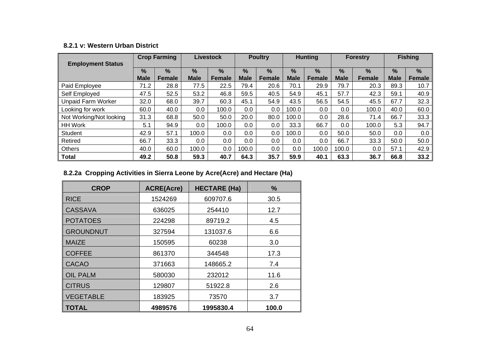#### **8.2.1 v: Western Urban District**

| <b>Employment Status</b>  |                              | <b>Crop Farming</b> |                              | <b>Livestock</b>      |                              | <b>Poultry</b>                 |                              | <b>Hunting</b>                 |                              | <b>Forestry</b>                |                  | <b>Fishing</b>     |
|---------------------------|------------------------------|---------------------|------------------------------|-----------------------|------------------------------|--------------------------------|------------------------------|--------------------------------|------------------------------|--------------------------------|------------------|--------------------|
|                           | $\frac{0}{0}$<br><b>Male</b> | %<br><b>Female</b>  | $\frac{9}{6}$<br><b>Male</b> | $\%$<br><b>Female</b> | $\frac{9}{6}$<br><b>Male</b> | $\frac{0}{0}$<br><b>Female</b> | $\frac{9}{6}$<br><b>Male</b> | $\frac{9}{6}$<br><b>Female</b> | $\frac{9}{6}$<br><b>Male</b> | $\frac{9}{6}$<br><b>Female</b> | %<br><b>Male</b> | %<br><b>Female</b> |
| Paid Employee             | 71.2                         | 28.8                | 77.5                         | 22.5                  | 79.4                         | 20.6                           | 70.1                         | 29.9                           | 79.7                         | 20.3                           | 89.3             | 10.7               |
| Self Employed             | 47.5                         | 52.5                | 53.2                         | 46.8                  | 59.5                         | 40.5                           | 54.9                         | 45.1                           | 57.7                         | 42.3                           | 59.1             | 40.9               |
| <b>Unpaid Farm Worker</b> | 32.0                         | 68.0                | 39.7                         | 60.3                  | 45.1                         | 54.9                           | 43.5                         | 56.5                           | 54.5                         | 45.5                           | 67.7             | 32.3               |
| Looking for work          | 60.0                         | 40.0                | 0.0                          | 100.0                 | 0.0                          | 0.0                            | 100.0                        | 0.0                            | 0.0                          | 100.0                          | 40.0             | 60.0               |
| Not Working/Not looking   | 31.3                         | 68.8                | 50.0                         | 50.0                  | 20.0                         | 80.0                           | 100.0                        | 0.0                            | 28.6                         | 71.4                           | 66.7             | 33.3               |
| <b>HH Work</b>            | 5.1                          | 94.9                | 0.0                          | 100.0                 | 0.0                          | 0.0                            | 33.3                         | 66.7                           | 0.0                          | 100.0                          | 5.3              | 94.7               |
| Student                   | 42.9                         | 57.1                | 100.0                        | 0.0                   | 0.0                          | 0.0                            | 100.0                        | 0.0                            | 50.0                         | 50.0                           | $0.0\,$          | 0.0                |
| Retired                   | 66.7                         | 33.3                | 0.0                          | 0.0                   | 0.0                          | 0.0                            | 0.0                          | 0.0                            | 66.7                         | 33.3                           | 50.0             | 50.0               |
| <b>Others</b>             | 40.0                         | 60.0                | 100.0                        | 0.0                   | 100.0                        | $0.0\,$                        | 0.0                          | 100.0                          | 100.0                        | 0.0                            | 57.1             | 42.9               |
| <b>Total</b>              | 49.2                         | 50.8                | 59.3                         | 40.7                  | 64.3                         | 35.7                           | 59.9                         | 40.1                           | 63.3                         | 36.7                           | 66.8             | 33.2               |

# **8.2.2a Cropping Activities in Sierra Leone by Acre(Acre) and Hectare (Ha)**

| <b>CROP</b>      | <b>ACRE(Acre)</b> | <b>HECTARE (Ha)</b> | ℅     |
|------------------|-------------------|---------------------|-------|
| <b>RICE</b>      | 1524269           | 609707.6            | 30.5  |
| <b>CASSAVA</b>   | 636025            | 254410              | 12.7  |
| <b>POTATOES</b>  | 224298            | 89719.2             | 4.5   |
| <b>GROUNDNUT</b> | 327594            | 131037.6            | 6.6   |
| <b>MAIZE</b>     | 150595            | 60238               | 3.0   |
| <b>COFFEE</b>    | 861370            | 344548              | 17.3  |
| <b>CACAO</b>     | 371663            | 148665.2            | 7.4   |
| <b>OIL PALM</b>  | 580030            | 232012              | 11.6  |
| <b>CITRUS</b>    | 129807            | 51922.8             | 2.6   |
| <b>VEGETABLE</b> | 183925            | 73570               | 3.7   |
| <b>TOTAL</b>     | 4989576           | 1995830.4           | 100.0 |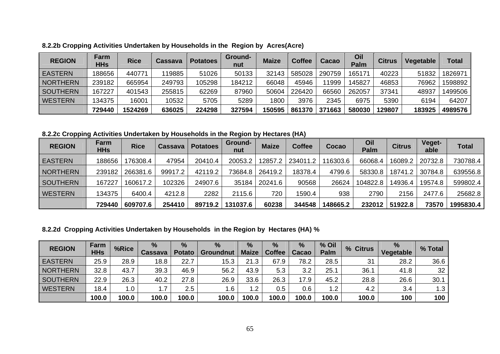| <b>REGION</b>   | Farm<br><b>HHs</b> | <b>Rice</b> | Cassava | <b>Potatoes</b> | Ground-<br>nut | <b>Maize</b> | <b>Coffee</b> | Cacao  | Oil<br><b>Palm</b> | <b>Citrus</b> | Vegetable | <b>Total</b> |
|-----------------|--------------------|-------------|---------|-----------------|----------------|--------------|---------------|--------|--------------------|---------------|-----------|--------------|
| <b>EASTERN</b>  | 188656             | 440771      | 119885  | 51026           | 50133          | 32143        | 585028        | 290759 | 165171             | 40223         | 51832     | 1826971      |
| <b>NORTHERN</b> | 239182             | 665954      | 249793  | 105298          | 184212         | 66048        | 45946         | 1999   | 145827             | 46853         | 76962     | 1598892      |
| <b>SOUTHERN</b> | 167227             | 401543      | 255815  | 62269           | 87960          | 50604        | 226420        | 66560  | 262057             | 37341         | 48937     | 1499506      |
| <b>WESTERN</b>  | 134375             | 16001       | 10532   | 5705            | 5289           | 1800         | 3976          | 2345   | 6975               | 5390          | 6194      | 64207        |
|                 | 729440             | 1524269     | 636025  | 224298          | 327594         | 150595       | 861370        | 371663 | 580030             | 129807        | 183925    | 4989576      |

**8.2.2b Cropping Activities Undertaken by Households in the Region by Acres(Acre)**

**8.2.2c Cropping Activities Undertaken by Households in the Region by Hectares (HA)** 

| <b>REGION</b>   | Farm<br><b>HHs</b> | <b>Rice</b> | Cassava | <b>Potatoes</b> | Ground-<br>nut | <b>Maize</b> | <b>Coffee</b> | Cocao    | Oil<br><b>Palm</b> | <b>Citrus</b> | <b>Veget-</b><br>able | <b>Total</b> |
|-----------------|--------------------|-------------|---------|-----------------|----------------|--------------|---------------|----------|--------------------|---------------|-----------------------|--------------|
| <b>EASTERN</b>  | 188656             | 176308.4    | 47954   | 20410.4         | 20053.2        | 12857.2      | 234011.2      | 116303.6 | 66068.4            | 16089.2       | 20732.8               | 730788.4     |
| <b>NORTHERN</b> | 239182             | 266381.6    | 99917.2 | 42119.2         | 73684.8        | 26419.2      | 18378.4       | 4799.6   | 58330.8            | 18741.2       | 30784.8               | 639556.8     |
| <b>SOUTHERN</b> | 167227             | 160617.2    | 102326  | 24907.6         | 35184          | 20241.6      | 90568         | 26624    | 104822.8           | 14936.4       | 19574.8               | 599802.4     |
| <b>WESTERN</b>  | 134375             | 6400.4      | 4212.8  | 2282            | 2115.6         | 720          | 1590.4        | 938      | 2790               | 2156          | 2477.6                | 25682.8      |
|                 | 729440             | 609707.6    | 254410  | 89719.2         | 131037.6       | 60238        | 344548        | 148665.2 | 232012             | 51922.8       | 73570                 | 1995830.4    |

**8.2.2d Cropping Activities Undertaken by Households in the Region by Hectares (HA) %**

| <b>REGION</b>   | Farm<br><b>HHs</b> | %Rice | $\frac{9}{6}$<br><b>Cassava</b> | %<br><b>Potato</b> | $\frac{9}{6}$<br><b>Groundnut</b> | $\frac{9}{6}$<br><b>Maize</b> | $\frac{9}{6}$<br><b>Coffee</b> | $\frac{9}{6}$<br>Cacao | % Oil<br><b>Palm</b> | % Citrus | $\frac{9}{6}$<br>Vegetable | % Total |
|-----------------|--------------------|-------|---------------------------------|--------------------|-----------------------------------|-------------------------------|--------------------------------|------------------------|----------------------|----------|----------------------------|---------|
| <b>EASTERN</b>  | 25.9               | 28.9  | 18.8                            | 22.7               | 15.3                              | 21.3                          | 67.9                           | 78.2                   | 28.5                 | 31       | 28.2                       | 36.6    |
| <b>NORTHERN</b> | 32.8               | 43.7  | 39.3                            | 46.9               | 56.2                              | 43.9                          | 5.3                            | 3.2                    | 25.1                 | 36.1     | 41.8                       | 32      |
| <b>SOUTHERN</b> | 22.9               | 26.3  | 40.2                            | 27.8               | 26.9                              | 33.6                          | 26.3                           | 17.9                   | 45.2                 | 28.8     | 26.6                       | 30.1    |
| <b>WESTERN</b>  | 18.4               | 1.0   | 1.7                             | $2.5\,$            | 6.1                               | 1.2                           | 0.5                            | 0.6                    | 1.2                  | 4.2      | 3.4                        | 1.3     |
|                 | 100.0              | 100.0 | 100.0                           | 100.0              | 100.0                             | 100.0                         | 100.0                          | 100.0                  | 100.0                | 100.0    | 100                        | 100     |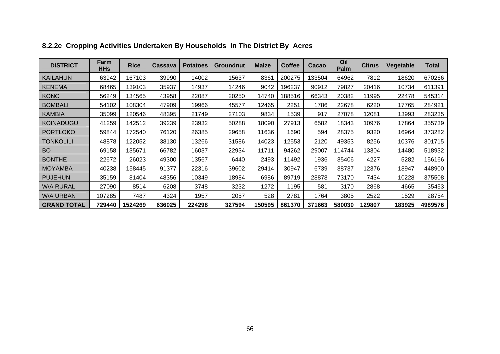| <b>DISTRICT</b>    | Farm<br><b>HHs</b> | <b>Rice</b> | <b>Cassava</b> | <b>Potatoes</b> | Groundnut | <b>Maize</b> | <b>Coffee</b> | Cacao  | Oil<br>Palm | <b>Citrus</b> | Vegetable | Total   |
|--------------------|--------------------|-------------|----------------|-----------------|-----------|--------------|---------------|--------|-------------|---------------|-----------|---------|
| <b>KAILAHUN</b>    | 63942              | 167103      | 39990          | 14002           | 15637     | 8361         | 200275        | 133504 | 64962       | 7812          | 18620     | 670266  |
| <b>KENEMA</b>      | 68465              | 139103      | 35937          | 14937           | 14246     | 9042         | 196237        | 90912  | 79827       | 20416         | 10734     | 611391  |
| <b>KONO</b>        | 56249              | 134565      | 43958          | 22087           | 20250     | 14740        | 188516        | 66343  | 20382       | 11995         | 22478     | 545314  |
| <b>BOMBALI</b>     | 54102              | 108304      | 47909          | 19966           | 45577     | 12465        | 2251          | 1786   | 22678       | 6220          | 17765     | 284921  |
| <b>KAMBIA</b>      | 35099              | 120546      | 48395          | 21749           | 27103     | 9834         | 1539          | 917    | 27078       | 12081         | 13993     | 283235  |
| <b>KOINADUGU</b>   | 41259              | 142512      | 39239          | 23932           | 50288     | 18090        | 27913         | 6582   | 18343       | 10976         | 17864     | 355739  |
| <b>PORTLOKO</b>    | 59844              | 172540      | 76120          | 26385           | 29658     | 11636        | 1690          | 594    | 28375       | 9320          | 16964     | 373282  |
| <b>TONKOLILI</b>   | 48878              | 122052      | 38130          | 13266           | 31586     | 14023        | 12553         | 2120   | 49353       | 8256          | 10376     | 301715  |
| <b>BO</b>          | 69158              | 135671      | 66782          | 16037           | 22934     | 11711        | 94262         | 29007  | 114744      | 13304         | 14480     | 518932  |
| <b>BONTHE</b>      | 22672              | 26023       | 49300          | 13567           | 6440      | 2493         | 11492         | 1936   | 35406       | 4227          | 5282      | 156166  |
| <b>MOYAMBA</b>     | 40238              | 158445      | 91377          | 22316           | 39602     | 29414        | 30947         | 6739   | 38737       | 12376         | 18947     | 448900  |
| <b>PUJEHUN</b>     | 35159              | 81404       | 48356          | 10349           | 18984     | 6986         | 89719         | 28878  | 73170       | 7434          | 10228     | 375508  |
| <b>W/A RURAL</b>   | 27090              | 8514        | 6208           | 3748            | 3232      | 1272         | 1195          | 581    | 3170        | 2868          | 4665      | 35453   |
| <b>W/A URBAN</b>   | 107285             | 7487        | 4324           | 1957            | 2057      | 528          | 2781          | 1764   | 3805        | 2522          | 1529      | 28754   |
| <b>GRAND TOTAL</b> | 729440             | 1524269     | 636025         | 224298          | 327594    | 150595       | 861370        | 371663 | 580030      | 129807        | 183925    | 4989576 |

# **8.2.2e Cropping Activities Undertaken By Households In The District By Acres**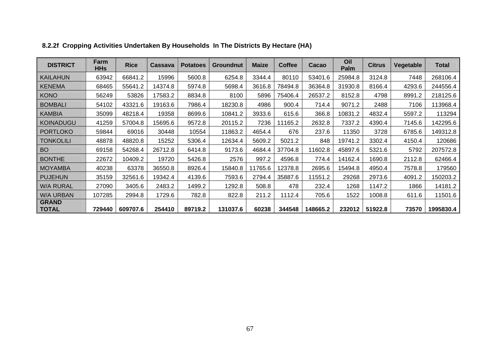| <b>DISTRICT</b>              | Farm<br><b>HHs</b> | <b>Rice</b> | <b>Cassava</b> | <b>Potatoes</b> | <b>Groundnut</b> | <b>Maize</b> | <b>Coffee</b> | Cacao    | Oil<br>Palm | <b>Citrus</b> | Vegetable | <b>Total</b> |
|------------------------------|--------------------|-------------|----------------|-----------------|------------------|--------------|---------------|----------|-------------|---------------|-----------|--------------|
| <b>KAILAHUN</b>              | 63942              | 66841.2     | 15996          | 5600.8          | 6254.8           | 3344.4       | 80110         | 53401.6  | 25984.8     | 3124.8        | 7448      | 268106.4     |
| <b>KENEMA</b>                | 68465              | 55641.2     | 14374.8        | 5974.8          | 5698.4           | 3616.8       | 78494.8       | 36364.8  | 31930.8     | 8166.4        | 4293.6    | 244556.4     |
| <b>KONO</b>                  | 56249              | 53826       | 17583.2        | 8834.8          | 8100             | 5896         | 75406.4       | 26537.2  | 8152.8      | 4798          | 8991.2    | 218125.6     |
| <b>BOMBALI</b>               | 54102              | 43321.6     | 19163.6        | 7986.4          | 18230.8          | 4986         | 900.4         | 714.4    | 9071.2      | 2488          | 7106      | 113968.4     |
| <b>KAMBIA</b>                | 35099              | 48218.4     | 19358          | 8699.6          | 10841.2          | 3933.6       | 615.6         | 366.8    | 10831.2     | 4832.4        | 5597.2    | 113294       |
| <b>KOINADUGU</b>             | 41259              | 57004.8     | 15695.6        | 9572.8          | 20115.2          | 7236         | 11165.2       | 2632.8   | 7337.2      | 4390.4        | 7145.6    | 142295.6     |
| <b>PORTLOKO</b>              | 59844              | 69016       | 30448          | 10554           | 11863.2          | 4654.4       | 676           | 237.6    | 11350       | 3728          | 6785.6    | 149312.8     |
| <b>TONKOLILI</b>             | 48878              | 48820.8     | 15252          | 5306.4          | 12634.4          | 5609.2       | 5021.2        | 848      | 19741.2     | 3302.4        | 4150.4    | 120686       |
| <b>BO</b>                    | 69158              | 54268.4     | 26712.8        | 6414.8          | 9173.6           | 4684.4       | 37704.8       | 11602.8  | 45897.6     | 5321.6        | 5792      | 207572.8     |
| <b>BONTHE</b>                | 22672              | 10409.2     | 19720          | 5426.8          | 2576             | 997.2        | 4596.8        | 774.4    | 14162.4     | 1690.8        | 2112.8    | 62466.4      |
| <b>MOYAMBA</b>               | 40238              | 63378       | 36550.8        | 8926.4          | 15840.8          | 11765.6      | 12378.8       | 2695.6   | 15494.8     | 4950.4        | 7578.8    | 179560       |
| <b>PUJEHUN</b>               | 35159              | 32561.6     | 19342.4        | 4139.6          | 7593.6           | 2794.4       | 35887.6       | 11551.2  | 29268       | 2973.6        | 4091.2    | 150203.2     |
| <b>W/A RURAL</b>             | 27090              | 3405.6      | 2483.2         | 1499.2          | 1292.8           | 508.8        | 478           | 232.4    | 1268        | 1147.2        | 1866      | 14181.2      |
| <b>W/A URBAN</b>             | 107285             | 2994.8      | 1729.6         | 782.8           | 822.8            | 211.2        | 1112.4        | 705.6    | 1522        | 1008.8        | 611.6     | 11501.6      |
| <b>GRAND</b><br><b>TOTAL</b> | 729440             | 609707.6    | 254410         | 89719.2         | 131037.6         | 60238        | 344548        | 148665.2 | 232012      | 51922.8       | 73570     | 1995830.4    |

# **8.2.2f Cropping Activities Undertaken By Households In The Districts By Hectare (HA)**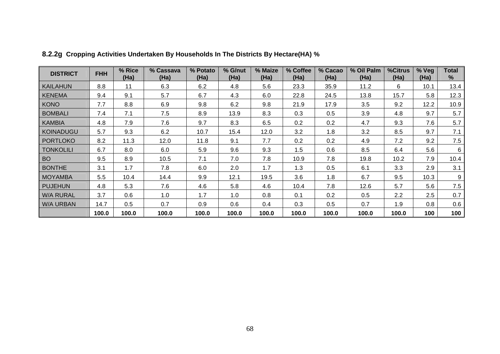| <b>DISTRICT</b>  | <b>FHH</b> | % Rice<br>(Ha) | % Cassava<br>(Ha) | % Potato<br>(Ha) | % G/nut<br>(Ha) | % Maize<br>(Ha) | % Coffee<br>(Ha) | % Cacao<br>(Ha) | % Oil Palm<br>(Ha) | %Citrus<br>(Ha) | % Veg<br>(Ha) | <b>Total</b><br>% |
|------------------|------------|----------------|-------------------|------------------|-----------------|-----------------|------------------|-----------------|--------------------|-----------------|---------------|-------------------|
| <b>KAILAHUN</b>  | 8.8        | 11             | 6.3               | 6.2              | 4.8             | 5.6             | 23.3             | 35.9            | 11.2               | 6               | 10.1          | 13.4              |
| <b>KENEMA</b>    | 9.4        | 9.1            | 5.7               | 6.7              | 4.3             | 6.0             | 22.8             | 24.5            | 13.8               | 15.7            | 5.8           | 12.3              |
| <b>KONO</b>      | 7.7        | 8.8            | 6.9               | 9.8              | 6.2             | 9.8             | 21.9             | 17.9            | 3.5                | 9.2             | 12.2          | 10.9              |
| <b>BOMBALI</b>   | 7.4        | 7.1            | 7.5               | 8.9              | 13.9            | 8.3             | 0.3              | 0.5             | 3.9                | 4.8             | 9.7           | 5.7               |
| <b>KAMBIA</b>    | 4.8        | 7.9            | 7.6               | 9.7              | 8.3             | 6.5             | 0.2              | 0.2             | 4.7                | 9.3             | 7.6           | 5.7               |
| <b>KOINADUGU</b> | 5.7        | 9.3            | 6.2               | 10.7             | 15.4            | 12.0            | 3.2              | 1.8             | 3.2                | 8.5             | 9.7           | 7.1               |
| <b>PORTLOKO</b>  | 8.2        | 11.3           | 12.0              | 11.8             | 9.1             | 7.7             | 0.2              | 0.2             | 4.9                | 7.2             | 9.2           | 7.5               |
| <b>TONKOLILI</b> | 6.7        | 8.0            | 6.0               | 5.9              | 9.6             | 9.3             | 1.5              | 0.6             | 8.5                | 6.4             | 5.6           | 6                 |
| <b>BO</b>        | 9.5        | 8.9            | 10.5              | 7.1              | 7.0             | 7.8             | 10.9             | 7.8             | 19.8               | 10.2            | 7.9           | 10.4              |
| <b>BONTHE</b>    | 3.1        | 1.7            | 7.8               | 6.0              | 2.0             | 1.7             | 1.3              | 0.5             | 6.1                | 3.3             | 2.9           | 3.1               |
| <b>MOYAMBA</b>   | 5.5        | 10.4           | 14.4              | 9.9              | 12.1            | 19.5            | 3.6              | 1.8             | 6.7                | 9.5             | 10.3          | 9                 |
| <b>PUJEHUN</b>   | 4.8        | 5.3            | 7.6               | 4.6              | 5.8             | 4.6             | 10.4             | 7.8             | 12.6               | 5.7             | 5.6           | 7.5               |
| <b>W/A RURAL</b> | 3.7        | 0.6            | 1.0               | 1.7              | 1.0             | 0.8             | 0.1              | 0.2             | 0.5                | 2.2             | 2.5           | 0.7               |
| <b>W/A URBAN</b> | 14.7       | 0.5            | 0.7               | 0.9              | 0.6             | 0.4             | 0.3              | 0.5             | 0.7                | 1.9             | 0.8           | 0.6               |
|                  | 100.0      | 100.0          | 100.0             | 100.0            | 100.0           | 100.0           | 100.0            | 100.0           | 100.0              | 100.0           | 100           | 100               |

**8.2.2g Cropping Activities Undertaken By Households In The Districts By Hectare(HA) %**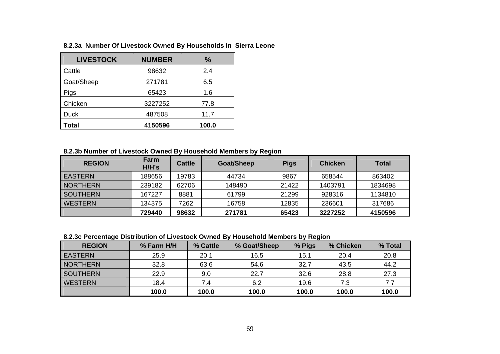| <b>LIVESTOCK</b> | <b>NUMBER</b> | $\%$  |
|------------------|---------------|-------|
| Cattle           | 98632         | 2.4   |
| Goat/Sheep       | 271781        | 6.5   |
| Pigs             | 65423         | 1.6   |
| Chicken          | 3227252       | 77.8  |
| <b>Duck</b>      | 487508        | 11.7  |
| Total            | 4150596       | 100.0 |

### **8.2.3a Number Of Livestock Owned By Households In Sierra Leone**

## **8.2.3b Number of Livestock Owned By Household Members by Region**

| <b>REGION</b>   | <b>Farm</b><br>H/H's | <b>Cattle</b> | Goat/Sheep | <b>Pigs</b> | <b>Chicken</b> | <b>Total</b> |
|-----------------|----------------------|---------------|------------|-------------|----------------|--------------|
| EASTERN         | 188656               | 19783         | 44734      | 9867        | 658544         | 863402       |
| <b>NORTHERN</b> | 239182               | 62706         | 148490     | 21422       | 1403791        | 1834698      |
| <b>SOUTHERN</b> | 167227               | 8881          | 61799      | 21299       | 928316         | 1134810      |
| <b>WESTERN</b>  | 134375               | 7262          | 16758      | 12835       | 236601         | 317686       |
|                 | 729440               | 98632         | 271781     | 65423       | 3227252        | 4150596      |

**8.2.3c Percentage Distribution of Livestock Owned By Household Members by Region** 

| <b>REGION</b>   | % Farm H/H | % Cattle | % Goat/Sheep | % Pigs | % Chicken | % Total |
|-----------------|------------|----------|--------------|--------|-----------|---------|
| <b>EASTERN</b>  | 25.9       | 20.1     | 16.5         | 15.1   | 20.4      | 20.8    |
| <b>NORTHERN</b> | 32.8       | 63.6     | 54.6         | 32.7   | 43.5      | 44.2    |
| <b>SOUTHERN</b> | 22.9       | 9.0      | 22.7         | 32.6   | 28.8      | 27.3    |
| <b>WESTERN</b>  | 18.4       | 7.4      | 6.2          | 19.6   | 7.3       | 7.7     |
|                 | 100.0      | 100.0    | 100.0        | 100.0  | 100.0     | 100.0   |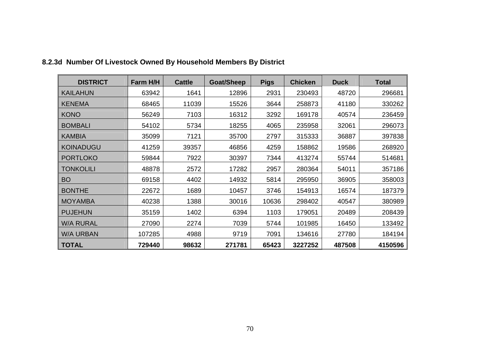| <b>DISTRICT</b>  | Farm H/H | <b>Cattle</b> | <b>Goat/Sheep</b> | <b>Pigs</b> | <b>Chicken</b> | <b>Duck</b> | <b>Total</b> |
|------------------|----------|---------------|-------------------|-------------|----------------|-------------|--------------|
| <b>KAILAHUN</b>  | 63942    | 1641          | 12896             | 2931        | 230493         | 48720       | 296681       |
| <b>KENEMA</b>    | 68465    | 11039         | 15526             | 3644        | 258873         | 41180       | 330262       |
| <b>KONO</b>      | 56249    | 7103          | 16312             | 3292        | 169178         | 40574       | 236459       |
| <b>BOMBALI</b>   | 54102    | 5734          | 18255             | 4065        | 235958         | 32061       | 296073       |
| <b>KAMBIA</b>    | 35099    | 7121          | 35700             | 2797        | 315333         | 36887       | 397838       |
| <b>KOINADUGU</b> | 41259    | 39357         | 46856             | 4259        | 158862         | 19586       | 268920       |
| <b>PORTLOKO</b>  | 59844    | 7922          | 30397             | 7344        | 413274         | 55744       | 514681       |
| <b>TONKOLILI</b> | 48878    | 2572          | 17282             | 2957        | 280364         | 54011       | 357186       |
| <b>BO</b>        | 69158    | 4402          | 14932             | 5814        | 295950         | 36905       | 358003       |
| <b>BONTHE</b>    | 22672    | 1689          | 10457             | 3746        | 154913         | 16574       | 187379       |
| <b>MOYAMBA</b>   | 40238    | 1388          | 30016             | 10636       | 298402         | 40547       | 380989       |
| <b>PUJEHUN</b>   | 35159    | 1402          | 6394              | 1103        | 179051         | 20489       | 208439       |
| <b>W/A RURAL</b> | 27090    | 2274          | 7039              | 5744        | 101985         | 16450       | 133492       |
| <b>W/A URBAN</b> | 107285   | 4988          | 9719              | 7091        | 134616         | 27780       | 184194       |
| <b>TOTAL</b>     | 729440   | 98632         | 271781            | 65423       | 3227252        | 487508      | 4150596      |

# **8.2.3d Number Of Livestock Owned By Household Members By District**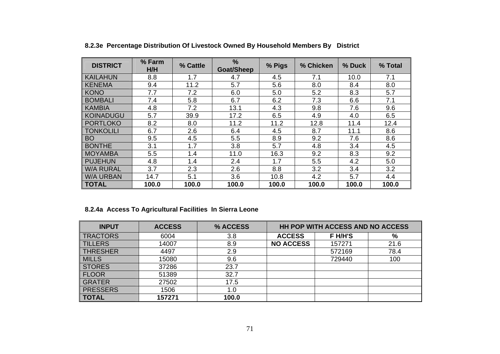| <b>DISTRICT</b>  | % Farm<br>H/H | % Cattle | %<br><b>Goat/Sheep</b> | % Pigs | % Chicken | % Duck | % Total |
|------------------|---------------|----------|------------------------|--------|-----------|--------|---------|
| <b>KAILAHUN</b>  | 8.8           | 1.7      | 4.7                    | 4.5    | 7.1       | 10.0   | 7.1     |
| <b>KENEMA</b>    | 9.4           | 11.2     | 5.7                    | 5.6    | 8.0       | 8.4    | 8.0     |
| <b>KONO</b>      | 7.7           | 7.2      | 6.0                    | 5.0    | 5.2       | 8.3    | 5.7     |
| <b>BOMBALI</b>   | 7.4           | 5.8      | 6.7                    | 6.2    | 7.3       | 6.6    | 7.1     |
| <b>KAMBIA</b>    | 4.8           | 7.2      | 13.1                   | 4.3    | 9.8       | 7.6    | 9.6     |
| <b>KOINADUGU</b> | 5.7           | 39.9     | 17.2                   | 6.5    | 4.9       | 4.0    | 6.5     |
| <b>PORTLOKO</b>  | 8.2           | 8.0      | 11.2                   | 11.2   | 12.8      | 11.4   | 12.4    |
| <b>TONKOLILI</b> | 6.7           | 2.6      | 6.4                    | 4.5    | 8.7       | 11.1   | 8.6     |
| <b>BO</b>        | 9.5           | 4.5      | 5.5                    | 8.9    | 9.2       | 7.6    | 8.6     |
| <b>BONTHE</b>    | 3.1           | 1.7      | 3.8                    | 5.7    | 4.8       | 3.4    | 4.5     |
| <b>MOYAMBA</b>   | 5.5           | 1.4      | 11.0                   | 16.3   | 9.2       | 8.3    | 9.2     |
| <b>PUJEHUN</b>   | 4.8           | 1.4      | 2.4                    | 1.7    | 5.5       | 4.2    | 5.0     |
| <b>W/A RURAL</b> | 3.7           | 2.3      | 2.6                    | 8.8    | 3.2       | 3.4    | 3.2     |
| <b>W/A URBAN</b> | 14.7          | 5.1      | 3.6                    | 10.8   | 4.2       | 5.7    | 4.4     |
| <b>TOTAL</b>     | 100.0         | 100.0    | 100.0                  | 100.0  | 100.0     | 100.0  | 100.0   |

## **8.2.3e Percentage Distribution Of Livestock Owned By Household Members By District**

## **8.2.4a Access To Agricultural Facilities In Sierra Leone**

| <b>INPUT</b>    | <b>ACCESS</b> | % ACCESS |                  | <b>HH POP WITH ACCESS AND NO ACCESS</b> |      |
|-----------------|---------------|----------|------------------|-----------------------------------------|------|
| <b>TRACTORS</b> | 6004          | 3.8      | <b>ACCESS</b>    | F H/H'S                                 | %    |
| <b>TILLERS</b>  | 14007         | 8.9      | <b>NO ACCESS</b> | 157271                                  | 21.6 |
| <b>THRESHER</b> | 4497          | 2.9      |                  | 572169                                  | 78.4 |
| <b>MILLS</b>    | 15080         | 9.6      |                  | 729440                                  | 100  |
| <b>STORES</b>   | 37286         | 23.7     |                  |                                         |      |
| <b>FLOOR</b>    | 51389         | 32.7     |                  |                                         |      |
| <b>GRATER</b>   | 27502         | 17.5     |                  |                                         |      |
| <b>PRESSERS</b> | 1506          | 1.0      |                  |                                         |      |
| <b>TOTAL</b>    | 157271        | 100.0    |                  |                                         |      |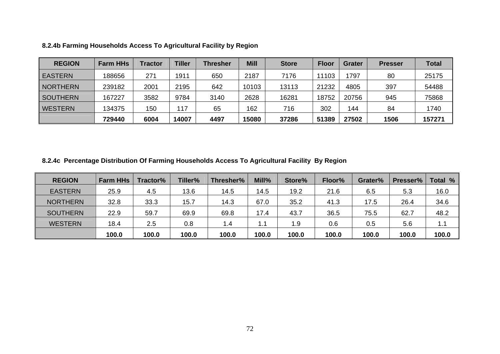| <b>REGION</b>   | <b>Farm HHs</b> | Tractor | <b>Tiller</b> | <b>Thresher</b> | <b>Mill</b> | <b>Store</b> | <b>Floor</b> | <b>Grater</b> | <b>Presser</b> | <b>Total</b> |
|-----------------|-----------------|---------|---------------|-----------------|-------------|--------------|--------------|---------------|----------------|--------------|
| <b>EASTERN</b>  | 188656          | 271     | 1911          | 650             | 2187        | 7176         | 11103        | 1797          | 80             | 25175        |
| <b>NORTHERN</b> | 239182          | 2001    | 2195          | 642             | 10103       | 13113        | 21232        | 4805          | 397            | 54488        |
| <b>SOUTHERN</b> | 167227          | 3582    | 9784          | 3140            | 2628        | 16281        | 18752        | 20756         | 945            | 75868        |
| <b>WESTERN</b>  | 134375          | 150     | 117           | 65              | 162         | 716          | 302          | 144           | 84             | 1740         |
|                 | 729440          | 6004    | 14007         | 4497            | 15080       | 37286        | 51389        | 27502         | 1506           | 157271       |

**8.2.4b Farming Households Access To Agricultural Facility by Region**

**8.2.4c Percentage Distribution Of Farming Households Access To Agricultural Facility By Region**

| <b>REGION</b>   | <b>Farm HHs</b> | Tractor% | Tiller% | Thresher% | Mill% | Store% | Floor% | Grater% | Presser% | Total % |
|-----------------|-----------------|----------|---------|-----------|-------|--------|--------|---------|----------|---------|
| <b>EASTERN</b>  | 25.9            | 4.5      | 13.6    | 14.5      | 14.5  | 19.2   | 21.6   | 6.5     | 5.3      | 16.0    |
| <b>NORTHERN</b> | 32.8            | 33.3     | 15.7    | 14.3      | 67.0  | 35.2   | 41.3   | 17.5    | 26.4     | 34.6    |
| <b>SOUTHERN</b> | 22.9            | 59.7     | 69.9    | 69.8      | 17.4  | 43.7   | 36.5   | 75.5    | 62.7     | 48.2    |
| <b>WESTERN</b>  | 18.4            | 2.5      | 0.8     | 1.4       | 1.1   | 1.9    | 0.6    | 0.5     | 5.6      | 1.1     |
|                 | 100.0           | 100.0    | 100.0   | 100.0     | 100.0 | 100.0  | 100.0  | 100.0   | 100.0    | 100.0   |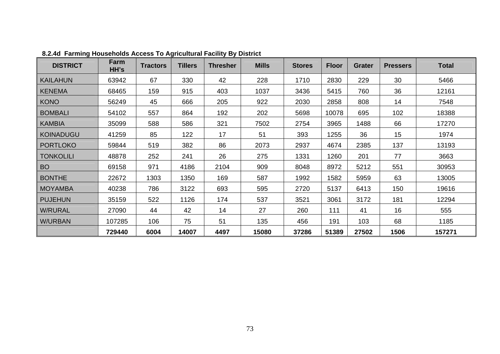| <b>DISTRICT</b>  | Farm<br>HH's | <b>Tractors</b> | <b>Tillers</b> | <b>Thresher</b> | <b>Mills</b> | <b>Stores</b> | <b>Floor</b> | <b>Grater</b> | <b>Pressers</b> | <b>Total</b> |
|------------------|--------------|-----------------|----------------|-----------------|--------------|---------------|--------------|---------------|-----------------|--------------|
| <b>KAILAHUN</b>  | 63942        | 67              | 330            | 42              | 228          | 1710          | 2830         | 229           | 30              | 5466         |
| <b>KENEMA</b>    | 68465        | 159             | 915            | 403             | 1037         | 3436          | 5415         | 760           | 36              | 12161        |
| <b>KONO</b>      | 56249        | 45              | 666            | 205             | 922          | 2030          | 2858         | 808           | 14              | 7548         |
| <b>BOMBALI</b>   | 54102        | 557             | 864            | 192             | 202          | 5698          | 10078        | 695           | 102             | 18388        |
| <b>KAMBIA</b>    | 35099        | 588             | 586            | 321             | 7502         | 2754          | 3965         | 1488          | 66              | 17270        |
| <b>KOINADUGU</b> | 41259        | 85              | 122            | 17              | 51           | 393           | 1255         | 36            | 15              | 1974         |
| <b>PORTLOKO</b>  | 59844        | 519             | 382            | 86              | 2073         | 2937          | 4674         | 2385          | 137             | 13193        |
| <b>TONKOLILI</b> | 48878        | 252             | 241            | 26              | 275          | 1331          | 1260         | 201           | 77              | 3663         |
| <b>BO</b>        | 69158        | 971             | 4186           | 2104            | 909          | 8048          | 8972         | 5212          | 551             | 30953        |
| <b>BONTHE</b>    | 22672        | 1303            | 1350           | 169             | 587          | 1992          | 1582         | 5959          | 63              | 13005        |
| <b>MOYAMBA</b>   | 40238        | 786             | 3122           | 693             | 595          | 2720          | 5137         | 6413          | 150             | 19616        |
| <b>PUJEHUN</b>   | 35159        | 522             | 1126           | 174             | 537          | 3521          | 3061         | 3172          | 181             | 12294        |
| <b>W/RURAL</b>   | 27090        | 44              | 42             | 14              | 27           | 260           | 111          | 41            | 16              | 555          |
| <b>W/URBAN</b>   | 107285       | 106             | 75             | 51              | 135          | 456           | 191          | 103           | 68              | 1185         |
|                  | 729440       | 6004            | 14007          | 4497            | 15080        | 37286         | 51389        | 27502         | 1506            | 157271       |

**8.2.4d Farming Households Access To Agricultural Facility By District**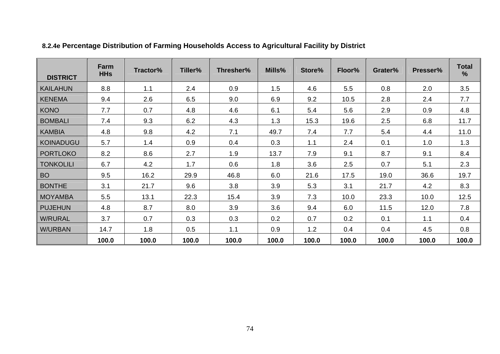| <b>DISTRICT</b>  | Farm<br><b>HHs</b> | Tractor% | Tiller% | Thresher% | Mills% | Store% | Floor% | Grater% | Presser% | <b>Total</b><br>$\frac{9}{6}$ |
|------------------|--------------------|----------|---------|-----------|--------|--------|--------|---------|----------|-------------------------------|
| <b>KAILAHUN</b>  | 8.8                | 1.1      | 2.4     | 0.9       | 1.5    | 4.6    | 5.5    | 0.8     | 2.0      | 3.5                           |
| <b>KENEMA</b>    | 9.4                | 2.6      | 6.5     | 9.0       | 6.9    | 9.2    | 10.5   | 2.8     | 2.4      | 7.7                           |
| <b>KONO</b>      | 7.7                | 0.7      | 4.8     | 4.6       | 6.1    | 5.4    | 5.6    | 2.9     | 0.9      | 4.8                           |
| <b>BOMBALI</b>   | 7.4                | 9.3      | 6.2     | 4.3       | 1.3    | 15.3   | 19.6   | 2.5     | 6.8      | 11.7                          |
| <b>KAMBIA</b>    | 4.8                | 9.8      | 4.2     | 7.1       | 49.7   | 7.4    | 7.7    | 5.4     | 4.4      | 11.0                          |
| <b>KOINADUGU</b> | 5.7                | 1.4      | 0.9     | 0.4       | 0.3    | 1.1    | 2.4    | 0.1     | 1.0      | 1.3                           |
| <b>PORTLOKO</b>  | 8.2                | 8.6      | 2.7     | 1.9       | 13.7   | 7.9    | 9.1    | 8.7     | 9.1      | 8.4                           |
| <b>TONKOLILI</b> | 6.7                | 4.2      | 1.7     | 0.6       | 1.8    | 3.6    | 2.5    | 0.7     | 5.1      | 2.3                           |
| <b>BO</b>        | 9.5                | 16.2     | 29.9    | 46.8      | 6.0    | 21.6   | 17.5   | 19.0    | 36.6     | 19.7                          |
| <b>BONTHE</b>    | 3.1                | 21.7     | 9.6     | 3.8       | 3.9    | 5.3    | 3.1    | 21.7    | 4.2      | 8.3                           |
| <b>MOYAMBA</b>   | 5.5                | 13.1     | 22.3    | 15.4      | 3.9    | 7.3    | 10.0   | 23.3    | 10.0     | 12.5                          |
| <b>PUJEHUN</b>   | 4.8                | 8.7      | 8.0     | 3.9       | 3.6    | 9.4    | 6.0    | 11.5    | 12.0     | 7.8                           |
| <b>W/RURAL</b>   | 3.7                | 0.7      | 0.3     | 0.3       | 0.2    | 0.7    | 0.2    | 0.1     | 1.1      | 0.4                           |
| <b>W/URBAN</b>   | 14.7               | 1.8      | 0.5     | 1.1       | 0.9    | 1.2    | 0.4    | 0.4     | 4.5      | 0.8                           |
|                  | 100.0              | 100.0    | 100.0   | 100.0     | 100.0  | 100.0  | 100.0  | 100.0   | 100.0    | 100.0                         |

# **8.2.4e Percentage Distribution of Farming Households Access to Agricultural Facility by District**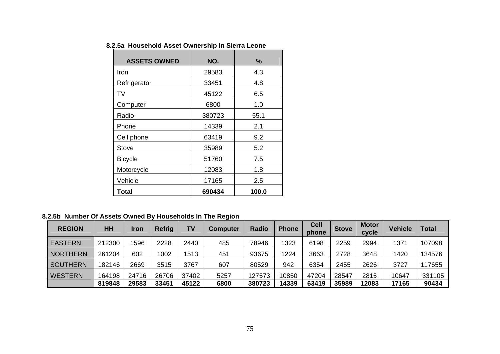**8.2.5a Household Asset Ownership In Sierra Leone**

| <b>ASSETS OWNED</b> | NO.    | ℅     |
|---------------------|--------|-------|
| Iron                | 29583  | 4.3   |
| Refrigerator        | 33451  | 4.8   |
| TV                  | 45122  | 6.5   |
| Computer            | 6800   | 1.0   |
| Radio               | 380723 | 55.1  |
| Phone               | 14339  | 2.1   |
| Cell phone          | 63419  | 9.2   |
| Stove               | 35989  | 5.2   |
| <b>Bicycle</b>      | 51760  | 7.5   |
| Motorcycle          | 12083  | 1.8   |
| Vehicle             | 17165  | 2.5   |
| Total               | 690434 | 100.0 |

**8.2.5b Number Of Assets Owned By Households In The Region**

| <b>REGION</b>   | HH     | <b>Iron</b> | Refrig | TV    | <b>Computer</b> | <b>Radio</b> | <b>Phone</b> | <b>Cell</b><br>phone | <b>Stove</b> | <b>Motor</b><br>cycle | Vehicle | <b>Total</b> |
|-----------------|--------|-------------|--------|-------|-----------------|--------------|--------------|----------------------|--------------|-----------------------|---------|--------------|
| <b>EASTERN</b>  | 212300 | 1596        | 2228   | 2440  | 485             | 78946        | 1323         | 6198                 | 2259         | 2994                  | 1371    | 107098       |
| <b>NORTHERN</b> | 261204 | 602         | 1002   | 1513  | 451             | 93675        | 1224         | 3663                 | 2728         | 3648                  | 1420    | 134576       |
| <b>SOUTHERN</b> | 182146 | 2669        | 3515   | 3767  | 607             | 80529        | 942          | 6354                 | 2455         | 2626                  | 3727    | 17655        |
| <b>WESTERN</b>  | 164198 | 24716       | 26706  | 37402 | 5257            | 127573       | 10850        | 47204                | 28547        | 2815                  | 10647   | 331105       |
|                 | 819848 | 29583       | 33451  | 45122 | 6800            | 380723       | 14339        | 63419                | 35989        | 12083                 | 17165   | 90434        |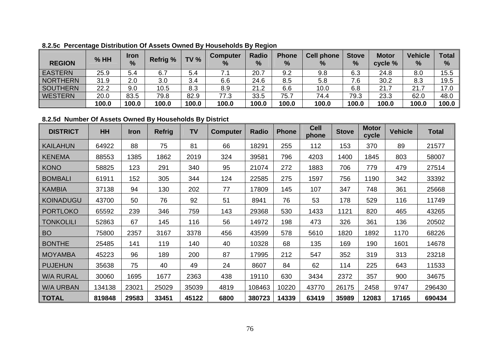| <b>REGION</b>   | $%$ HH | Iron<br>$\frac{9}{6}$ | <b>Refrig %</b> | <b>TV %</b> | <b>Computer</b><br>% | <b>Radio</b><br>$\%$ | <b>Phone</b><br>% | <b>Cell phone</b><br>% | <b>Stove</b><br>% | <b>Motor</b><br>cycle % | <b>Vehicle</b><br>$\%$ | <b>Total</b><br>% |
|-----------------|--------|-----------------------|-----------------|-------------|----------------------|----------------------|-------------------|------------------------|-------------------|-------------------------|------------------------|-------------------|
| <b>EASTERN</b>  | 25.9   | 5.4                   | 6.7             | 5.4         | 7.1                  | 20.7                 | 9.2               | 9.8                    | 6.3               | 24.8                    | 8.0                    | 15.5              |
| <b>NORTHERN</b> | 31.9   | 2.0                   | 3.0             | 3.4         | 6.6                  | 24.6                 | 8.5               | 5.8                    | 7.6               | 30.2                    | 8.3                    | 19.5              |
| <b>SOUTHERN</b> | 22.2   | 9.0                   | 10.5            | 8.3         | 8.9                  | 21.2                 | 6.6               | 10.0                   | 6.8               | 21.7                    | 21.7                   | 17.0              |
| <b>WESTERN</b>  | 20.0   | 83.5                  | 79.8            | 82.9        | 77.3                 | 33.5                 | 75.7              | 74.4                   | 79.3              | 23.3                    | 62.0                   | 48.0              |
|                 | 100.0  | 100.0                 | 100.0           | 100.0       | 100.0                | 100.0                | 100.0             | 100.0                  | 100.0             | 100.0                   | 100.0                  | 100.0             |

**8.2.5c Percentage Distribution Of Assets Owned By Households By Region**

## **8.2.5d Number Of Assets Owned By Households By District**

| <b>DISTRICT</b>  | <b>HH</b> | <b>Iron</b> | <b>Refrig</b> | <b>TV</b> | <b>Computer</b> | <b>Radio</b> | <b>Phone</b> | <b>Cell</b><br>phone | <b>Stove</b> | <b>Motor</b><br>cycle | <b>Vehicle</b> | <b>Total</b> |
|------------------|-----------|-------------|---------------|-----------|-----------------|--------------|--------------|----------------------|--------------|-----------------------|----------------|--------------|
| <b>KAILAHUN</b>  | 64922     | 88          | 75            | 81        | 66              | 18291        | 255          | 112                  | 153          | 370                   | 89             | 21577        |
| <b>KENEMA</b>    | 88553     | 1385        | 1862          | 2019      | 324             | 39581        | 796          | 4203                 | 1400         | 1845                  | 803            | 58007        |
| <b>KONO</b>      | 58825     | 123         | 291           | 340       | 95              | 21074        | 272          | 1883                 | 706          | 779                   | 479            | 27514        |
| <b>BOMBALI</b>   | 61911     | 152         | 305           | 344       | 124             | 22585        | 275          | 1597                 | 756          | 1190                  | 342            | 33392        |
| <b>KAMBIA</b>    | 37138     | 94          | 130           | 202       | 77              | 17809        | 145          | 107                  | 347          | 748                   | 361            | 25668        |
| <b>KOINADUGU</b> | 43700     | 50          | 76            | 92        | 51              | 8941         | 76           | 53                   | 178          | 529                   | 116            | 11749        |
| <b>PORTLOKO</b>  | 65592     | 239         | 346           | 759       | 143             | 29368        | 530          | 1433                 | 1121         | 820                   | 465            | 43265        |
| <b>TONKOLILI</b> | 52863     | 67          | 145           | 116       | 56              | 14972        | 198          | 473                  | 326          | 361                   | 136            | 20502        |
| <b>BO</b>        | 75800     | 2357        | 3167          | 3378      | 456             | 43599        | 578          | 5610                 | 1820         | 1892                  | 1170           | 68226        |
| <b>BONTHE</b>    | 25485     | 141         | 119           | 140       | 40              | 10328        | 68           | 135                  | 169          | 190                   | 1601           | 14678        |
| <b>MOYAMBA</b>   | 45223     | 96          | 189           | 200       | 87              | 17995        | 212          | 547                  | 352          | 319                   | 313            | 23218        |
| <b>PUJEHUN</b>   | 35638     | 75          | 40            | 49        | 24              | 8607         | 84           | 62                   | 114          | 225                   | 643            | 11533        |
| <b>WA RURAL</b>  | 30060     | 1695        | 1677          | 2363      | 438             | 19110        | 630          | 3434                 | 2372         | 357                   | 900            | 34675        |
| <b>W/A URBAN</b> | 134138    | 23021       | 25029         | 35039     | 4819            | 108463       | 10220        | 43770                | 26175        | 2458                  | 9747           | 296430       |
| <b>TOTAL</b>     | 819848    | 29583       | 33451         | 45122     | 6800            | 380723       | 14339        | 63419                | 35989        | 12083                 | 17165          | 690434       |